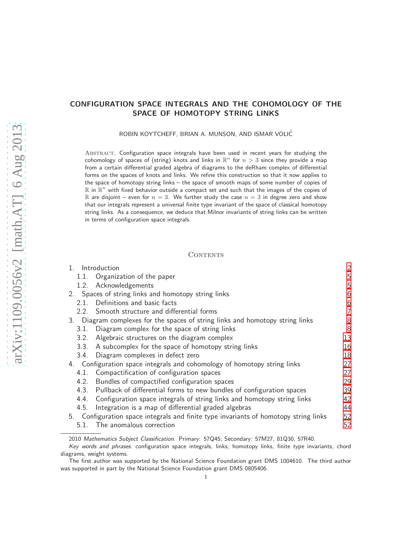# CONFIGURATION SPACE INTEGRALS AND THE COHOMOLOGY OF THE SPACE OF HOMOTOPY STRING LINKS

ROBIN KOYTCHEFF, BRIAN A. MUNSON, AND ISMAR VOLIC´

ABSTRACT. Configuration space integrals have been used in recent years for studying the cohomology of spaces of (string) knots and links in  $\mathbb{R}^n$  for  $n > 3$  since they provide a map from a certain differential graded algebra of diagrams to the deRham complex of differential forms on the spaces of knots and links. We refine this construction so that it now applies to the space of homotopy string links – the space of smooth maps of some number of copies of  $\mathbb R$  in  $\mathbb R^n$  with fixed behavior outside a compact set and such that the images of the copies of R are disjoint – even for  $n = 3$ . We further study the case  $n = 3$  in degree zero and show that our integrals represent a universal finite type invariant of the space of classical homotopy string links. As a consequence, we deduce that Milnor invariants of string links can be written in terms of configuration space integrals.

### CONTENTS

|      | 1. Introduction                                                                      | 2  |
|------|--------------------------------------------------------------------------------------|----|
|      | 1.1. Organization of the paper                                                       | 5  |
| 1.2. | Acknowledgements                                                                     | 5  |
|      | 2. Spaces of string links and homotopy string links                                  | 6  |
| 2.1. | Definitions and basic facts                                                          | 6  |
|      | 2.2. Smooth structure and differential forms                                         | 7  |
|      | 3. Diagram complexes for the spaces of string links and homotopy string links        | 8  |
| 3.1. | Diagram complex for the space of string links                                        | 8  |
| 3.2. | Algebraic structures on the diagram complex                                          | 13 |
| 3.3. | A subcomplex for the space of homotopy string links                                  | 16 |
| 3.4. | Diagram complexes in defect zero                                                     | 18 |
|      | 4. Configuration space integrals and cohomology of homotopy string links             | 27 |
| 4.1. | Compactification of configuration spaces                                             | 27 |
| 4.2. | Bundles of compactified configuration spaces                                         | 29 |
| 4.3. | Pullback of differential forms to new bundles of configuration spaces                | 39 |
| 4.4. | Configuration space integrals of string links and homotopy string links              | 42 |
| 4.5. | Integration is a map of differential graded algebras                                 | 44 |
|      | 5. Configuration space integrals and finite type invariants of homotopy string links | 52 |
|      | 5.1. The anomalous correction                                                        | 52 |
|      |                                                                                      |    |

<sup>2010</sup> Mathematics Subject Classification. Primary: 57Q45; Secondary: 57M27, 81Q30, 57R40.

Key words and phrases. configuration space integrals, links, homotopy links, finite type invariants, chord diagrams, weight systems.

The first author was supported by the National Science Foundation grant DMS 1004610. The third author was supported in part by the National Science Foundation grant DMS 0805406.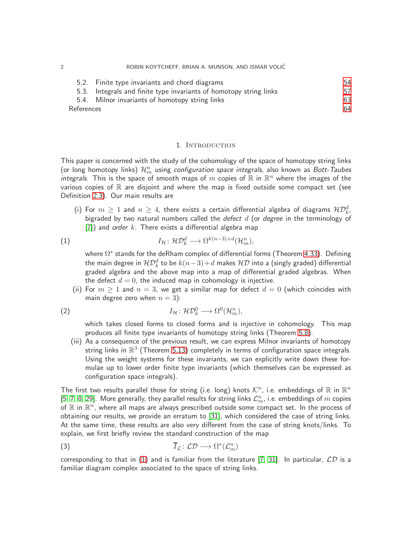|            | 5.2. Finite type invariants and chord diagrams                     | 54 |  |
|------------|--------------------------------------------------------------------|----|--|
|            | 5.3. Integrals and finite type invariants of homotopy string links | 57 |  |
|            | 5.4. Milnor invariants of homotopy string links                    | 63 |  |
| References |                                                                    |    |  |

#### 1. Introduction

<span id="page-1-0"></span>This paper is concerned with the study of the cohomology of the space of homotopy string links (or long homotopy links)  $\mathcal{H}_m^n$  using *configuration space integrals*, also known as *Bott-Taubes* integrals. This is the space of smooth maps of  $m$  copies of  $\mathbb R$  in  $\mathbb R^n$  where the images of the various copies of  $\mathbb R$  are disjoint and where the map is fixed outside some compact set (see Definition [2.3\)](#page-5-2). Our main results are

(i) For  $m\,\geq\,1$  and  $n\,\geq\,4$ , there exists a certain differential algebra of diagrams  $\mathcal{HD}_k^d$ , bigraded by two natural numbers called the defect  $d$  (or degree in the terminology of [\[7\]](#page-63-1)) and order k. There exists a differential algebra map

(1) 
$$
I_{\mathcal{H}}: \mathcal{HD}_{k}^{d} \longrightarrow \Omega^{k(n-3)+d}(\mathcal{H}_{m}^{n}),
$$

<span id="page-1-1"></span>where  $\Omega^*$  stands for the deRham complex of differential forms (Theorem [4.33\)](#page-50-0). Defining the main degree in  $\mathcal{HD}_{k}^{d}$  to be  $k(n\!-\!3)\!+\!d$  makes  $\mathcal{HD}% _{k}^{d}(n)$  into a (singly graded) differential graded algebra and the above map into a map of differential graded algebras. When the defect  $d = 0$ , the induced map in cohomology is injective.

(ii) For  $m \geq 1$  and  $n = 3$ , we get a similar map for defect  $d = 0$  (which coincides with main degree zero when  $n = 3$ ):

(2) 
$$
I_{\mathcal{H}}: \mathcal{HD}_{k}^{0} \longrightarrow \Omega^{0}(\mathcal{H}_{m}^{n}),
$$

which takes closed forms to closed forms and is injective in cohomology. This map produces all finite type invariants of homotopy string links (Theorem [5.8\)](#page-57-0).

(iii) As a consequence of the previous result, we can express Milnor invariants of homotopy string links in  $\mathbb{R}^3$  (Theorem [5.13\)](#page-62-1) completely in terms of configuration space integrals. Using the weight systems for these invariants, we can explicitly write down these formulae up to lower order finite type invariants (which themselves can be expressed as configuration space integrals).

The first two results parallel those for string (i.e. long) knots  $\mathcal{K}^n$ , i.e. embeddings of  $\mathbb R$  in  $\mathbb R^n$ [\[5,](#page-63-2) [7,](#page-63-1) [8,](#page-63-3) [29\]](#page-64-0). More generally, they parallel results for string links  $\mathcal{L}_m^n$ , i.e. embeddings of  $m$  copies of  $\mathbb R$  in  $\mathbb R^n$ , where all maps are always prescribed outside some compact set. In the process of obtaining our results, we provide an erratum to [\[31\]](#page-64-1), which considered the case of string links. At the same time, these results are also very different from the case of string knots/links. To explain, we first briefly review the standard construction of the map

$$
\overline{I}_{\mathcal{L}} \colon \mathcal{L} \mathcal{D} \longrightarrow \Omega^*(\mathcal{L}_m^n)
$$

corresponding to that in [\(1\)](#page-1-1) and is familiar from the literature [\[7,](#page-63-1) [31\]](#page-64-1). In particular,  $\mathcal{LD}$  is a familiar diagram complex associated to the space of string links.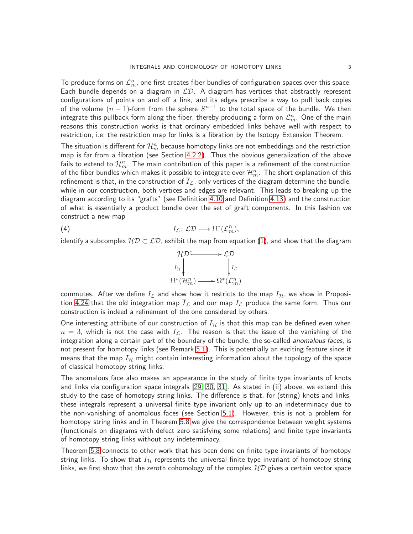To produce forms on  $\mathcal{L}^n_m$ , one first creates fiber bundles of configuration spaces over this space. Each bundle depends on a diagram in  $LD$ . A diagram has vertices that abstractly represent configurations of points on and off a link, and its edges prescribe a way to pull back copies of the volume  $(n-1)$ -form from the sphere  $S^{n-1}$  to the total space of the bundle. We then integrate this pullback form along the fiber, thereby producing a form on  $\mathcal{L}_m^n.$  One of the main reasons this construction works is that ordinary embedded links behave well with respect to restriction, i.e. the restriction map for links is a fibration by the Isotopy Extension Theorem.

The situation is different for  $\mathcal{H}_m^n$  because homotopy links are not embeddings and the restriction map is far from a fibration (see Section [4.2.2\)](#page-32-0). Thus the obvious generalization of the above fails to extend to  $\mathcal{H}_m^n$ . The main contribution of this paper is a refinement of the construction of the fiber bundles which makes it possible to integrate over  $\mathcal{H}_m^n$ . The short explanation of this refinement is that, in the construction of  $\overline{I}_\mathcal{L}$ , only vertices of the diagram determine the bundle, while in our construction, both vertices and edges are relevant. This leads to breaking up the diagram according to its "grafts" (see Definition [4.10](#page-34-0) and Definition [4.13\)](#page-35-0) and the construction of what is essentially a product bundle over the set of graft components. In this fashion we construct a new map

(4) 
$$
I_{\mathcal{L}}: \mathcal{L}\mathcal{D} \longrightarrow \Omega^*(\mathcal{L}_m^n),
$$

identify a subcomplex  $H\mathcal{D} \subset \mathcal{L}\mathcal{D}$ , exhibit the map from equation [\(1\)](#page-1-1), and show that the diagram

<span id="page-2-0"></span>

commutes. After we define  $I_{\mathcal{L}}$  and show how it restricts to the map  $I_{\mathcal{H}}$ , we show in Proposi-tion [4.24](#page-42-0) that the old integration map  $\overline{I}_\mathcal{L}$  and our map  $I_\mathcal{L}$  produce the same form. Thus our construction is indeed a refinement of the one considered by others.

One interesting attribute of our construction of  $I_{\mathcal{H}}$  is that this map can be defined even when  $n = 3$ , which is not the case with  $I_{\mathcal{L}}$ . The reason is that the issue of the vanishing of the integration along a certain part of the boundary of the bundle, the so-called anomalous faces, is not present for homotopy links (see Remark [5.1\)](#page-52-0). This is potentially an exciting feature since it means that the map  $I_H$  might contain interesting information about the topology of the space of classical homotopy string links.

The anomalous face also makes an appearance in the study of finite type invariants of knots and links via configuration space integrals [\[29,](#page-64-0) [30,](#page-64-2) [31\]](#page-64-1). As stated in (ii) above, we extend this study to the case of homotopy string links. The difference is that, for (string) knots and links, these integrals represent a universal finite type invariant only up to an indeterminacy due to the non-vanishing of anomalous faces (see Section [5.1\)](#page-51-1). However, this is not a problem for homotopy string links and in Theorem [5.8](#page-57-0) we give the correspondence between weight systems (functionals on diagrams with defect zero satisfying some relations) and finite type invariants of homotopy string links without any indeterminacy.

Theorem [5.8](#page-57-0) connects to other work that has been done on finite type invariants of homotopy string links. To show that  $I_H$  represents the universal finite type invariant of homotopy string links, we first show that the zeroth cohomology of the complex  $HD$  gives a certain vector space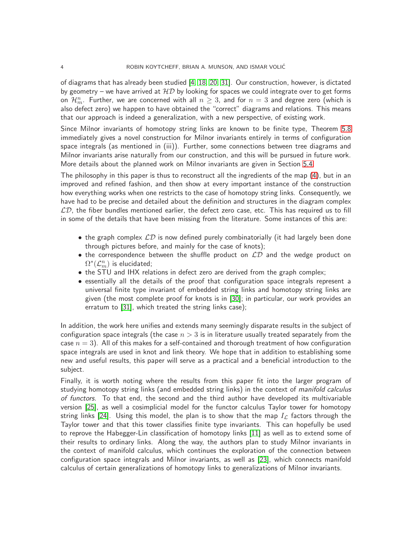of diagrams that has already been studied [\[4,](#page-63-4) [18,](#page-63-5) [20,](#page-63-6) [31\]](#page-64-1). Our construction, however, is dictated by geometry – we have arrived at  $HD$  by looking for spaces we could integrate over to get forms on  $\mathcal{H}_m^n$ . Further, we are concerned with all  $n\geq 3$ , and for  $n=3$  and degree zero (which is also defect zero) we happen to have obtained the "correct" diagrams and relations. This means that our approach is indeed a generalization, with a new perspective, of existing work.

Since Milnor invariants of homotopy string links are known to be finite type, Theorem [5.8](#page-57-0) immediately gives a novel construction for Milnor invariants entirely in terms of configuration space integrals (as mentioned in (iii)). Further, some connections between tree diagrams and Milnor invariants arise naturally from our construction, and this will be pursued in future work. More details about the planned work on Milnor invariants are given in Section [5.4.](#page-62-0)

The philosophy in this paper is thus to reconstruct all the ingredients of the map [\(4\)](#page-2-0), but in an improved and refined fashion, and then show at every important instance of the construction how everything works when one restricts to the case of homotopy string links. Consequently, we have had to be precise and detailed about the definition and structures in the diagram complex  $\mathcal{LD}$ , the fiber bundles mentioned earlier, the defect zero case, etc. This has required us to fill in some of the details that have been missing from the literature. Some instances of this are:

- the graph complex  $\mathcal{LD}$  is now defined purely combinatorially (it had largely been done through pictures before, and mainly for the case of knots);
- the correspondence between the shuffle product on  $\mathcal{LD}$  and the wedge product on  $\Omega^*(\mathcal{L}_m^n)$  is elucidated;
- the STU and IHX relations in defect zero are derived from the graph complex;
- essentially all the details of the proof that configuration space integrals represent a universal finite type invariant of embedded string links and homotopy string links are given (the most complete proof for knots is in [\[30\]](#page-64-2); in particular, our work provides an erratum to [\[31\]](#page-64-1), which treated the string links case);

In addition, the work here unifies and extends many seemingly disparate results in the subject of configuration space integrals (the case  $n > 3$  is in literature usually treated separately from the case  $n = 3$ ). All of this makes for a self-contained and thorough treatment of how configuration space integrals are used in knot and link theory. We hope that in addition to establishing some new and useful results, this paper will serve as a practical and a beneficial introduction to the subject.

Finally, it is worth noting where the results from this paper fit into the larger program of studying homotopy string links (and embedded string links) in the context of *manifold calculus* of functors. To that end, the second and the third author have developed its multivariable version [\[25\]](#page-64-3), as well a cosimplicial model for the functor calculus Taylor tower for homotopy string links [\[24\]](#page-64-4). Using this model, the plan is to show that the map  $I<sub>L</sub>$  factors through the Taylor tower and that this tower classifies finite type invariants. This can hopefully be used to reprove the Habegger-Lin classification of homotopy links [\[11\]](#page-63-7) as well as to extend some of their results to ordinary links. Along the way, the authors plan to study Milnor invariants in the context of manifold calculus, which continues the exploration of the connection between configuration space integrals and Milnor invariants, as well as [\[23\]](#page-64-5), which connects manifold calculus of certain generalizations of homotopy links to generalizations of Milnor invariants.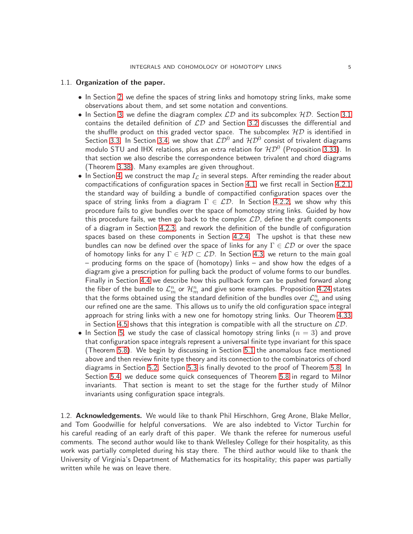### <span id="page-4-0"></span>1.1. Organization of the paper.

- In Section [2,](#page-5-0) we define the spaces of string links and homotopy string links, make some observations about them, and set some notation and conventions.
- In Section [3,](#page-7-0) we define the diagram complex  $LD$  and its subcomplex  $HD$ . Section [3.1](#page-7-1) contains the detailed definition of  $\mathcal{LD}$  and Section [3.2](#page-12-0) discusses the differential and the shuffle product on this graded vector space. The subcomplex  $HD$  is identified in Section [3.3.](#page-15-0) In Section [3.4,](#page-17-0) we show that  $\mathcal{LD}^{0}$  and  $\mathcal{HD}^{0}$  consist of trivalent diagrams modulo STU and IHX relations, plus an extra relation for  ${\cal HD}^0$  (Proposition [3.33\)](#page-24-0). In that section we also describe the correspondence between trivalent and chord diagrams (Theorem [3.38\)](#page-25-0). Many examples are given throughout.
- In Section [4,](#page-26-0) we construct the map  $I_{\mathcal{L}}$  in several steps. After reminding the reader about compactifications of configuration spaces in Section [4.1,](#page-26-1) we first recall in Section [4.2.1](#page-29-0) the standard way of building a bundle of compactified configuration spaces over the space of string links from a diagram  $\Gamma \in \mathcal{LD}$ . In Section [4.2.2,](#page-32-0) we show why this procedure fails to give bundles over the space of homotopy string links. Guided by how this procedure fails, we then go back to the complex  $\mathcal{LD}$ , define the graft components of a diagram in Section [4.2.3,](#page-33-0) and rework the definition of the bundle of configuration spaces based on these components in Section [4.2.4.](#page-35-1) The upshot is that these new bundles can now be defined over the space of links for any  $\Gamma \in \mathcal{LD}$  or over the space of homotopy links for any  $\Gamma \in H\mathcal{D} \subset \mathcal{LD}$ . In Section [4.3,](#page-38-0) we return to the main goal – producing forms on the space of (homotopy) links – and show how the edges of a diagram give a prescription for pulling back the product of volume forms to our bundles. Finally in Section [4.4](#page-41-0) we describe how this pullback form can be pushed forward along the fiber of the bundle to  $\mathcal{L}_m^n$  or  $\mathcal{H}_m^n$  and give some examples. Proposition [4.24](#page-42-0) states that the forms obtained using the standard definition of the bundles over  $\mathcal{L}_m^n$  and using our refined one are the same. This allows us to unify the old configuration space integral approach for string links with a new one for homotopy string links. Our Theorem [4.33](#page-50-0) in Section [4.5](#page-43-0) shows that this integration is compatible with all the structure on  $\mathcal{LD}$ .
- In Section [5,](#page-51-0) we study the case of classical homotopy string links  $(n = 3)$  and prove that configuration space integrals represent a universal finite type invariant for this space (Theorem [5.8\)](#page-57-0). We begin by discussing in Section [5.1](#page-51-1) the anomalous face mentioned above and then review finite type theory and its connection to the combinatorics of chord diagrams in Section [5.2.](#page-53-0) Section [5.3](#page-56-0) is finally devoted to the proof of Theorem [5.8.](#page-57-0) In Section [5.4,](#page-62-0) we deduce some quick consequences of Theorem [5.8](#page-57-0) in regard to Milnor invariants. That section is meant to set the stage for the further study of Milnor invariants using configuration space integrals.

<span id="page-4-1"></span>1.2. **Acknowledgements.** We would like to thank Phil Hirschhorn, Greg Arone, Blake Mellor, and Tom Goodwillie for helpful conversations. We are also indebted to Victor Turchin for his careful reading of an early draft of this paper. We thank the referee for numerous useful comments. The second author would like to thank Wellesley College for their hospitality, as this work was partially completed during his stay there. The third author would like to thank the University of Virginia's Department of Mathematics for its hospitality; this paper was partially written while he was on leave there.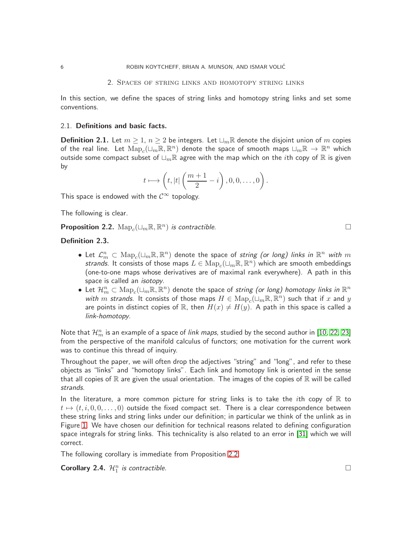#### 2. Spaces of string links and homotopy string links

<span id="page-5-0"></span>In this section, we define the spaces of string links and homotopy string links and set some conventions.

### <span id="page-5-1"></span>2.1. Definitions and basic facts.

<span id="page-5-4"></span>**Definition 2.1.** Let  $m \geq 1$ ,  $n \geq 2$  be integers. Let  $\sqcup_m \mathbb{R}$  denote the disjoint union of m copies of the real line. Let  ${\rm Map}_c(\sqcup_m {\mathbb R},{\mathbb R}^n)$  denote the space of smooth maps  $\sqcup_m {\mathbb R} \to \ {\mathbb R}^n$  which outside some compact subset of  $\sqcup_m \mathbb{R}$  agree with the map which on the *i*th copy of  $\mathbb{R}$  is given by

$$
t \longmapsto \left(t, |t| \left(\frac{m+1}{2} - i\right), 0, 0, \dots, 0\right).
$$

This space is endowed with the  $\mathcal{C}^{\infty}$  topology.

The following is clear.

<span id="page-5-3"></span>**Proposition 2.2.**  $\text{Map}_c(\sqcup_m \mathbb{R}, \mathbb{R}^n)$  is contractible.

# <span id="page-5-2"></span>Definition 2.3.

- $\bullet$  Let  $\mathcal{L}_m^n\subset \mathrm{Map}_c(\sqcup_m\mathbb{R},\mathbb{R}^n)$  denote the space of *string (or long) links in*  $\mathbb{R}^n$  *with*  $m$ strands. It consists of those maps  $L \in \mathrm{Map}_c(\sqcup_m \mathbb{R}, \mathbb{R}^n)$  which are smooth embeddings (one-to-one maps whose derivatives are of maximal rank everywhere). A path in this space is called an *isotopy*.
- $\bullet\,$  Let  $\mathcal{H}_m^n\subset \mathrm{Map}_c(\sqcup_m\mathbb{R},\mathbb{R}^n)$  denote the space of *string (or long) homotopy links in*  $\mathbb{R}^n$ with  $m$  strands. It consists of those maps  $H \in \mathrm{Map}_c(\dot{\sqcup}_m\mathbb{R}, \mathbb{R}^n)$  such that if  $x$  and  $y$ are points in distinct copies of R, then  $H(x) \neq H(y)$ . A path in this space is called a link-homotopy.

Note that  $\mathcal{H}_m^n$  is an example of a space of *link maps*, studied by the second author in [\[10,](#page-63-8) [22,](#page-64-6) [23\]](#page-64-5) from the perspective of the manifold calculus of functors; one motivation for the current work was to continue this thread of inquiry.

Throughout the paper, we will often drop the adjectives "string" and "long", and refer to these objects as "links" and "homotopy links". Each link and homotopy link is oriented in the sense that all copies of  $\mathbb R$  are given the usual orientation. The images of the copies of  $\mathbb R$  will be called strands.

In the literature, a more common picture for string links is to take the *i*th copy of  $\mathbb R$  to  $t \mapsto (t, i, 0, 0, \dots, 0)$  outside the fixed compact set. There is a clear correspondence between these string links and string links under our definition; in particular we think of the unlink as in Figure [1.](#page-6-1) We have chosen our definition for technical reasons related to defining configuration space integrals for string links. This technicality is also related to an error in [\[31\]](#page-64-1) which we will correct.

The following corollary is immediate from Proposition [2.2.](#page-5-3)

<span id="page-5-5"></span>**Corollary 2.4.**  $\mathcal{H}_1^n$  is contractible.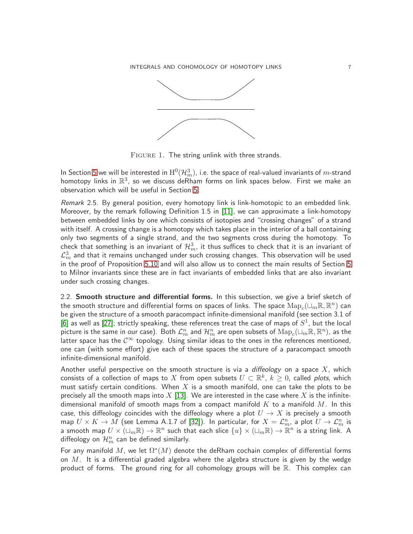INTEGRALS AND COHOMOLOGY OF HOMOTOPY LINKS  $7$ 



<span id="page-6-1"></span>FIGURE 1. The string unlink with three strands.

In Section [5](#page-51-0) we will be interested in  $\mathrm{H}^0(\mathcal{H}_m^3)$ , i.e. the space of real-valued invariants of  $m$ -strand homotopy links in  $\mathbb{R}^3$ , so we discuss deRham forms on link spaces below. First we make an observation which will be useful in Section [5.](#page-51-0)

Remark 2.5. By general position, every homotopy link is link-homotopic to an embedded link. Moreover, by the remark following Definition 1.5 in [\[11\]](#page-63-7), we can approximate a link-homotopy between embedded links by one which consists of isotopies and "crossing changes" of a strand with itself. A crossing change is a homotopy which takes place in the interior of a ball containing only two segments of a single strand, and the two segments cross during the homotopy. To check that something is an invariant of  $\mathcal{H}_m^3$ , it thus suffices to check that it is an invariant of  ${\cal L}_m^3$  and that it remains unchanged under such crossing changes. This observation will be used in the proof of Proposition [5.10](#page-57-1) and will also allow us to connect the main results of Section [5](#page-51-0) to Milnor invariants since these are in fact invariants of embedded links that are also invariant under such crossing changes.

<span id="page-6-0"></span>2.2. Smooth structure and differential forms. In this subsection, we give a brief sketch of the smooth structure and differential forms on spaces of links. The space  ${\rm Map}_c(\sqcup_m {\mathbb R},{\mathbb R}^n)$  can be given the structure of a smooth paracompact infinite-dimensional manifold (see section 3.1 of [\[6\]](#page-63-9) as well as [\[27\]](#page-64-7); strictly speaking, these references treat the case of maps of  $S^1$ , but the local  $\widetilde{\mathsf{p}}$ icture is the same in our case). Both  $\mathcal{L}_m^n$  and  $\mathcal{H}_m^n$  are open subsets of  $\mathrm{Map}_c(\sqcup_m\mathbb{R},\mathbb{R}^n)$ , as the latter space has the  $C^{\infty}$  topology. Using similar ideas to the ones in the references mentioned, one can (with some effort) give each of these spaces the structure of a paracompact smooth infinite-dimensional manifold.

Another useful perspective on the smooth structure is via a diffeology on a space  $X$ , which consists of a collection of maps to  $X$  from open subsets  $U \subset \mathbb{R}^k$ ,  $k \geq 0$ , called plots, which must satisfy certain conditions. When  $X$  is a smooth manifold, one can take the plots to be precisely all the smooth maps into X [\[13\]](#page-63-10). We are interested in the case where X is the infinitedimensional manifold of smooth maps from a compact manifold  $K$  to a manifold  $M$ . In this case, this diffeology coincides with the diffeology where a plot  $U \to X$  is precisely a smooth map  $U\times K\to M$  (see Lemma A.1.7 of [\[32\]](#page-64-8)). In particular, for  $X=\mathcal{L}_m^n$ , a plot  $U\to\mathcal{L}_m^n$  is a smooth map  $U\times (\sqcup_m\mathbb{R})\to \mathbb{R}^n$  such that each slice  $\{u\}\times (\sqcup_m\mathbb{R})\to \mathbb{R}^n$  is a string link. A diffeology on  $\mathcal{H}_m^n$  can be defined similarly.

For any manifold  $M$ , we let  $\Omega^*(M)$  denote the deRham cochain complex of differential forms on  $M$ . It is a differential graded algebra where the algebra structure is given by the wedge product of forms. The ground ring for all cohomology groups will be  $\mathbb{R}$ . This complex can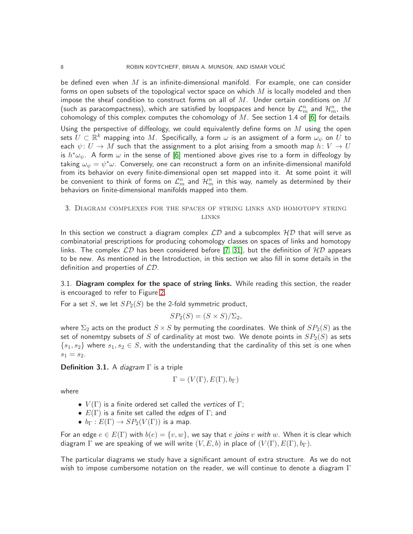be defined even when  $M$  is an infinite-dimensional manifold. For example, one can consider forms on open subsets of the topological vector space on which  $M$  is locally modeled and then impose the sheaf condition to construct forms on all of  $M$ . Under certain conditions on  $M$ (such as paracompactness), which are satisfied by loopspaces and hence by  $\mathcal{L}_m^n$  and  $\mathcal{H}_m^n$ , the cohomology of this complex computes the cohomology of  $M$ . See section 1.4 of [\[6\]](#page-63-9) for details.

Using the perspective of diffeology, we could equivalently define forms on  $M$  using the open sets  $U\subset \mathbb{R}^k$  mapping into  $M.$  Specifically, a form  $\omega$  is an assigment of a form  $\omega_\psi$  on  $U$  to each  $\psi: U \to M$  such that the assignment to a plot arising from a smooth map  $h: V \to U$ is  $h^*\omega_\psi$ . A form  $\omega$  in the sense of [\[6\]](#page-63-9) mentioned above gives rise to a form in diffeology by taking  $\omega_\psi = \psi^*\omega.$  Conversely, one can reconstruct a form on an infinite-dimensional manifold from its behavior on every finite-dimensional open set mapped into it. At some point it will be convenient to think of forms on  $\mathcal{L}_m^n$  and  $\mathcal{H}_m^n$  in this way, namely as determined by their behaviors on finite-dimensional manifolds mapped into them.

## <span id="page-7-0"></span>3. Diagram complexes for the spaces of string links and homotopy string links

In this section we construct a diagram complex  $\mathcal{LD}$  and a subcomplex  $\mathcal{HD}$  that will serve as combinatorial prescriptions for producing cohomology classes on spaces of links and homotopy links. The complex  $\mathcal{LD}$  has been considered before [\[7,](#page-63-1) [31\]](#page-64-1), but the definition of  $\mathcal{HD}$  appears to be new. As mentioned in the Introduction, in this section we also fill in some details in the definition and properties of  $\mathcal{LD}$ .

<span id="page-7-1"></span>3.1. Diagram complex for the space of string links. While reading this section, the reader is encouraged to refer to Figure [2.](#page-10-0)

For a set S, we let  $SP<sub>2</sub>(S)$  be the 2-fold symmetric product,

$$
SP_2(S) = (S \times S)/\Sigma_2,
$$

where  $\Sigma_2$  acts on the product  $S \times S$  by permuting the coordinates. We think of  $SP_2(S)$  as the set of nonemtpy subsets of S of cardinality at most two. We denote points in  $SP_2(S)$  as sets  $\{s_1, s_2\}$  where  $s_1, s_2 \in S$ , with the understanding that the cardinality of this set is one when  $s_1 = s_2.$ 

**Definition 3.1.** A diagram  $\Gamma$  is a triple

$$
\Gamma = (V(\Gamma), E(\Gamma), b_{\Gamma})
$$

where

- $V(\Gamma)$  is a finite ordered set called the vertices of  $\Gamma$ ;
- $E(\Gamma)$  is a finite set called the *edges* of  $\Gamma$ ; and
- $b_{\Gamma}: E(\Gamma) \rightarrow SP_2(V(\Gamma))$  is a map.

For an edge  $e \in E(\Gamma)$  with  $b(e) = \{v, w\}$ , we say that e joins v with w. When it is clear which diagram  $\Gamma$  we are speaking of we will write  $(V, E, b)$  in place of  $(V(\Gamma), E(\Gamma), b_{\Gamma})$ .

The particular diagrams we study have a significant amount of extra structure. As we do not wish to impose cumbersome notation on the reader, we will continue to denote a diagram  $\Gamma$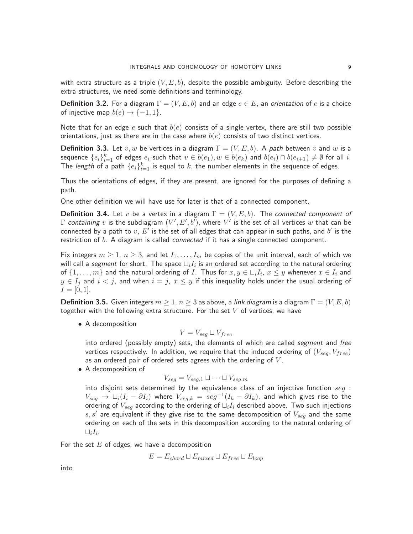with extra structure as a triple  $(V, E, b)$ , despite the possible ambiguity. Before describing the extra structures, we need some definitions and terminology.

**Definition 3.2.** For a diagram  $\Gamma = (V, E, b)$  and an edge  $e \in E$ , an orientation of e is a choice of injective map  $b(e) \rightarrow \{-1, 1\}$ .

Note that for an edge e such that  $b(e)$  consists of a single vertex, there are still two possible orientations, just as there are in the case where  $b(e)$  consists of two distinct vertices.

**Definition 3.3.** Let  $v, w$  be vertices in a diagram  $\Gamma = (V, E, b)$ . A path between v and w is a sequence  $\{e_i\}_{i=1}^k$  of edges  $e_i$  such that  $v\in b(e_1), w\in b(e_k)$  and  $b(e_i)\cap b(e_{i+1})\neq\emptyset$  for all  $i.$ The *length* of a path  $\{e_i\}_{i=1}^k$  is equal to  $k$ , the number elements in the sequence of edges.

Thus the orientations of edges, if they are present, are ignored for the purposes of defining a path.

One other definition we will have use for later is that of a connected component.

<span id="page-8-1"></span>**Definition 3.4.** Let v be a vertex in a diagram  $\Gamma = (V, E, b)$ . The connected component of  $\Gamma$  *containing*  $v$  is the subdiagram  $(V',E',b')$ , where  $V'$  is the set of all vertices  $w$  that can be connected by a path to  $v,\,E'$  is the set of all edges that can appear in such paths, and  $b'$  is the restriction of b. A diagram is called *connected* if it has a single connected component.

Fix integers  $m \geq 1$ ,  $n \geq 3$ , and let  $I_1, \ldots, I_m$  be copies of the unit interval, each of which we will call a *segment* for short. The space  $\sqcup_i I_i$  is an ordered set according to the natural ordering of  $\{1,\ldots,m\}$  and the natural ordering of  $I.$  Thus for  $x,y\in \sqcup_i I_i$ ,  $x\leq y$  whenever  $x\in I_i$  and  $y \in I_j$  and  $i < j$ , and when  $i = j$ ,  $x \le y$  if this inequality holds under the usual ordering of  $I = [0, 1].$ 

<span id="page-8-0"></span>**Definition 3.5.** Given integers  $m > 1$ ,  $n > 3$  as above, a link diagram is a diagram  $\Gamma = (V, E, b)$ together with the following extra structure. For the set  $V$  of vertices, we have

• A decomposition

$$
V = V_{seg} \sqcup V_{free}
$$

into ordered (possibly empty) sets, the elements of which are called *segment* and *free* vertices respectively. In addition, we require that the induced ordering of  $(V_{sea}, V_{free})$ as an ordered pair of ordered sets agrees with the ordering of  $V$ .

• A decomposition of

$$
V_{seg} = V_{seg,1} \sqcup \cdots \sqcup V_{seg,m}
$$

into disjoint sets determined by the equivalence class of an injective function  $seg$ :  $V_{seg}$   $\rightarrow$   $\sqcup_i(I_i - \partial I_i)$  where  $V_{seg,k} = seg^{-1}(I_k - \partial I_k)$ , and which gives rise to the ordering of  $V_{seg}$  according to the ordering of  $\Box_i I_i$  described above. Two such injections  $s, s^\prime$  are equivalent if they give rise to the same decomposition of  $V_{seg}$  and the same ordering on each of the sets in this decomposition according to the natural ordering of  $\sqcup_i I_i.$ 

For the set  $E$  of edges, we have a decomposition

$$
E = E_{chord} \sqcup E_{mixed} \sqcup E_{free} \sqcup E_{loop}
$$

into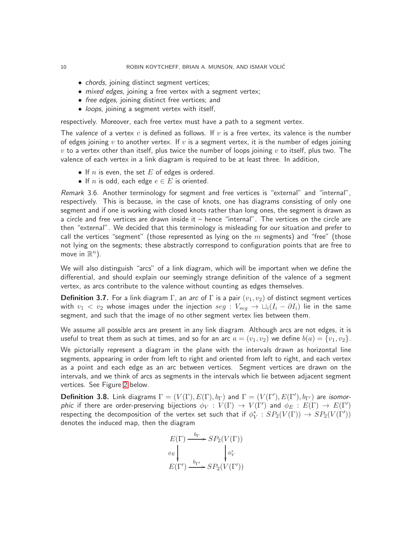- *chords*, joining distinct segment vertices;
- *mixed edges*, joining a free vertex with a segment vertex;
- free edges, joining distinct free vertices; and
- loops, joining a segment vertex with itself,

respectively. Moreover, each free vertex must have a path to a segment vertex.

The valence of a vertex v is defined as follows. If v is a free vertex, its valence is the number of edges joining v to another vertex. If v is a segment vertex, it is the number of edges joining  $v$  to a vertex other than itself, plus twice the number of loops joining  $v$  to itself, plus two. The valence of each vertex in a link diagram is required to be at least three. In addition,

- If n is even, the set  $E$  of edges is ordered.
- If n is odd, each edge  $e \in E$  is oriented.

Remark 3.6. Another terminology for segment and free vertices is "external" and "internal", respectively. This is because, in the case of knots, one has diagrams consisting of only one segment and if one is working with closed knots rather than long ones, the segment is drawn as a circle and free vertices are drawn inside it – hence "internal". The vertices on the circle are then "external". We decided that this terminology is misleading for our situation and prefer to call the vertices "segment" (those represented as lying on the  $m$  segments) and "free" (those not lying on the segments; these abstractly correspond to configuration points that are free to move in  $\mathbb{R}^n$ ).

We will also distinguish "arcs" of a link diagram, which will be important when we define the differential, and should explain our seemingly strange definition of the valence of a segment vertex, as arcs contribute to the valence without counting as edges themselves.

**Definition 3.7.** For a link diagram Γ, an arc of Γ is a pair  $(v_1, v_2)$  of distinct segment vertices with  $v_1 < v_2$  whose images under the injection  $seg : V_{seq} \rightarrow \sqcup_i (I_i - \partial I_i)$  lie in the same segment, and such that the image of no other segment vertex lies between them.

We assume all possible arcs are present in any link diagram. Although arcs are not edges, it is useful to treat them as such at times, and so for an arc  $a = (v_1, v_2)$  we define  $b(a) = \{v_1, v_2\}$ .

We pictorially represent a diagram in the plane with the intervals drawn as horizontal line segments, appearing in order from left to right and oriented from left to right, and each vertex as a point and each edge as an arc between vertices. Segment vertices are drawn on the intervals, and we think of arcs as segments in the intervals which lie between adjacent segment vertices. See Figure [2](#page-10-0) below.

<span id="page-9-0"></span>**Definition 3.8.** Link diagrams  $\Gamma = (V(\Gamma), E(\Gamma), b_{\Gamma})$  and  $\Gamma = (V(\Gamma'), E(\Gamma'), b_{\Gamma'})$  are *isomor*phic if there are order-preserving bijections  $\phi_V:V(\Gamma)\to V(\Gamma')$  and  $\phi_E:E(\Gamma)\to E(\Gamma')$ respecting the decomposition of the vertex set such that if  $\phi_V^*: SP_2(V(\Gamma)) \to SP_2(V(\Gamma'))$ denotes the induced map, then the diagram

$$
E(\Gamma) \xrightarrow{b_{\Gamma}} SP_2(V(\Gamma))
$$
  
\n
$$
\phi_E \downarrow \qquad \qquad \downarrow \phi_V^*
$$
  
\n
$$
E(\Gamma') \xrightarrow{b_{\Gamma'}} SP_2(V(\Gamma'))
$$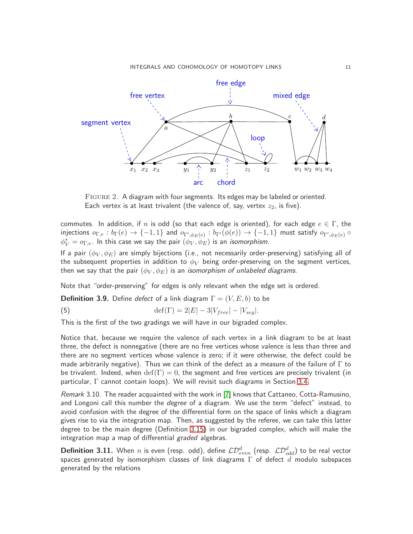

<span id="page-10-0"></span>Figure 2. A diagram with four segments. Its edges may be labeled or oriented. Each vertex is at least trivalent (the valence of, say, vertex  $z_2$ , is five).

commutes. In addition, if n is odd (so that each edge is oriented), for each edge  $e \in \Gamma$ , the injections  $o_{\Gamma,e}:b_\Gamma(e)\to\{-1,1\}$  and  $o_{\Gamma',\phi_E(e)}:b_{\Gamma'}(\phi(e))\to\{-1,1\}$  must satisfy  $o_{\Gamma',\phi_E(e)}\circ$  $\phi_V^* = o_{\Gamma,e}$ . In this case we say the pair  $(\phi_V, \phi_E)$  is an *isomorphism*.

If a pair  $(\phi_V, \phi_E)$  are simply bijections (i.e., not necessarily order-preserving) satisfying all of the subsequent properties in addition to  $\phi_V$  being order-preserving on the segment vertices, then we say that the pair  $(\phi_V, \phi_E)$  is an *isomorphism of unlabeled diagrams*.

Note that "order-preserving" for edges is only relevant when the edge set is ordered.

**Definition 3.9.** Define defect of a link diagram  $\Gamma = (V, E, b)$  to be

<span id="page-10-1"></span>(5)  $\det(\Gamma) = 2|E| - 3|V_{free}| - |V_{sea}|.$ 

This is the first of the two gradings we will have in our bigraded complex.

Notice that, because we require the valence of each vertex in a link diagram to be at least three, the defect is nonnegative (there are no free vertices whose valence is less than three and there are no segment vertices whose valence is zero; if it were otherwise, the defect could be made arbitrarily negative). Thus we can think of the defect as a measure of the failure of  $\Gamma$  to be trivalent. Indeed, when  $\text{def}(\Gamma) = 0$ , the segment and free vertices are precisely trivalent (in particular, Γ cannot contain loops). We will revisit such diagrams in Section [3.4.](#page-17-0)

Remark 3.10. The reader acquainted with the work in [\[7\]](#page-63-1) knows that Cattaneo, Cotta-Ramusino, and Longoni call this number the *degree* of a diagram. We use the term "defect" instead, to avoid confusion with the degree of the differential form on the space of links which a diagram gives rise to via the integration map. Then, as suggested by the referee, we can take this latter degree to be the main degree (Definition [3.15\)](#page-12-1) in our bigraded complex, which will make the integration map a map of differential graded algebras.

<span id="page-10-2"></span>**Definition 3.11.** When  $n$  is even (resp. odd), define  $\mathcal{LD}_{even}^d$  (resp.  $\mathcal{LD}_{odd}^d$ ) to be real vector spaces generated by isomorphism classes of link diagrams  $\Gamma$  of defect  $d$  modulo subspaces generated by the relations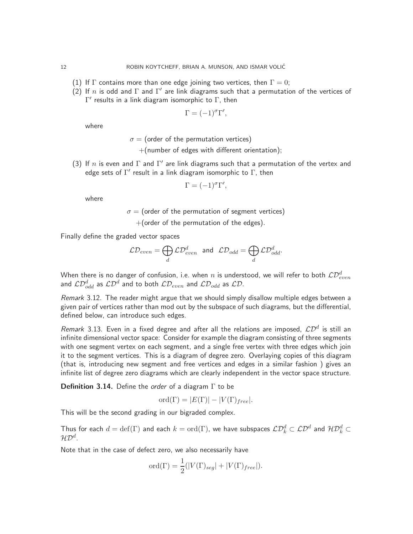- (1) If  $\Gamma$  contains more than one edge joining two vertices, then  $\Gamma = 0$ ;
- (2) If n is odd and  $\Gamma$  and  $\Gamma'$  are link diagrams such that a permutation of the vertices of  $\Gamma'$  results in a link diagram isomorphic to  $\Gamma$ , then

$$
\Gamma = (-1)^{\sigma} \Gamma',
$$

where

 $\sigma$  = (order of the permutation vertices)

+(number of edges with different orientation);

(3) If  $n$  is even and  $\Gamma$  and  $\Gamma'$  are link diagrams such that a permutation of the vertex and edge sets of  $\Gamma'$  result in a link diagram isomorphic to  $\Gamma$ , then

$$
\Gamma = (-1)^{\sigma} \Gamma',
$$

where

 $\sigma$  = (order of the permutation of segment vertices)  $+$ (order of the permutation of the edges).

Finally define the graded vector spaces

$$
\mathcal{L}\mathcal{D}_{even} = \bigoplus_d \mathcal{L}\mathcal{D}_{even}^d \ \ \text{and} \ \ \mathcal{L}\mathcal{D}_{odd} = \bigoplus_d \mathcal{L}\mathcal{D}_{odd}^d.
$$

When there is no danger of confusion, i.e. when  $n$  is understood, we will refer to both  $\mathcal{LD}^d_{even}$  and  $\mathcal{LD}^d_{odd}$  as  $\mathcal{LD}^d$  and to both  $\mathcal{LD}_{even}$  and  $\mathcal{LD}_{odd}$  as  $\mathcal{LD}.$ 

Remark 3.12. The reader might argue that we should simply disallow multiple edges between a given pair of vertices rather than mod out by the subspace of such diagrams, but the differential, defined below, can introduce such edges.

Remark 3.13. Even in a fixed degree and after all the relations are imposed,  $\mathcal{LD}^d$  is still an infinite dimensional vector space: Consider for example the diagram consisting of three segments with one segment vertex on each segment, and a single free vertex with three edges which join it to the segment vertices. This is a diagram of degree zero. Overlaying copies of this diagram (that is, introducing new segment and free vertices and edges in a similar fashion ) gives an infinite list of degree zero diagrams which are clearly independent in the vector space structure.

**Definition 3.14.** Define the *order* of a diagram  $\Gamma$  to be

$$
\mathrm{ord}(\Gamma) = |E(\Gamma)| - |V(\Gamma)_{free}|.
$$

This will be the second grading in our bigraded complex.

Thus for each  $d=\text{def}(\Gamma)$  and each  $k=\text{ord}(\Gamma)$ , we have subspaces  $\mathcal{LD}_k^d\subset\mathcal{LD}^d$  and  $\mathcal{HD}_k^d\subset$  $\mathcal{HD}^d.$ 

Note that in the case of defect zero, we also necessarily have

$$
\text{ord}(\Gamma) = \frac{1}{2}(|V(\Gamma)_{seg}| + |V(\Gamma)_{free}|).
$$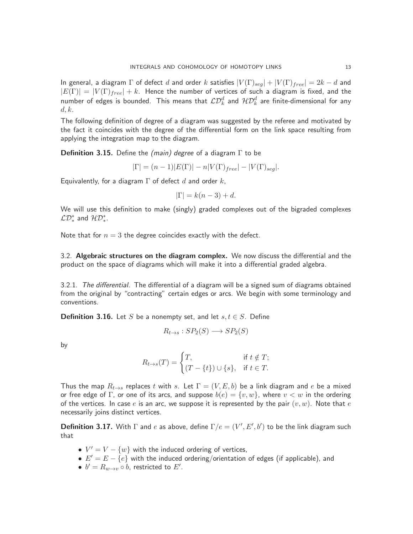In general, a diagram  $\Gamma$  of defect d and order k satisfies  $|V(\Gamma)_{seg}| + |V(\Gamma)_{free}| = 2k - d$  and  $|E(\Gamma)| = |V(\Gamma)|_{free} + k$ . Hence the number of vertices of such a diagram is fixed, and the number of edges is bounded. This means that  $\mathcal{LD}_k^d$  and  $\mathcal{HD}_k^d$  are finite-dimensional for any  $d, k$ .

The following definition of degree of a diagram was suggested by the referee and motivated by the fact it coincides with the degree of the differential form on the link space resulting from applying the integration map to the diagram.

<span id="page-12-1"></span>**Definition 3.15.** Define the (main) degree of a diagram  $\Gamma$  to be

$$
|\Gamma| = (n-1)|E(\Gamma)| - n|V(\Gamma)_{free}| - |V(\Gamma)_{seg}|.
$$

Equivalently, for a diagram  $\Gamma$  of defect d and order k,

$$
|\Gamma| = k(n-3) + d.
$$

We will use this definition to make (singly) graded complexes out of the bigraded complexes  $\mathcal{LD}_{*}^{*}$  and  $\mathcal{HD}_{*}^{*}$ .

<span id="page-12-0"></span>Note that for  $n = 3$  the degree coincides exactly with the defect.

3.2. Algebraic structures on the diagram complex. We now discuss the differential and the product on the space of diagrams which will make it into a differential graded algebra.

3.2.1. The differential. The differential of a diagram will be a signed sum of diagrams obtained from the original by "contracting" certain edges or arcs. We begin with some terminology and conventions.

**Definition 3.16.** Let S be a nonempty set, and let  $s, t \in S$ . Define

$$
R_{t \to s} : SP_2(S) \longrightarrow SP_2(S)
$$

by

$$
R_{t \to s}(T) = \begin{cases} T, & \text{if } t \notin T; \\ (T - \{t\}) \cup \{s\}, & \text{if } t \in T. \end{cases}
$$

Thus the map  $R_{t\to s}$  replaces t with s. Let  $\Gamma = (V, E, b)$  be a link diagram and e be a mixed or free edge of Γ, or one of its arcs, and suppose  $b(e) = \{v, w\}$ , where  $v < w$  in the ordering of the vertices. In case e is an arc, we suppose it is represented by the pair  $(v, w)$ . Note that e necessarily joins distinct vertices.

**Definition 3.17.** With  $\Gamma$  and e as above, define  $\Gamma/e = (V', E', b')$  to be the link diagram such that

- $V' = V \{w\}$  with the induced ordering of vertices,
- $E' = E \{e\}$  with the induced ordering/orientation of edges (if applicable), and
- $b'=R_{w\to v}\circ b$ , restricted to  $E'.$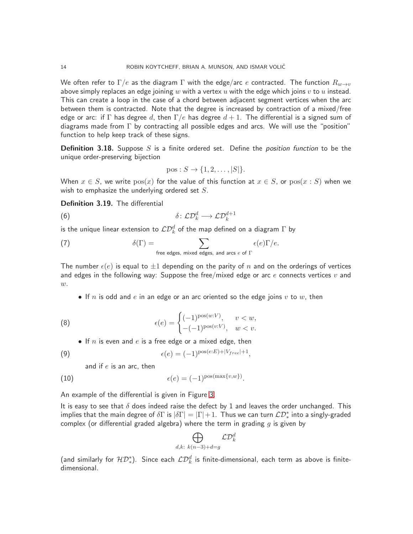We often refer to  $\Gamma/e$  as the diagram  $\Gamma$  with the edge/arc e contracted. The function  $R_{w\to v}$ above simply replaces an edge joining w with a vertex u with the edge which joins  $v$  to u instead. This can create a loop in the case of a chord between adjacent segment vertices when the arc between them is contracted. Note that the degree is increased by contraction of a mixed/free edge or arc: if  $\Gamma$  has degree d, then  $\Gamma/e$  has degree  $d+1$ . The differential is a signed sum of diagrams made from  $\Gamma$  by contracting all possible edges and arcs. We will use the "position" function to help keep track of these signs.

**Definition 3.18.** Suppose S is a finite ordered set. Define the *position function* to be the unique order-preserving bijection

$$
pos: S \to \{1, 2, \ldots, |S|\}.
$$

When  $x \in S$ , we write  $pos(x)$  for the value of this function at  $x \in S$ , or  $pos(x : S)$  when we wish to emphasize the underlying ordered set  $S$ .

Definition 3.19. The differential

$$
\delta \colon \mathcal{LD}_{k}^{d} \longrightarrow \mathcal{LD}_{k}^{d+1}
$$

is the unique linear extension to  $\mathcal{LD}_k^d$  of the map defined on a diagram  $\Gamma$  by

(7) 
$$
\delta(\Gamma) = \sum_{\text{free edges, mixed edges, and arcs } e \text{ of } \Gamma} \epsilon(e)\Gamma/e.
$$

The number  $\epsilon(e)$  is equal to  $\pm 1$  depending on the parity of n and on the orderings of vertices and edges in the following way: Suppose the free/mixed edge or arc  $e$  connects vertices  $v$  and  $w$ .

• If n is odd and e in an edge or an arc oriented so the edge joins  $v$  to  $w$ , then

(8) 
$$
\epsilon(e) = \begin{cases} (-1)^{\text{pos}(w:V)}, & v < w, \\ -(-1)^{\text{pos}(v:V)}, & w < v. \end{cases}
$$

• If  $n$  is even and  $e$  is a free edge or a mixed edge, then

$$
\epsilon(e) = (-1)^{\text{pos}(e:E) + |V_{free}| + 1}
$$

and if  $e$  is an arc, then

(10) 
$$
\epsilon(e) = (-1)^{\text{pos}(\max\{v,w\})}.
$$

An example of the differential is given in Figure [3.](#page-14-0)

It is easy to see that  $\delta$  does indeed raise the defect by 1 and leaves the order unchanged. This implies that the main degree of  $\delta\Gamma$  is  $|\delta\Gamma|=|\Gamma|+1.$  Thus we can turn  $\mathcal{LD}_*^*$  into a singly-graded complex (or differential graded algebra) where the term in grading  $q$  is given by

,

$$
\bigoplus_{d,k: k(n-3)+d=g} \mathcal{L} \mathcal{D}_k^d
$$

(and similarly for  ${\cal HD}^*_{*}$ ). Since each  $\mathcal{LD}^d_k$  is finite-dimensional, each term as above is finitedimensional.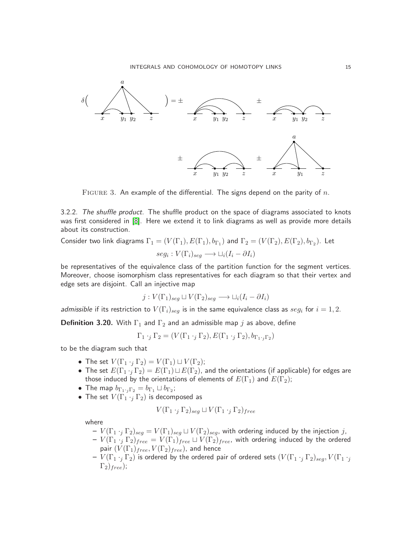

<span id="page-14-0"></span>FIGURE 3. An example of the differential. The signs depend on the parity of  $n$ .

3.2.2. The shuffle product. The shuffle product on the space of diagrams associated to knots was first considered in [\[8\]](#page-63-3). Here we extend it to link diagrams as well as provide more details about its construction.

Consider two link diagrams  $\Gamma_1=(V(\Gamma_1),E(\Gamma_1),b_{\Gamma_1})$  and  $\Gamma_2=(V(\Gamma_2),E(\Gamma_2),b_{\Gamma_2})$ . Let

$$
seg_i: V(\Gamma_i)_{seg} \longrightarrow \sqcup_i (I_i - \partial I_i)
$$

be representatives of the equivalence class of the partition function for the segment vertices. Moreover, choose isomorphism class representatives for each diagram so that their vertex and edge sets are disjoint. Call an injective map

$$
j: V(\Gamma_1)_{seg} \sqcup V(\Gamma_2)_{seg} \longrightarrow \sqcup_i (I_i - \partial I_i)
$$

*admissible* if its restriction to  $V(\Gamma_i)_{seg}$  is in the same equivalence class as  $seg_i$  for  $i=1,2.$ 

**Definition 3.20.** With  $\Gamma_1$  and  $\Gamma_2$  and an admissible map j as above, define

$$
\Gamma_1 \cdot_j \Gamma_2 = (V(\Gamma_1 \cdot_j \Gamma_2), E(\Gamma_1 \cdot_j \Gamma_2), b_{\Gamma_1 \cdot_j \Gamma_2})
$$

to be the diagram such that

- The set  $V(\Gamma_1 \cdot_i \Gamma_2) = V(\Gamma_1) \sqcup V(\Gamma_2)$ ;
- The set  $E(\Gamma_1 \cdot_i \Gamma_2) = E(\Gamma_1) \sqcup E(\Gamma_2)$ , and the orientations (if applicable) for edges are those induced by the orientations of elements of  $E(\Gamma_1)$  and  $E(\Gamma_2)$ ;
- $\bullet\,$  The map  $b_{\Gamma_1\cdot {}_j\Gamma_2} = b_{\Gamma_1}\sqcup b_{\Gamma_2};$
- The set  $V(\Gamma_1 \cdot_i \Gamma_2)$  is decomposed as

$$
V(\Gamma_1 \cdot_j \Gamma_2)_{seg} \sqcup V(\Gamma_1 \cdot_j \Gamma_2)_{free}
$$

where

- $-V(\Gamma_1 \cdot_j \Gamma_2)_{seg} = V(\Gamma_1)_{seg} \sqcup V(\Gamma_2)_{seg}$ , with ordering induced by the injection j,  $-V(\Gamma_1\cdot_j\Gamma_2)_{free}=V(\Gamma_1)_{free}\sqcup V(\Gamma_2)_{free}$ , with ordering induced by the ordered pair  $(V(\Gamma_1)_{free}, V(\Gamma_2)_{free})$ , and hence
- $-V(\Gamma_1 \cdot_i \Gamma_2)$  is ordered by the ordered pair of ordered sets  $(V(\Gamma_1 \cdot_i \Gamma_2)_{seq}, V(\Gamma_1 \cdot_i$  $\Gamma_2$ )<sub>free</sub>);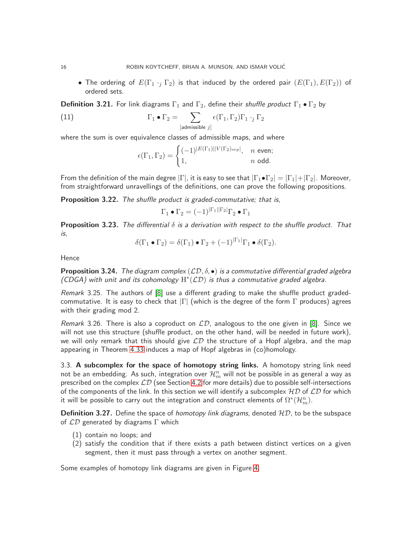• The ordering of  $E(\Gamma_1 \cdot_i \Gamma_2)$  is that induced by the ordered pair  $(E(\Gamma_1), E(\Gamma_2))$  of ordered sets.

<span id="page-15-2"></span>**Definition 3.21.** For link diagrams  $\Gamma_1$  and  $\Gamma_2$ , define their *shuffle product*  $\Gamma_1 \bullet \Gamma_2$  by

(11) 
$$
\Gamma_1 \bullet \Gamma_2 = \sum_{[\text{admissible } j]} \epsilon(\Gamma_1, \Gamma_2) \Gamma_1 \cdot_j \Gamma_2
$$

where the sum is over equivalence classes of admissible maps, and where

$$
\epsilon(\Gamma_1, \Gamma_2) = \begin{cases} (-1)^{|E(\Gamma_1)| |V(\Gamma_2)_{seg}|}, & n \text{ even;} \\ 1, & n \text{ odd.} \end{cases}
$$

From the definition of the main degree  $|\Gamma|$ , it is easy to see that  $|\Gamma_1 \bullet \Gamma_2| = |\Gamma_1| + |\Gamma_2|$ . Moreover, from straightforward unravellings of the definitions, one can prove the following propositions.

Proposition 3.22. The shuffle product is graded-commutative; that is,

$$
\Gamma_1 \bullet \Gamma_2 = (-1)^{|\Gamma_1||\Gamma_2|} \Gamma_2 \bullet \Gamma_1
$$

**Proposition 3.23.** The differential  $\delta$  is a derivation with respect to the shuffle product. That is,

$$
\delta(\Gamma_1 \bullet \Gamma_2) = \delta(\Gamma_1) \bullet \Gamma_2 + (-1)^{|\Gamma_1|} \Gamma_1 \bullet \delta(\Gamma_2).
$$

Hence

**Proposition 3.24.** The diagram complex  $(\mathcal{LD}, \delta, \bullet)$  is a commutative differential graded algebra (CDGA) with unit and its cohomology  $H^*(\mathcal{LD})$  is thus a commutative graded algebra.

Remark 3.25. The authors of [\[8\]](#page-63-3) use a different grading to make the shuffle product gradedcommutative. It is easy to check that  $|\Gamma|$  (which is the degree of the form  $\Gamma$  produces) agrees with their grading mod 2.

Remark 3.26. There is also a coproduct on  $\mathcal{LD}$ , analogous to the one given in [\[8\]](#page-63-3). Since we will not use this structure (shuffle product, on the other hand, will be needed in future work), we will only remark that this should give  $LD$  the structure of a Hopf algebra, and the map appearing in Theorem [4.33](#page-50-0) induces a map of Hopf algebras in (co)homology.

<span id="page-15-0"></span>3.3. A subcomplex for the space of homotopy string links. A homotopy string link need not be an embedding. As such, integration over  $\mathcal{H}_m^n$  will not be possible in as general a way as prescribed on the complex  $\mathcal{LD}$  (see Section [4.2](#page-28-0) for more details) due to possible self-intersections of the components of the link. In this section we will identify a subcomplex  $HD$  of  $LD$  for which it will be possible to carry out the integration and construct elements of  $\Omega^*(\mathcal{H}_m^n).$ 

<span id="page-15-1"></span>**Definition 3.27.** Define the space of *homotopy link diagrams*, denoted  $HD$ , to be the subspace of  $\mathcal{LD}$  generated by diagrams  $\Gamma$  which

- (1) contain no loops; and
- (2) satisfy the condition that if there exists a path between distinct vertices on a given segment, then it must pass through a vertex on another segment.

Some examples of homotopy link diagrams are given in Figure [4.](#page-16-0)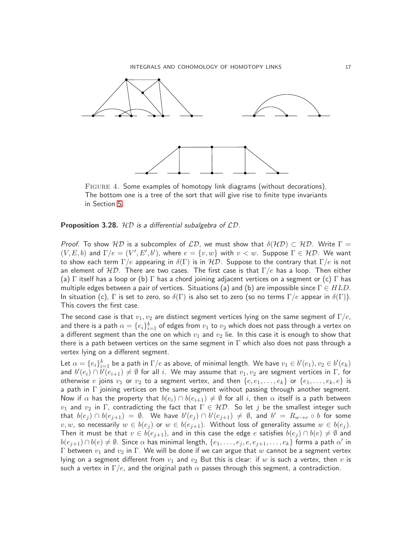

<span id="page-16-0"></span>Figure 4. Some examples of homotopy link diagrams (without decorations). The bottom one is a tree of the sort that will give rise to finite type invariants in Section [5.](#page-51-0)

#### **Proposition 3.28.**  $HD$  is a differential subalgebra of  $LD$ .

Proof. To show HD is a subcomplex of LD, we must show that  $\delta(HD) \subset HD$ . Write  $\Gamma =$  $(V, E, b)$  and  $\Gamma/e = (V', E', b')$ , where  $e = \{v, w\}$  with  $v < w$ . Suppose  $\Gamma \in \mathcal{HD}$ . We want to show each term  $\Gamma/e$  appearing in  $\delta(\Gamma)$  is in  $\mathcal{HD}$ . Suppose to the contrary that  $\Gamma/e$  is not an element of  $HD$ . There are two cases. The first case is that  $\Gamma/e$  has a loop. Then either (a) Γ itself has a loop or (b) Γ has a chord joining adjacent vertices on a segment or (c) Γ has multiple edges between a pair of vertices. Situations (a) and (b) are impossible since  $\Gamma \in HLD$ . In situation (c),  $\Gamma$  is set to zero, so  $\delta(\Gamma)$  is also set to zero (so no terms  $\Gamma/e$  appear in  $\delta(\Gamma)$ ). This covers the first case.

The second case is that  $v_1, v_2$  are distinct segment vertices lying on the same segment of  $\Gamma/e$ , and there is a path  $\alpha=\{e_i\}_{i=1}^k$  of edges from  $v_1$  to  $v_2$  which does not pass through a vertex on a different segment than the one on which  $v_1$  and  $v_2$  lie. In this case it is enough to show that there is a path between vertices on the same segment in  $\Gamma$  which also does not pass through a vertex lying on a different segment.

Let  $\alpha=\{e_i\}_{i=1}^k$  be a path in  $\Gamma/e$  as above, of minimal length. We have  $v_1\in b'(e_1), v_2\in b'(e_k)$ and  $b'(e_i) \cap b'(e_{i+1}) \neq \emptyset$  for all  $i.$  We may assume that  $v_1,v_2$  are segment vertices in  $\Gamma,$  for otherwise e joins  $v_1$  or  $v_2$  to a segment vertex, and then  $\{e, e_1, \ldots, e_k\}$  or  $\{e_1, \ldots, e_k, e\}$  is a path in  $\Gamma$  joining vertices on the same segment without passing through another segment. Now if  $\alpha$  has the property that  $b(e_i) \cap b(e_{i+1}) \neq \emptyset$  for all i, then  $\alpha$  itself is a path between  $v_1$  and  $v_2$  in  $\Gamma$ , contradicting the fact that  $\Gamma \in \mathcal{HD}$ . So let j be the smallest integer such that  $b(e_j) \cap b(e_{j+1}) = \emptyset$ . We have  $b'(e_j) \cap b'(e_{j+1}) \neq \emptyset$ , and  $b' = R_{w \to v} \circ b$  for some  $v, w$ , so necessarily  $w \in b(e_j)$  or  $w \in b(e_{j+1})$ . Without loss of generality assume  $w \in b(e_j)$ . Then it must be that  $v \in b(e_{i+1})$ , and in this case the edge e satisfies  $b(e_i) \cap b(e) \neq \emptyset$  and  $b(e_{j+1})\cap b(e)\neq\emptyset$ . Since  $\alpha$  has minimal length,  $\{e_1,\ldots,e_j,e,e_{j+1},\ldots,e_k\}$  forms a path  $\alpha'$  in Γ between  $v_1$  and  $v_2$  in Γ. We will be done if we can argue that w cannot be a segment vertex lying on a segment different from  $v_1$  and  $v_2$  But this is clear: if w is such a vertex, then  $v$  is such a vertex in  $\Gamma/e$ , and the original path  $\alpha$  passes through this segment, a contradiction.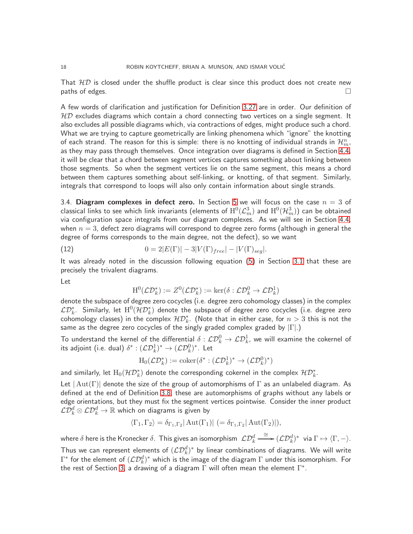That  $HD$  is closed under the shuffle product is clear since this product does not create new paths of edges.  $\Box$ 

A few words of clarification and justification for Definition [3.27](#page-15-1) are in order. Our definition of  $HD$  excludes diagrams which contain a chord connecting two vertices on a single segment. It also excludes all possible diagrams which, via contractions of edges, might produce such a chord. What we are trying to capture geometrically are linking phenomena which "ignore" the knotting of each strand. The reason for this is simple: there is no knotting of individual strands in  $\mathcal{H}_m^n$ , as they may pass through themselves. Once integration over diagrams is defined in Section [4.4,](#page-41-0) it will be clear that a chord between segment vertices captures something about linking between those segments. So when the segment vertices lie on the same segment, this means a chord between them captures something about self-linking, or knotting, of that segment. Similarly, integrals that correspond to loops will also only contain information about single strands.

<span id="page-17-0"></span>3.4. Diagram complexes in defect zero. In Section [5](#page-51-0) we will focus on the case  $n = 3$  of classical links to see which link invariants (elements of  $\mathrm{H}^0(\mathcal{L}^3_m)$  and  $\mathrm{H}^0(\mathcal{H}^3_m))$  can be obtained via configuration space integrals from our diagram complexes. As we will see in Section [4.4,](#page-41-0) when  $n = 3$ , defect zero diagrams will correspond to degree zero forms (although in general the degree of forms corresponds to the main degree, not the defect), so we want

(12) 
$$
0 = 2|E(\Gamma)| - 3|V(\Gamma)_{free}| - |V(\Gamma)_{seg}|.
$$

It was already noted in the discussion following equation [\(5\)](#page-10-1) in Section [3.1](#page-7-1) that these are precisely the trivalent diagrams.

Let

$$
\mathrm{H}^0(\mathcal{L}\mathcal{D}_k^*) := Z^0(\mathcal{L}\mathcal{D}_k^*) := \ker(\delta : \mathcal{L}\mathcal{D}_k^0 \to \mathcal{L}\mathcal{D}_k^1)
$$

denote the subspace of degree zero cocycles (i.e. degree zero cohomology classes) in the complex  $\mathcal{LD}_k^*.$  Similarly, let  $\mathrm{H}^0(\mathcal{HD}_k^*)$  denote the subspace of degree zero cocycles (i.e. degree zero cohomology classes) in the complex  $\mathcal{HD}_k^*$ . (Note that in either case, for  $n>3$  this is not the same as the degree zero cocycles of the singly graded complex graded by  $|\Gamma|$ .)

To understand the kernel of the differential  $\delta: \mathcal{LD}_k^0 \to \mathcal{LD}_k^1$ , we will examine the cokernel of its adjoint (i.e. dual)  $\delta^*:(\mathcal{LD}_k^1)^*\rightarrow(\mathcal{LD}_k^0)^*.$  Let

$$
H_0(\mathcal{LD}_k^*) := \mathrm{coker}(\delta^* : (\mathcal{LD}_k^1)^* \to (\mathcal{LD}_k^0)^*)
$$

and similarly, let  $\mathrm{H}_0(\mathcal{HD}_k^*)$  denote the corresponding cokernel in the complex  $\mathcal{HD}_k^*.$ 

Let  $|\text{Aut}(\Gamma)|$  denote the size of the group of automorphisms of  $\Gamma$  as an unlabeled diagram. As defined at the end of Definition [3.8,](#page-9-0) these are automorphisms of graphs without any labels or edge orientations, but they must fix the segment vertices pointwise. Consider the inner product  $\mathcal{L} \overline{\mathcal{D}^d_k} \otimes \mathcal{L} \mathcal{D}^d_k \to \mathbb{R}$  which on diagrams is given by

$$
\langle \Gamma_1, \Gamma_2 \rangle = \delta_{\Gamma_1, \Gamma_2} |\operatorname{Aut}(\Gamma_1)| \ (= \delta_{\Gamma_1, \Gamma_2} |\operatorname{Aut}(\Gamma_2)|),
$$

where  $\delta$  here is the Kronecker  $\delta$ . This gives an isomorphism  $\ \mathcal L \mathcal D_k^d \stackrel{\cong}{\longrightarrow} (\mathcal L \mathcal D_k^d)^* \ \$ via  $\Gamma \mapsto \langle \Gamma,-\rangle.$ Thus we can represent elements of  $(\mathcal{L}\mathcal{D}_k^d)^*$  by linear combinations of diagrams. We will write  $\Gamma^*$  for the element of  $(\mathcal{L}\mathcal{D}_k^d)^*$  which is the image of the diagram  $\Gamma$  under this isomorphism. For the rest of Section [3,](#page-7-0) a drawing of a diagram  $\Gamma$  will often mean the element  $\Gamma^*.$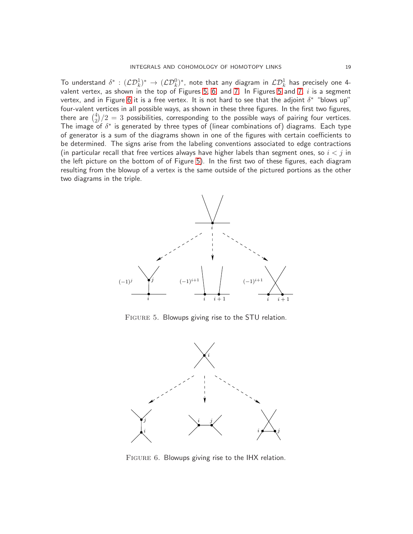To understand  $\delta^*:(\mathcal{LD}_k^1)^*\to(\mathcal{LD}_k^0)^*$ , note that any diagram in  $\mathcal{LD}_k^1$  has precisely one 4-valent vertex, as shown in the top of Figures [5,](#page-18-0) [6,](#page-18-1) and [7.](#page-19-0) In Figures [5](#page-18-0) and [7,](#page-19-0)  $i$  is a segment vertex, and in Figure [6](#page-18-1) it is a free vertex. It is not hard to see that the adjoint  $\delta^*$  "blows up" four-valent vertices in all possible ways, as shown in these three figures. In the first two figures, there are  $\binom{4}{2}$  $\binom{4}{2}/2 = 3$  possibilities, corresponding to the possible ways of pairing four vertices. The image of  $\delta^*$  is generated by three types of (linear combinations of) diagrams. Each type of generator is a sum of the diagrams shown in one of the figures with certain coefficients to be determined. The signs arise from the labeling conventions associated to edge contractions (in particular recall that free vertices always have higher labels than segment ones, so  $i < j$  in the left picture on the bottom of of Figure [5\)](#page-18-0). In the first two of these figures, each diagram resulting from the blowup of a vertex is the same outside of the pictured portions as the other two diagrams in the triple.



<span id="page-18-0"></span>Figure 5. Blowups giving rise to the STU relation.



<span id="page-18-1"></span>FIGURE 6. Blowups giving rise to the IHX relation.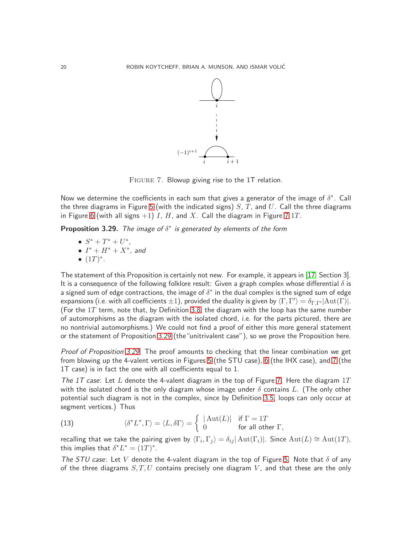

<span id="page-19-0"></span>FIGURE 7. Blowup giving rise to the 1T relation.

Now we determine the coefficients in each sum that gives a generator of the image of  $\delta^*$ . Call the three diagrams in Figure [5](#page-18-0) (with the indicated signs)  $S, T$ , and U. Call the three diagrams in Figure [6](#page-18-1) (with all signs  $+1$ ) I, H, and X. Call the diagram in Figure [7](#page-19-0) 1T.

<span id="page-19-1"></span>**Proposition 3.29.** The image of  $\delta^*$  is generated by elements of the form

- $S^* + T^* + U^*$ ,
- $I^* + H^* + X^*$ , and

$$
\bullet
$$
  $(1T)^{*}$ .

The statement of this Proposition is certainly not new. For example, it appears in [\[17,](#page-63-11) Section 3]. It is a consequence of the following folklore result: Given a graph complex whose differential  $\delta$  is a signed sum of edge contractions, the image of  $\delta^*$  in the dual complex is the signed sum of edge expansions (i.e. with all coefficients  $\pm 1$ ), provided the duality is given by  $\langle \Gamma,\Gamma'\rangle=\delta_{\Gamma,\Gamma'}|\mathrm{Aut}(\Gamma)|.$ (For the  $1T$  term, note that, by Definition [3.8,](#page-9-0) the diagram with the loop has the same number of automorphisms as the diagram with the isolated chord, i.e. for the parts pictured, there are no nontrivial automorphisms.) We could not find a proof of either this more general statement or the statement of Proposition [3.29](#page-19-1) (the"unitrivalent case"), so we prove the Proposition here.

Proof of Proposition [3.29.](#page-19-1) The proof amounts to checking that the linear combination we get from blowing up the 4-valent vertices in Figures [5](#page-18-0) (the STU case), [6](#page-18-1) (the IHX case), and [7](#page-19-0) (the 1T case) is in fact the one with all coefficients equal to 1.

The 1T case: Let L denote the 4-valent diagram in the top of Figure [7.](#page-19-0) Here the diagram  $1T$ with the isolated chord is the only diagram whose image under  $\delta$  contains L. (The only other potential such diagram is not in the complex, since by Definition [3.5,](#page-8-0) loops can only occur at segment vertices.) Thus

(13) 
$$
\langle \delta^* L^*, \Gamma \rangle = \langle L, \delta \Gamma \rangle = \begin{cases} |\operatorname{Aut}(L)| & \text{if } \Gamma = 1T \\ 0 & \text{for all other } \Gamma, \end{cases}
$$

recalling that we take the pairing given by  $\langle \Gamma_i, \Gamma_j \rangle = \delta_{ij} |\text{Aut}(\Gamma_i)|$ . Since  $\text{Aut}(L) \cong \text{Aut}(1T)$ , this implies that  $\delta^* L^* = (1T)^*$ .

The STU case: Let V denote the 4-valent diagram in the top of Figure [5.](#page-18-0) Note that  $\delta$  of any of the three diagrams  $S, T, U$  contains precisely one diagram V, and that these are the only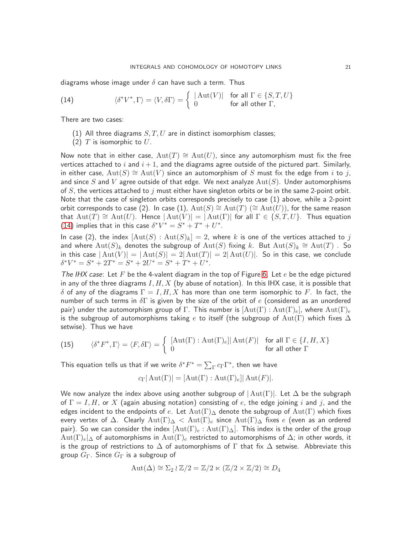diagrams whose image under  $\delta$  can have such a term. Thus

<span id="page-20-0"></span>(14) 
$$
\langle \delta^* V^*, \Gamma \rangle = \langle V, \delta \Gamma \rangle = \begin{cases} |\operatorname{Aut}(V)| & \text{for all } \Gamma \in \{S, T, U\} \\ 0 & \text{for all other } \Gamma, \end{cases}
$$

There are two cases:

- (1) All three diagrams  $S, T, U$  are in distinct isomorphism classes;
- (2)  $T$  is isomorphic to  $U$ .

Now note that in either case,  $Aut(T) \cong Aut(U)$ , since any automorphism must fix the free vertices attached to i and  $i + 1$ , and the diagrams agree outside of the pictured part. Similarly, in either case,  $Aut(S) \cong Aut(V)$  since an automorphism of S must fix the edge from i to j, and since S and V agree outside of that edge. We next analyze  $Aut(S)$ . Under automorphisms of  $S$ , the vertices attached to j must either have singleton orbits or be in the same 2-point orbit. Note that the case of singleton orbits corresponds precisely to case (1) above, while a 2-point orbit corresponds to case (2). In case (1),  ${\rm Aut}(S) \cong {\rm Aut}(T)$  ( $\cong {\rm Aut}(U)$ ), for the same reason that  ${\rm Aut}(T) \cong {\rm Aut}(U)$ . Hence  $|{\rm Aut}(V)| = |{\rm Aut}(\Gamma)|$  for all  $\Gamma \in \{S, T, U\}$ . Thus equation [\(14\)](#page-20-0) implies that in this case  $\delta^*V^* = S^* + T^* + U^*$ .

In case (2), the index  $[\text{Aut}(S) : \text{Aut}(S)_k] = 2$ , where k is one of the vertices attached to j and where  ${\rm Aut}(S)_k$  denotes the subgroup of  ${\rm Aut}(S)$  fixing  $k$ . But  ${\rm Aut}(S)_k \cong {\rm Aut}(T)$  . So in this case  $|\text{Aut}(V)| = |\text{Aut}(S)| = 2|\text{Aut}(T)| = 2|\text{Aut}(U)|$ . So in this case, we conclude  $\delta^* V^* = S^* + 2T^* = S^* + 2U^* = S^* + T^* + U^*.$ 

The IHX case: Let F be the 4-valent diagram in the top of Figure [6.](#page-18-1) Let  $e$  be the edge pictured in any of the three diagrams  $I, H, X$  (by abuse of notation). In this IHX case, it is possible that δ of any of the diagrams  $\Gamma = I, H, X$  has more than one term isomorphic to F. In fact, the number of such terms in  $\delta\Gamma$  is given by the size of the orbit of e (considered as an unordered pair) under the automorphism group of  $\Gamma$ . This number is  $[\text{Aut}(\Gamma): \text{Aut}(\Gamma)_e]$ , where  $\text{Aut}(\Gamma)_e$ is the subgroup of automorphisms taking e to itself (the subgroup of  $Aut(Γ)$  which fixes  $\Delta$ setwise). Thus we have

<span id="page-20-1"></span>(15) 
$$
\langle \delta^* F^*, \Gamma \rangle = \langle F, \delta \Gamma \rangle = \begin{cases} [\text{Aut}(\Gamma) : \text{Aut}(\Gamma)_e] |\, \text{Aut}(F)| & \text{for all } \Gamma \in \{I, H, X\} \\ 0 & \text{for all other } \Gamma \end{cases}
$$

This equation tells us that if we write  $\delta^*F^* = \sum_{\Gamma} c_{\Gamma} \Gamma^*$ , then we have

$$
c_{\Gamma}|\operatorname{Aut}(\Gamma)| = [\operatorname{Aut}(\Gamma):\operatorname{Aut}(\Gamma)_{e}]|\operatorname{Aut}(F)|.
$$

We now analyze the index above using another subgroup of  $|\text{Aut}(\Gamma)|$ . Let  $\Delta$  be the subgraph of  $\Gamma = I, H$ , or X (again abusing notation) consisting of e, the edge joining i and j, and the edges incident to the endpoints of e. Let  ${\rm Aut}(\Gamma)_{\Delta}$  denote the subgroup of  ${\rm Aut}(\Gamma)$  which fixes every vertex of  $\Delta$ . Clearly  $Aut(\Gamma)_{\Delta} < Aut(\Gamma)_{e}$  since  $Aut(\Gamma)_{\Delta}$  fixes e (even as an ordered pair). So we can consider the index  $[\text{Aut}(\Gamma)_e : \text{Aut}(\Gamma)_\Delta]$ . This index is the order of the group  $\mathrm{Aut}(\Gamma)_e|_{\Delta}$  of automorphisms in  $\mathrm{Aut}(\Gamma)_e$  restricted to automorphisms of  $\Delta$ ; in other words, it is the group of restrictions to  $\Delta$  of automorphisms of  $\Gamma$  that fix  $\Delta$  setwise. Abbreviate this group  $G_{\Gamma}$ . Since  $G_{\Gamma}$  is a subgroup of

$$
Aut(\Delta) \cong \Sigma_2 \wr \mathbb{Z}/2 = \mathbb{Z}/2 \times (\mathbb{Z}/2 \times \mathbb{Z}/2) \cong D_4
$$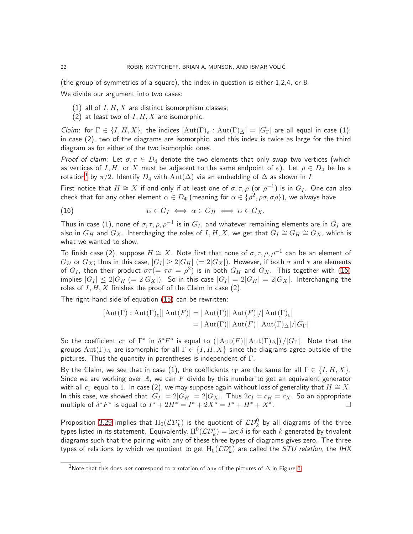(the group of symmetries of a square), the index in question is either 1,2,4, or 8.

We divide our argument into two cases:

- (1) all of  $I, H, X$  are distinct isomorphism classes;
- (2) at least two of  $I, H, X$  are isomorphic.

Claim: for  $\Gamma \in \{I, H, X\}$ , the indices  $[\text{Aut}(\Gamma)_e : \text{Aut}(\Gamma)_\Delta] = |G_\Gamma|$  are all equal in case (1); in case (2), two of the diagrams are isomorphic, and this index is twice as large for the third diagram as for either of the two isomorphic ones.

Proof of claim: Let  $\sigma, \tau \in D_4$  denote the two elements that only swap two vertices (which as vertices of I, H, or X must be adjacent to the same endpoint of e). Let  $\rho \in D_4$  be be a rotation $^1$  $^1$  by  $\pi/2$ . Identify  $D_4$  with  $\mathrm{Aut}(\Delta)$  via an embedding of  $\Delta$  as shown in  $I.$ 

First notice that  $H \cong X$  if and only if at least one of  $\sigma, \tau, \rho$  (or  $\rho^{-1})$  is in  $G_I$ . One can also check that for any other element  $\alpha\in D_4$  (meaning for  $\alpha\in\{\rho^2,\rho\sigma,\sigma\rho\}),$  we always have

<span id="page-21-1"></span>(16) 
$$
\alpha \in G_I \iff \alpha \in G_H \iff \alpha \in G_X.
$$

Thus in case (1), none of  $\sigma, \tau, \rho, \rho^{-1}$  is in  $G_I$ , and whatever remaining elements are in  $G_I$  are also in  $G_H$  and  $G_X$ . Interchaging the roles of  $I,H,X$ , we get that  $\overline{G_I}\cong G_H\cong G_X$ , which is what we wanted to show.

To finish case (2), suppose  $H \cong X$ . Note first that none of  $\sigma, \tau, \rho, \rho^{-1}$  can be an element of  $G_H$  or  $G_X$ ; thus in this case,  $|G_I| \geq 2|G_H|$   $(= 2|G_X|)$ . However, if both  $\sigma$  and  $\tau$  are elements of  $G_I$ , then their product  $\sigma\tau(=\tau\sigma=\rho^2)$  is in both  $G_H$  and  $G_X.$  This together with  $(16)$ implies  $|G_I| \leq 2|G_H| (= 2|G_X|)$ . So in this case  $|G_I| = 2|G_H| = 2|G_X|$ . Interchanging the roles of  $I, H, X$  finishes the proof of the Claim in case (2).

The right-hand side of equation [\(15\)](#page-20-1) can be rewritten:

$$
[\text{Aut}(\Gamma) : \text{Aut}(\Gamma)_e] | \text{Aut}(F)| = |\text{Aut}(\Gamma)|| \text{Aut}(F)| / |\text{Aut}(\Gamma)_e|
$$
  
= |\text{Aut}(\Gamma)|| \text{Aut}(F)| |\text{Aut}(\Gamma)\_\Delta| / |G\_{\Gamma}|

So the coefficient  $c_{\Gamma}$  of  $\Gamma^*$  in  $\delta^*F^*$  is equal to  $(|\operatorname{Aut}(F)||\operatorname{Aut}(\Gamma)_\Delta|)\, / |G_{\Gamma}|.$  Note that the groups  ${\rm Aut}(\Gamma)_{\Delta}$  are isomorphic for all  $\Gamma \in \{I, H, X\}$  since the diagrams agree outside of the pictures. Thus the quantity in parentheses is independent of  $\Gamma$ .

By the Claim, we see that in case (1), the coefficients  $c_{\Gamma}$  are the same for all  $\Gamma \in \{I, H, X\}$ . Since we are working over  $\mathbb R$ , we can F divide by this number to get an equivalent generator with all  $c_{\Gamma}$  equal to 1. In case (2), we may suppose again without loss of generality that  $H \cong X$ . In this case, we showed that  $|G_I| = 2|G_H| = 2|G_X|$ . Thus  $2c_I = c_H = c_X$ . So an appropriate multiple of  $\delta^* F^*$  is equal to  $I^* + 2H^* = I^* + 2X^* = I^* + H^* + X^*$ .

Proposition [3.29](#page-19-1) implies that  ${\rm H}_0({\mathcal L}{\mathcal D}_k^*)$  is the quotient of  ${\mathcal L}{\mathcal D}_k^0$  by all diagrams of the three types listed in its statement. Equivalently,  $\mathrm{H}^0(\mathcal{L}\mathcal{D}_k^*)=\ker\delta$  is for each  $k$  generated by trivalent diagrams such that the pairing with any of these three types of diagrams gives zero. The three types of relations by which we quotient to get  ${\rm H}_0(\mathcal{L} \mathcal{D}_k^*)$  are called the  $STU$  *relation*, the IHX

<span id="page-21-0"></span><sup>&</sup>lt;sup>1</sup>Note that this does not correspond to a rotation of any of the pictures of  $\Delta$  in Figure [6.](#page-18-1)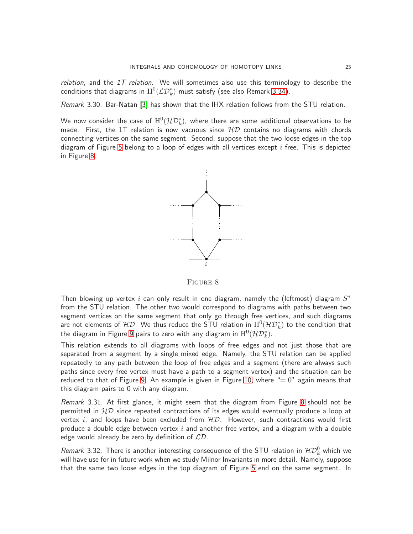relation, and the  $1T$  relation. We will sometimes also use this terminology to describe the conditions that diagrams in  $\mathrm{H}^{0}(\mathcal{L}\mathcal{D}_{k}^{\ast})$  must satisfy (see also Remark [3.34\)](#page-24-1).

Remark 3.30. Bar-Natan [\[3\]](#page-63-12) has shown that the IHX relation follows from the STU relation.

We now consider the case of  $\mathrm{H}^0(\mathcal{HD}_k^*)$ , where there are some additional observations to be made. First, the 1T relation is now vacuous since  $HD$  contains no diagrams with chords connecting vertices on the same segment. Second, suppose that the two loose edges in the top diagram of Figure [5](#page-18-0) belong to a loop of edges with all vertices except  $i$  free. This is depicted in Figure [8.](#page-22-0)



<span id="page-22-0"></span>Figure 8.

Then blowing up vertex i can only result in one diagram, namely the (leftmost) diagram  $S^*$ from the STU relation. The other two would correspond to diagrams with paths between two segment vertices on the same segment that only go through free vertices, and such diagrams are not elements of  $\mathcal{HD}.$  We thus reduce the STU relation in  $\mathrm{H}^0(\mathcal{HD}_k^*)$  to the condition that the diagram in Figure [9](#page-23-0) pairs to zero with any diagram in  $\mathrm{H}^{0}(\mathcal{HD}_{k}^{\ast}).$ 

This relation extends to all diagrams with loops of free edges and not just those that are separated from a segment by a single mixed edge. Namely, the STU relation can be applied repeatedly to any path between the loop of free edges and a segment (there are always such paths since every free vertex must have a path to a segment vertex) and the situation can be reduced to that of Figure [9.](#page-23-0) An example is given in Figure [10,](#page-23-1) where "=  $0$ " again means that this diagram pairs to 0 with any diagram.

Remark 3.31. At first glance, it might seem that the diagram from Figure [8](#page-22-0) should not be permitted in  $HD$  since repeated contractions of its edges would eventually produce a loop at vertex i, and loops have been excluded from  $H\mathcal{D}$ . However, such contractions would first produce a double edge between vertex  $i$  and another free vertex, and a diagram with a double edge would already be zero by definition of  $LD$ .

*Remark* 3.32. There is another interesting consequence of the STU relation in  $\mathcal{HD}_k^0$  which we will have use for in future work when we study Milnor Invariants in more detail. Namely, suppose that the same two loose edges in the top diagram of Figure [5](#page-18-0) end on the same segment. In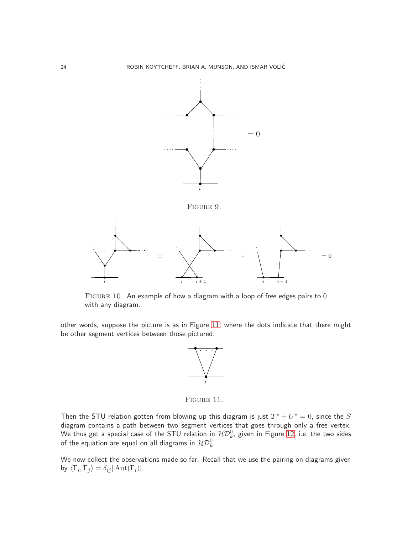

<span id="page-23-1"></span>FIGURE 10. An example of how a diagram with a loop of free edges pairs to 0 with any diagram.

other words, suppose the picture is as in Figure [11,](#page-23-2) where the dots indicate that there might be other segment vertices between those pictured.

<span id="page-23-0"></span>

<span id="page-23-2"></span>FIGURE 11.

Then the STU relation gotten from blowing up this diagram is just  $T^* + U^* = 0$ , since the S diagram contains a path between two segment vertices that goes through only a free vertex. We thus get a special case of the STU relation in  $\mathcal{HD}_k^0$ , given in Figure [12,](#page-24-2) i.e. the two sides of the equation are equal on all diagrams in  $\mathcal{HD}_{k}^{0}.$ 

We now collect the observations made so far. Recall that we use the pairing on diagrams given by  $\langle \Gamma_i, \Gamma_j \rangle = \delta_{ij} |\operatorname{Aut}(\Gamma_i)|.$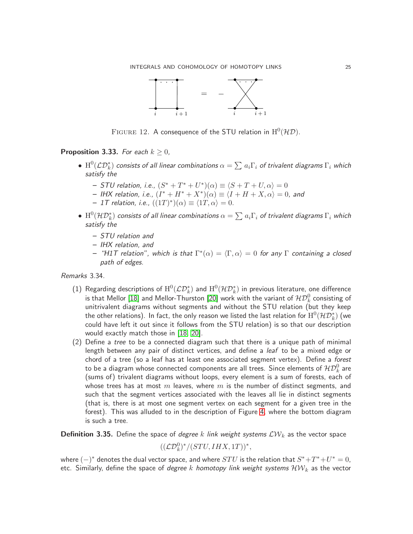

<span id="page-24-2"></span>FIGURE 12. A consequence of the STU relation in  $\mathrm{H} ^{0}(\mathcal{HD}).$ 

## <span id="page-24-0"></span>**Proposition 3.33.** For each  $k \geq 0$ ,

- $\bullet\,\,\text{H}^0(\mathcal{L}\mathcal{D}^*_k)$  consists of all linear combinations  $\alpha=\sum a_i\Gamma_i$  of trivalent diagrams  $\Gamma_i$  which satisfy the
	- STU relation, i.e.,  $(S^* + T^* + U^*)(\alpha) \equiv \langle S + T + U, \alpha \rangle = 0$
	- IHX relation, i.e.,  $(I^* + H^* + X^*)(\alpha) \equiv \langle I + H + X, \alpha \rangle = 0$ , and
	- $-$  1T relation, i.e.,  $((1T)^*)(\alpha) \equiv \langle 1T, \alpha \rangle = 0$ .
- $\bullet \,\, \mathrm{H}^0(\mathcal{HD}_k^*)$  consists of all linear combinations  $\alpha=\sum a_i\Gamma_i$  of trivalent diagrams  $\Gamma_i$  which satisfy the
	- STU relation and
	- IHX relation, and
	- $-$  "H1T relation", which is that  $\Gamma^*(\alpha) = \langle \Gamma, \alpha \rangle = 0$  for any  $\Gamma$  containing a closed path of edges.

<span id="page-24-1"></span>Remarks 3.34.

- $(1)$  Regarding descriptions of  $\mathrm{H}^0(\mathcal{LD}_k^*)$  and  $\mathrm{H}^0(\mathcal{HD}_k^*)$  in previous literature, one difference is that Mellor [\[18\]](#page-63-5) and Mellor-Thurston [\[20\]](#page-63-6) work with the variant of  $\mathcal{HD}_{k}^{0}$  consisting of unitrivalent diagrams without segments and without the STU relation (but they keep the other relations). In fact, the only reason we listed the last relation for  $\mathrm{H} ^{0}(\mathcal{HD}_{k}^{*})$  (we could have left it out since it follows from the STU relation) is so that our description would exactly match those in [\[18,](#page-63-5) [20\]](#page-63-6).
- (2) Define a tree to be a connected diagram such that there is a unique path of minimal length between any pair of distinct vertices, and define a *leaf* to be a mixed edge or chord of a tree (so a leaf has at least one associated segment vertex). Define a forest to be a diagram whose connected components are all trees. Since elements of  $\mathcal{HD}_k^0$  are (sums of) trivalent diagrams without loops, every element is a sum of forests, each of whose trees has at most  $m$  leaves, where  $m$  is the number of distinct segments, and such that the segment vertices associated with the leaves all lie in distinct segments (that is, there is at most one segment vertex on each segment for a given tree in the forest). This was alluded to in the description of Figure [4,](#page-16-0) where the bottom diagram is such a tree.

<span id="page-24-3"></span>**Definition 3.35.** Define the space of *degree k link weight systems*  $\mathcal{L}W_k$  as the vector space

 $((\mathcal{LD}_k^0)^*/(STU, IHX,1T))^*,$ 

where  $(-)^*$  denotes the dual vector space, and where  $STU$  is the relation that  $S^* + T^* + U^* = 0$ , etc. Similarly, define the space of *degree*  $k$  *homotopy link weight systems*  $\mathcal{HW}_k$  as the vector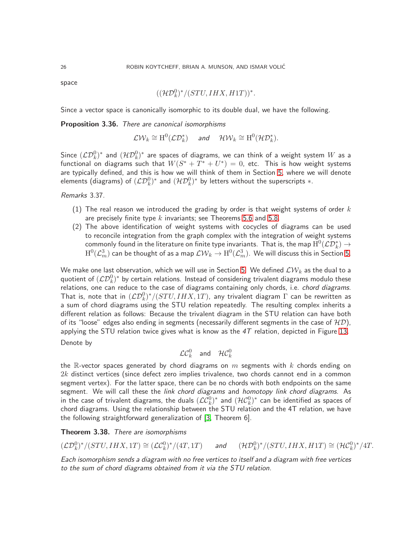space

$$
((\mathcal{HD}^0_k)^*/(STU, IHX, H1T))^*.
$$

Since a vector space is canonically isomorphic to its double dual, we have the following.

Proposition 3.36. There are canonical isomorphisms

 $\mathcal{L}\mathcal{W}_k \cong \mathrm{H}^0(\mathcal{L}\mathcal{D}_k^*)$  and  $\mathcal{H}\mathcal{W}_k \cong \mathrm{H}^0(\mathcal{H}\mathcal{D}_k^*).$ 

Since  $(\mathcal{LD}_k^0)^*$  and  $(\mathcal{HD}_k^0)^*$  are spaces of diagrams, we can think of a weight system  $W$  as a functional on diagrams such that  $W(S^*+T^*+U^*)=0$ , etc. This is how weight systems are typically defined, and this is how we will think of them in Section [5,](#page-51-0) where we will denote elements (diagrams) of  $(\mathcal{LD}_k^0)^*$  and  $(\mathcal{HD}_k^0)^*$  by letters without the superscripts  $*$ .

Remarks 3.37.

- (1) The real reason we introduced the grading by order is that weight systems of order  $k$ are precisely finite type  $k$  invariants; see Theorems [5.6](#page-56-1) and [5.8.](#page-57-0)
- (2) The above identification of weight systems with cocycles of diagrams can be used to reconcile integration from the graph complex with the integration of weight systems commonly found in the literature on finite type invariants. That is, the map  $\mathrm{H}^{0}(\mathcal{L}\mathcal{D}_{k}^{\ast})\to$  $\mathrm{H}^0(\mathcal{L}^3_m)$  can be thought of as a map  $\mathcal{LW}_k\to \mathrm{H}^0(\mathcal{L}^3_m).$  We will discuss this in Section [5.](#page-51-0)

We make one last observation, which we will use in Section [5.](#page-51-0) We defined  $\mathcal{LW}_k$  as the dual to a quotient of  $(\mathcal{L}\mathcal{D}_k^0)^*$  by certain relations. Instead of considering trivalent diagrams modulo these relations, one can reduce to the case of diagrams containing only chords, i.e. chord diagrams. That is, note that in  $(\mathcal{LD}_k^0)^*/(STU, IHX,1T)$ , any trivalent diagram  $\Gamma$  can be rewritten as a sum of chord diagrams using the STU relation repeatedly. The resulting complex inherits a different relation as follows: Because the trivalent diagram in the STU relation can have both of its "loose" edges also ending in segments (necessarily different segments in the case of  $HD$ ), applying the STU relation twice gives what is know as the  $4T$  relation, depicted in Figure [13.](#page-26-2) Denote by

$$
\mathcal{LC}_k^0 \quad \text{and} \quad \mathcal{HC}_k^0
$$

the R-vector spaces generated by chord diagrams on  $m$  segments with k chords ending on  $2k$  distinct vertices (since defect zero implies trivalence, two chords cannot end in a common segment vertex). For the latter space, there can be no chords with both endpoints on the same segment. We will call these the *link chord diagrams* and *homotopy link chord diagrams*. As in the case of trivalent diagrams, the duals  $(\mathcal{LC}_k^0)^*$  and  $(\mathcal{HC}_k^0)^*$  can be identified as spaces of chord diagrams. Using the relationship between the STU relation and the 4T relation, we have the following straightforward generalization of [\[3,](#page-63-12) Theorem 6].

<span id="page-25-0"></span>Theorem 3.38. There are isomorphisms

$$
(\mathcal{L}\mathcal{D}_k^0)^*/(STU, IHX,1T)\cong (\mathcal{L}\mathcal{C}_k^0)^*/(4T,1T)\qquad\text{and}\qquad (\mathcal{H}\mathcal{D}_k^0)^*/(STU,IHX,H1T)\cong (\mathcal{H}\mathcal{C}_k^0)^*/4T.
$$

Each isomorphism sends a diagram with no free vertices to itself and a diagram with free vertices to the sum of chord diagrams obtained from it via the STU relation.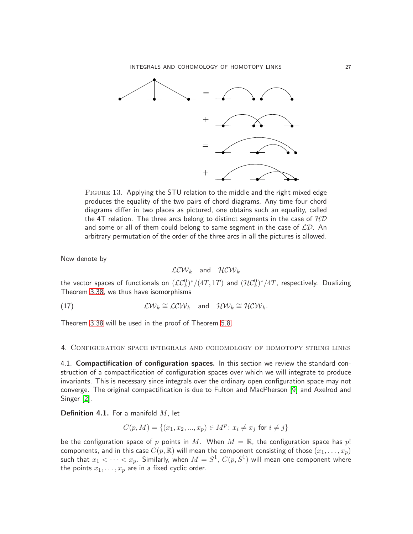

<span id="page-26-2"></span>Figure 13. Applying the STU relation to the middle and the right mixed edge produces the equality of the two pairs of chord diagrams. Any time four chord diagrams differ in two places as pictured, one obtains such an equality, called the 4T relation. The three arcs belong to distinct segments in the case of  $HD$ and some or all of them could belong to same segment in the case of  $\mathcal{LD}$ . An arbitrary permutation of the order of the three arcs in all the pictures is allowed.

Now denote by

<span id="page-26-3"></span>
$$
\mathcal{LCW}_k \quad \text{and} \quad \mathcal{HCW}_k
$$

the vector spaces of functionals on  $(\mathcal{LC}_k^0)^*/(4T,1T)$  and  $(\mathcal{HC}_k^0)^*/4T$ , respectively. Dualizing Theorem [3.38,](#page-25-0) we thus have isomorphisms

(17)  $\mathcal{L}\mathcal{W}_k \cong \mathcal{LCW}_k$  and  $\mathcal{HW}_k \cong \mathcal{HCW}_k$ .

Theorem [3.38](#page-25-0) will be used in the proof of Theorem [5.8.](#page-57-0)

<span id="page-26-1"></span><span id="page-26-0"></span>4. Configuration space integrals and cohomology of homotopy string links

4.1. Compactification of configuration spaces. In this section we review the standard construction of a compactification of configuration spaces over which we will integrate to produce invariants. This is necessary since integrals over the ordinary open configuration space may not converge. The original compactification is due to Fulton and MacPherson [\[9\]](#page-63-13) and Axelrod and Singer [\[2\]](#page-63-14).

**Definition 4.1.** For a manifold  $M$ , let

$$
C(p, M) = \{(x_1, x_2, ..., x_p) \in M^p : x_i \neq x_j \text{ for } i \neq j\}
$$

be the configuration space of p points in M. When  $M = \mathbb{R}$ , the configuration space has p! components, and in this case  $C(p, \mathbb{R})$  will mean the component consisting of those  $(x_1, \ldots, x_p)$ such that  $x_1 < \cdots < x_p.$  Similarly, when  $M = S^1, \ C(p,S^1)$  will mean one component where the points  $x_1, \ldots, x_p$  are in a fixed cyclic order.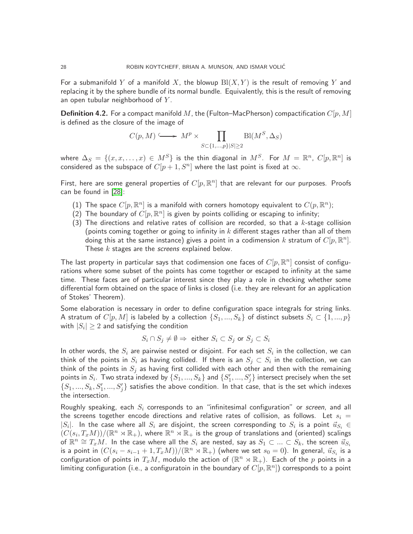For a submanifold Y of a manifold X, the blowup  $B(X, Y)$  is the result of removing Y and replacing it by the sphere bundle of its normal bundle. Equivalently, this is the result of removing an open tubular neighborhood of  $Y$ .

<span id="page-27-0"></span>**Definition 4.2.** For a compact manifold M, the (Fulton–MacPherson) compactification  $C[p, M]$ is defined as the closure of the image of

$$
C(p, M) \longrightarrow M^p \times \prod_{S \subset \{1, \dots, p\} \mid S \mid \geq 2} \text{Bl}(M^S, \Delta_S)
$$

where  $\Delta_S \ = \ \{(x,x,\ldots,x)\ \in\ M^S\}$  is the thin diagonal in  $M^S.$  For  $M\ =\ \mathbb{R}^n.$   $C[p,\mathbb{R}^n]$  is considered as the subspace of  $C[p+1, S^n]$  where the last point is fixed at  $\infty$ .

First, here are some general properties of  $C[p,\mathbb{R}^n]$  that are relevant for our purposes. Proofs can be found in [\[28\]](#page-64-9):

- (1) The space  $C[p,\mathbb{R}^n]$  is a manifold with corners homotopy equivalent to  $C(p,\mathbb{R}^n)$ ;
- $(2)$  The boundary of  $C[p,\mathbb{R}^n]$  is given by points colliding or escaping to infinity;
- (3) The directions and relative rates of collision are recorded, so that a  $k$ -stage collision (points coming together or going to infinity in  $k$  different stages rather than all of them doing this at the same instance) gives a point in a codimension  $k$  stratum of  $C[p,\mathbb{R}^n]$ . These  $k$  stages are the *screens* explained below.

The last property in particular says that codimension one faces of  $C[p,\mathbb{R}^n]$  consist of configurations where some subset of the points has come together or escaped to infinity at the same time. These faces are of particular interest since they play a role in checking whether some differential form obtained on the space of links is closed (i.e. they are relevant for an application of Stokes' Theorem).

Some elaboration is necessary in order to define configuration space integrals for string links. A stratum of  $C[p, M]$  is labeled by a collection  $\{S_1, ..., S_k\}$  of distinct subsets  $S_i \subset \{1, ..., p\}$ with  $|S_i|\geq 2$  and satisfying the condition

$$
S_i \cap S_j \neq \emptyset \Rightarrow \text{ either } S_i \subset S_j \text{ or } S_j \subset S_i
$$

In other words, the  $S_i$  are pairwise nested or disjoint. For each set  $S_i$  in the collection, we can think of the points in  $S_i$  as having collided. If there is an  $S_j\subset S_i$  in the collection, we can think of the points in  $S_j$  as having first collided with each other and then with the remaining points in  $S_i$ . Two strata indexed by  $\{S_1,...,S_k\}$  and  $\{S_1',...,S_j'\}$  intersect precisely when the set  $\{S_1,...,S_k,S'_1,...,S'_j\}$  satisfies the above condition. In that case, that is the set which indexes the intersection.

Roughly speaking, each  $S_i$  corresponds to an "infinitesimal configuration" or screen, and all the screens together encode directions and relative rates of collision, as follows. Let  $s_i =$  $|S_i|$ . In the case where all  $S_i$  are disjoint, the screen corresponding to  $S_i$  is a point  $\vec{u}_{S_i} \in$  $(C(s_i, T_x M)) / (\mathbb{R}^n \rtimes \mathbb{R}_+)$ , where  $\mathbb{R}^n \rtimes \mathbb{R}_+$  is the group of translations and (oriented) scalings of  $\R^n\cong T_xM$  . In the case where all the  $S_i$  are nested, say as  $S_1\subset...\subset S_k$ , the screen  $\vec{u}_{S_i}$ is a point in  $(C(s_i-s_{i-1}+1,T_xM))/(\mathbb{R}^n\rtimes \mathbb{R}_+)$  (where we set  $s_0=0)$ . In general,  $\vec{u}_{S_i}$  is a configuration of points in  $T_xM$ , modulo the action of  $(\mathbb{R}^n\rtimes \mathbb{R}_+)$ . Each of the  $p$  points in a limiting configuration (i.e., a configuratoin in the boundary of  $C[p,\mathbb{R}^n])$  corresponds to a point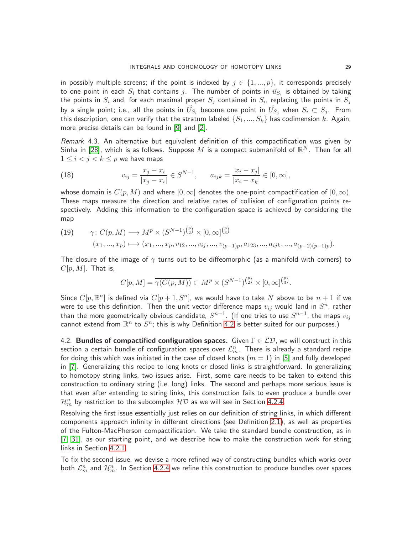in possibly multiple screens; if the point is indexed by  $j \in \{1, ..., p\}$ , it corresponds precisely to one point in each  $S_i$  that contains  $j.$  The number of points in  $\vec{u}_{S_i}$  is obtained by taking the points in  $S_i$  and, for each maximal proper  $S_j$  contained in  $S_i$ , replacing the points in  $S_j$ by a single point; i.e., all the points in  $\vec{U}_{S_i}$  become one point in  $\vec{U}_{S_j}$  when  $S_i\subset S_j.$  From this description, one can verify that the stratum labeled  $\{S_1, ..., S_k\}$  has codimension k. Again, more precise details can be found in [\[9\]](#page-63-13) and [\[2\]](#page-63-14).

Remark 4.3. An alternative but equivalent definition of this compactification was given by Sinha in [\[28\]](#page-64-9), which is as follows. Suppose  $M$  is a compact submanifold of  $\mathbb{R}^N$ . Then for all  $1 \leq i < j < k \leq p$  we have maps

(18) 
$$
v_{ij} = \frac{x_j - x_i}{|x_j - x_i|} \in S^{N-1}, \quad a_{ijk} = \frac{|x_i - x_j|}{|x_i - x_k|} \in [0, \infty],
$$

whose domain is  $C(p, M)$  and where  $[0, \infty]$  denotes the one-point compactification of  $[0, \infty)$ . These maps measure the direction and relative rates of collision of configuration points respectively. Adding this information to the configuration space is achieved by considering the map

(19) 
$$
\gamma: C(p, M) \longrightarrow M^p \times (S^{N-1})^{\binom{p}{2}} \times [0, \infty]^{\binom{p}{3}}
$$

$$
(x_1, ..., x_p) \longmapsto (x_1, ..., x_p, v_{12}, ..., v_{ij}, ..., v_{(p-1)p}, a_{123}, ..., a_{ijk}, ..., a_{(p-2)(p-1)p}).
$$

The closure of the image of  $\gamma$  turns out to be diffeomorphic (as a manifold with corners) to  $C[p, M]$ . That is,

$$
C[p, M] = \overline{\gamma(C(p, M))} \subset M^p \times (S^{N-1})^{\binom{p}{2}} \times [0, \infty]^{\binom{p}{3}}.
$$

Since  $C[p,\mathbb{R}^n]$  is defined via  $C[p+1,S^n]$ , we would have to take  $N$  above to be  $n+1$  if we were to use this definition. Then the unit vector difference maps  $v_{ij}$  would land in  $S^n$ , rather than the more geometrically obvious candidate,  $S^{n-1}.$  (If one tries to use  $S^{n-1}$ , the maps  $v_{ij}$ cannot extend from  $\mathbb{R}^n$  to  $S^n$ ; this is why Definition [4.2](#page-27-0) is better suited for our purposes.)

<span id="page-28-0"></span>4.2. Bundles of compactified configuration spaces. Given  $\Gamma \in \mathcal{LD}$ , we will construct in this section a certain bundle of configuration spaces over  $\mathcal{L}_m^n$ . There is already a standard recipe for doing this which was initiated in the case of closed knots  $(m = 1)$  in [\[5\]](#page-63-2) and fully developed in [\[7\]](#page-63-1). Generalizing this recipe to long knots or closed links is straightforward. In generalizing to homotopy string links, two issues arise. First, some care needs to be taken to extend this construction to ordinary string (i.e. long) links. The second and perhaps more serious issue is that even after extending to string links, this construction fails to even produce a bundle over  $\mathcal{H}_{m}^{n}$  by restriction to the subcomplex  $\mathcal{HD}% _{k}(G)$  as we will see in Section [4.2.4.](#page-35-1)

Resolving the first issue essentially just relies on our definition of string links, in which different components approach infinity in different directions (see Definition [2.1\)](#page-5-4), as well as properties of the Fulton-MacPherson compactification. We take the standard bundle construction, as in [\[7,](#page-63-1) [31\]](#page-64-1), as our starting point, and we describe how to make the construction work for string links in Section [4.2.1.](#page-29-0)

To fix the second issue, we devise a more refined way of constructing bundles which works over both  $\mathcal{L}_m^n$  and  $\mathcal{H}_m^n$ . In Section [4.2.4](#page-35-1) we refine this construction to produce bundles over spaces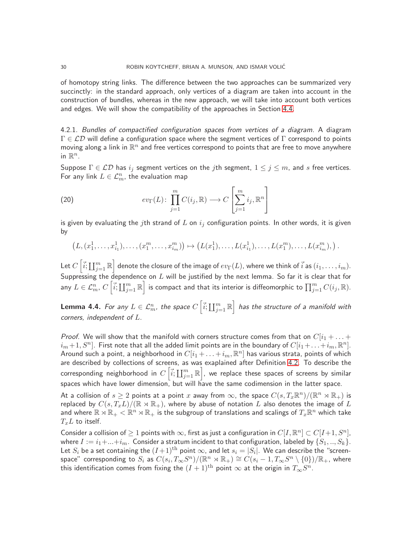of homotopy string links. The difference between the two approaches can be summarized very succinctly: in the standard approach, only vertices of a diagram are taken into account in the construction of bundles, whereas in the new approach, we will take into account both vertices and edges. We will show the compatibility of the approaches in Section [4.4.](#page-41-0)

<span id="page-29-0"></span>4.2.1. Bundles of compactified configuration spaces from vertices of a diagram. A diagram  $\Gamma \in \mathcal{LD}$  will define a configuration space where the segment vertices of  $\Gamma$  correspond to points moving along a link in  $\mathbb{R}^n$  and free vertices correspond to points that are free to move anywhere in  $\mathbb{R}^n$ .

Suppose  $\Gamma \in \mathcal{LD}$  has  $i_j$  segment vertices on the jth segment,  $1 \leq j \leq m$ , and s free vertices. For any link  $L \in \mathcal{L}_m^n$ , the evaluation map

(20) 
$$
ev_{\Gamma}(L): \prod_{j=1}^{m} C(i_j, \mathbb{R}) \longrightarrow C\left[\sum_{j=1}^{m} i_j, \mathbb{R}^n\right]
$$

is given by evaluating the jth strand of L on  $i_j$  configuration points. In other words, it is given by

$$
(L, (x_1^1, \ldots, x_{i_1}^1), \ldots, (x_1^m, \ldots, x_{i_m}^m)) \mapsto (L(x_1^1), \ldots, L(x_{i_1}^1), \ldots, L(x_1^m), \ldots, L(x_{i_m}^m)),
$$

Let  $C\left[\vec{i};\coprod_{j=1}^m{\mathbb R}\right]$  denote the closure of the image of  $ev_\Gamma(L)$ , where we think of  $\vec{i}$  as  $(i_1,\ldots,i_m).$ Suppressing the dependence on  $L$  will be justified by the next lemma. So far it is clear that for any  $L\in\mathcal{L}_m^n$ ,  $C\left[\vec{i};\coprod_{j=1}^m\mathbb{R}\right]$  is compact and that its interior is diffeomorphic to  $\prod_{j=1}^mC(i_j,\mathbb{R}).$ 

**Lemma 4.4.** For any  $L\in\mathcal{L}_{m}^{n},$  the space  $C\left[\vec{i};\coprod_{j=1}^{m}\mathbb{R}\right]$  has the structure of a manifold with corners, independent of L.

*Proof.* We will show that the manifold with corners structure comes from that on  $C[i_1 + \ldots +]$  $i_m+1,S^n]$ . First note that all the added limit points are in the boundary of  $C[i_1+\ldots+i_m,\mathbb{R}^n]$ . Around such a point, a neighborhood in  $C[i_1+\ldots+i_m,\mathbb{R}^n]$  has various strata, points of which are described by collections of screens, as was exaplained after Definition [4.2.](#page-27-0) To describe the corresponding neighborhood in  $C\left[\vec{i};\coprod_{j=1}^m\mathbb{R}\right]$ , we replace these spaces of screens by similar spaces which have lower dimension, but will have the same codimension in the latter space.

At a collision of  $s\geq 2$  points at a point  $x$  away from  $\infty$ , the space  $C(s,T_x\mathbb{R}^n)/(\mathbb{R}^n\rtimes\mathbb{R}_+)$  is replaced by  $C(s, T_xL)/(\mathbb{R} \rtimes \mathbb{R}_+)$ , where by abuse of notation L also denotes the image of L and where  $\mathbb{R}\rtimes \mathbb{R}_+<\mathbb{R}^n\rtimes \mathbb{R}_+$  is the subgroup of translations and scalings of  $T_x\mathbb{R}^n$  which take  $T<sub>r</sub>L$  to itself.

Consider a collision of  $\geq 1$  points with  $\infty$ , first as just a configuration in  $C[I,\mathbb{R}^n] \subset C[I+1,S^n]$ , where  $I := i_1 + ... + i_m$ . Consider a stratum incident to that configuration, labeled by  $\{S_1, ..., S_k\}$ . Let  $S_i$  be a set containing the  $(I+1)^{\text{th}}$  point  $\infty$ , and let  $s_i=|S_i|.$  We can describe the "screenspace" corresponding to  $S_i$  as  $C(s_i,T_\infty S^n)/(\mathbb R^n\rtimes \mathbb R_+)\cong C(s_i-1,T_\infty S^n\setminus\{0\})/\mathbb R_+$ , where this identification comes from fixing the  $(I+1)^{\text{th}}$  point  $\infty$  at the origin in  $T_{\infty}S^n.$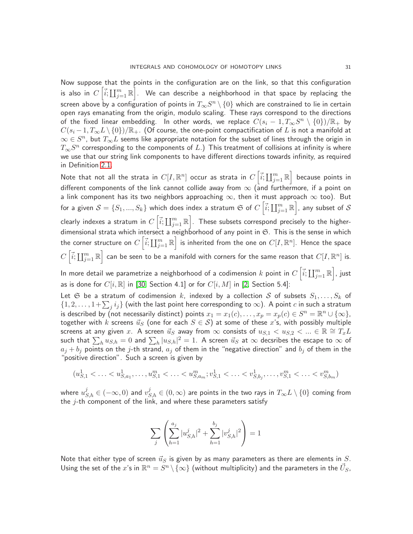Now suppose that the points in the configuration are on the link, so that this configuration is also in  $C\left[\vec{i}; \coprod_{j=1}^m \mathbb{R}\right]$ . We can describe a neighborhood in that space by replacing the screen above by a configuration of points in  $T_\infty S^n\setminus\{0\}$  which are constrained to lie in certain open rays emanating from the origin, modulo scaling. These rays correspond to the directions of the fixed linear embedding. In other words, we replace  $\overline{C}(s_i - 1, T_\infty S^n \setminus \{0\})/\mathbb{R}_+$  by  $C(s_i-1, T_{\infty}L\setminus\{0\})/\mathbb{R}_+$ . (Of course, the one-point compactification of L is not a manifold at  $\infty\in S^n$ , but  $T_\infty\overline{L}$  seems like appropriate notation for the subset of lines through the origin in  $T_\infty S^n$  corresponding to the components of  $L$ .) This treatment of collisions at infinity is where we use that our string link components to have different directions towards infinity, as required in Definition [2.1.](#page-5-4)

Note that not all the strata in  $C[I,\mathbb{R}^n]$  occur as strata in  $C\left[\vec{i};\coprod_{j=1}^m\mathbb{R}\right]$  because points in different components of the link cannot collide away from  $\infty$  (and furthermore, if a point on a link component has its two neighbors approaching  $\infty$ , then it must approach  $\infty$  too). But for a given  $\mathcal{S}=\{S_1,...,S_k\}$  which does index a stratum  $\mathfrak{S}$  of  $C\left[\vec{i};\coprod_{j=1}^m\mathbb{R}\right]$ , any subset of  $\mathcal{S}$ clearly indexes a stratum in  $C\left[\vec{i};\coprod_{j=1}^m\mathbb{R}\right]$ . These subsets correspond precisely to the higherdimensional strata which intersect a neighborhood of any point in  $\mathfrak{S}$ . This is the sense in which the corner structure on  $C\left[\vec{i};\coprod_{j=1}^m\mathbb{R}\right]$  is inherited from the one on  $C[I,\mathbb{R}^n].$  Hence the space  $C\left[\vec{i};\coprod_{j=1}^m\mathbb{R}\right]$  can be seen to be a manifold with corners for the same reason that  $C[I,\mathbb{R}^n]$  is.

In more detail we parametrize a neighborhood of a codimension  $k$  point in  $C\left[\vec{i};\coprod_{j=1}^m{\mathbb R}\right]$ , just as is done for  $C[i, \mathbb{R}]$  in [\[30,](#page-64-2) Section 4.1] or for  $C[i, M]$  in [\[2,](#page-63-14) Section 5.4]:

Let G be a stratum of codimension k, indexed by a collection S of subsets  $S_1, \ldots, S_k$  of  $\{1, 2, \ldots, 1+\sum_j i_j\}$  (with the last point here corresponding to  $\infty$ ). A point c in such a stratum is described by (not necessarily distinct) points  $x_1=x_1(c),\ldots,x_p=x_p(c)\in S^n=\mathbb{R}^n\cup\{\infty\},$ together with k screens  $\vec{u}_S$  (one for each  $S \in \mathcal{S}$ ) at some of these x's, with possibly multiple screens at any given  $x$ . A screen  $\vec{u}_S$  away from  $\infty$  consists of  $u_{S,1} < u_{S,2} < ... \in \mathbb{R} \cong T_xL$ such that  $\sum_h u_{S,h} = 0$  and  $\sum_h |u_{S,h}|^2 = 1.$  A screen  $\vec{u}_S$  at  $\infty$  decsribes the escape to  $\infty$  of  $a_j + b_j$  points on the  $j$ -th strand,  $a_j$  of them in the "negative direction" and  $b_j$  of them in the "positive direction". Such a screen is given by

$$
(u_{S,1}^1 < \ldots < u_{S,a_1}^1, \ldots, u_{S,1}^m < \ldots < u_{S,a_m}^m; v_{S,1}^1 < \ldots < v_{S,b_j}^1, \ldots, v_{S,1}^m < \ldots < v_{S,b_m}^m)
$$

where  $u^j_{S,h}\in(-\infty,0)$  and  $v^j_{S,h}\in(0,\infty)$  are points in the two rays in  $T_\infty L\setminus\{0\}$  coming from the  $j$ -th component of the link, and where these parameters satisfy

$$
\sum_j \left( \sum_{h=1}^{a_j} |u_{S,h}^j|^2 + \sum_{h=1}^{b_j} |v_{S,h}^j|^2 \right) = 1
$$

Note that either type of screen  $\vec{u}_S$  is given by as many parameters as there are elements in  $S$ . Using the set of the  $x$ 's in  $\mathbb{R}^n=S^n\setminus\{\infty\}$  (without multiplicity) and the parameters in the  $\vec{U}_S,$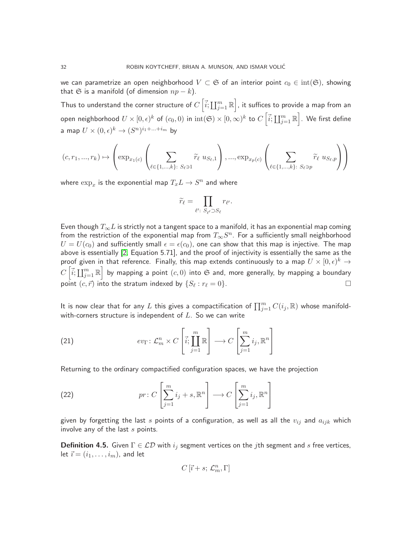we can parametrize an open neighborhood  $V \subset \mathfrak{S}$  of an interior point  $c_0 \in \text{int}(\mathfrak{S})$ , showing that G is a manifold (of dimension  $np - k$ ).

Thus to understand the corner structure of  $C\left[\vec{i};\coprod_{j=1}^m\mathbb{R}\right]$ , it suffices to provide a map from an open neighborhood  $U\times [0,\epsilon)^k$  of  $(c_0,0)$  in  $\mathrm{int}(\mathfrak{S})\times [0,\infty)^k$  to  $C\left[\vec{i};\coprod_{j=1}^m{\mathbb R}\right]$ . We first define a map  $U\times (0,\epsilon)^k\to (S^n)^{i_1+\ldots+i_m}$  by

$$
(c,r_1,...,r_k)\mapsto \left(\exp_{x_1(c)}\left(\sum_{\ell\in\{1,...,k\}:\ S_\ell\ni 1}\widetilde{r}_\ell\ u_{S_\ell,1}\right),...,\exp_{x_p(c)}\left(\sum_{\ell\in\{1,...,k\}:\ S_\ell\ni p}\widetilde{r}_\ell\ u_{S_\ell,p}\right)\right)
$$

where  $\exp_x$  is the exponential map  $T_x L \to S^n$  and where

$$
\widetilde{r}_{\ell} = \prod_{\ell':\ S_{\ell'} \supset S_{\ell}} r_{\ell'}.
$$

Even though  $T_{\infty}L$  is strictly not a tangent space to a manifold, it has an exponential map coming from the restriction of the exponential map from  $T_\infty S^n.$  For a sufficiently small neighborhood  $U = U(c_0)$  and sufficiently small  $\epsilon = \epsilon(c_0)$ , one can show that this map is injective. The map above is essentially [\[2,](#page-63-14) Equation 5.71], and the proof of injectivity is essentially the same as the proof given in that reference. Finally, this map extends continuously to a map  $U\times [0,\epsilon)^k\rightarrow$  $C\left[\vec{i}; \coprod_{j=1}^m \mathbb{R}\right]$  by mapping a point  $(c,0)$  into  $\mathfrak S$  and, more generally, by mapping a boundary point  $(c, \vec{r})$  into the stratum indexed by  $\{S_\ell : r_\ell = 0\}$ .

It is now clear that for any  $L$  this gives a compactification of  $\prod_{j=1}^m C(i_j,\mathbb{R})$  whose manifoldwith-corners structure is independent of  $L$ . So we can write

<span id="page-31-0"></span>(21) 
$$
ev_{\Gamma}: \mathcal{L}_m^n \times C \left[\vec{i}; \prod_{j=1}^m \mathbb{R}\right] \longrightarrow C \left[\sum_{j=1}^m i_j, \mathbb{R}^n\right]
$$

Returning to the ordinary compactified configuration spaces, we have the projection

(22) 
$$
pr: C\left[\sum_{j=1}^{m} i_j + s, \mathbb{R}^n\right] \longrightarrow C\left[\sum_{j=1}^{m} i_j, \mathbb{R}^n\right]
$$

given by forgetting the last s points of a configuration, as well as all the  $v_{ij}$  and  $a_{ijk}$  which involve any of the last  $s$  points.

**Definition 4.5.** Given  $\Gamma \in \mathcal{LD}$  with  $i_j$  segment vertices on the *j*th segment and *s* free vertices, let  $\vec{i} = (i_1, \ldots, i_m)$ , and let

$$
C\left[\vec{\imath}+s;\,\mathcal{L}_{m}^{n},\Gamma\right]
$$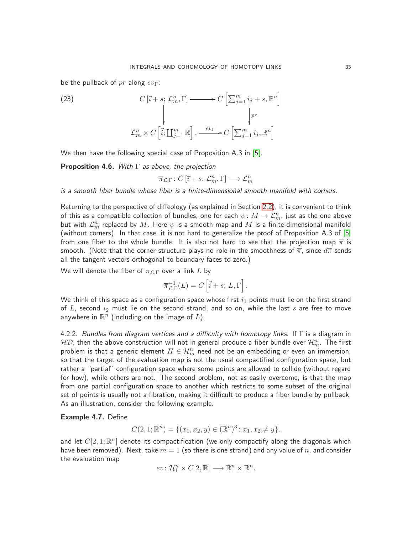be the pullback of  $pr$  along  $ev_{\Gamma}$ :

(23)  
\n
$$
C[\vec{i} + s; \mathcal{L}_m^n, \Gamma] \longrightarrow C\left[\sum_{j=1}^m i_j + s, \mathbb{R}^n\right]
$$
\n
$$
\downarrow \qquad \qquad \downarrow r
$$
\n
$$
\mathcal{L}_m^n \times C\left[\vec{i}; \coprod_{j=1}^m \mathbb{R}\right]. \xrightarrow{ev_{\Gamma}} C\left[\sum_{j=1}^m i_j, \mathbb{R}^n\right]
$$

We then have the following special case of Proposition A.3 in [\[5\]](#page-63-2).

<span id="page-32-1"></span>**Proposition 4.6.** With  $\Gamma$  as above, the projection

$$
\overline{\pi}_{\mathcal{L},\Gamma} \colon C\left[\overrightarrow{\imath}+s;\,\mathcal{L}_{m}^{n},\Gamma\right] \longrightarrow \mathcal{L}_{m}^{n}
$$

is a smooth fiber bundle whose fiber is a finite-dimensional smooth manifold with corners.

Returning to the perspective of diffeology (as explained in Section [2.2\)](#page-6-0), it is convenient to think of this as a compatible collection of bundles, one for each  $\psi\colon M\to \mathcal{L}_m^n$ , just as the one above but with  $\mathcal{L}_m^n$  replaced by  $M.$  Here  $\psi$  is a smooth map and  $M$  is a finite-dimensional manifold (without corners). In that case, it is not hard to generalize the proof of Proposition A.3 of [\[5\]](#page-63-2) from one fiber to the whole bundle. It is also not hard to see that the projection map  $\overline{\pi}$  is smooth. (Note that the corner structure plays no role in the smoothness of  $\overline{\pi}$ , since  $d\overline{\pi}$  sends all the tangent vectors orthogonal to boundary faces to zero.)

We will denote the fiber of  $\overline{\pi}_{\mathcal{L},\Gamma}$  over a link L by

$$
\overline{\pi}_{\mathcal{L},\Gamma}^{-1}(L)=C\left[\vec{i}+s;\, L,\Gamma\right].
$$

We think of this space as a configuration space whose first  $i_1$  points must lie on the first strand of L, second  $i_2$  must lie on the second strand, and so on, while the last s are free to move anywhere in  $\mathbb{R}^n$  (including on the image of  $L$ ).

<span id="page-32-0"></span>4.2.2. Bundles from diagram vertices and a difficulty with homotopy links. If  $\Gamma$  is a diagram in  ${\cal HD}$ , then the above construction will not in general produce a fiber bundle over  ${\cal H}_{m}^{n}.$  The first problem is that a generic element  $H\in\mathcal{H}_m^n$  need not be an embedding or even an immersion, so that the target of the evaluation map is not the usual compactified configuration space, but rather a "partial" configuration space where some points are allowed to collide (without regard for how), while others are not. The second problem, not as easily overcome, is that the map from one partial configuration space to another which restricts to some subset of the original set of points is usually not a fibration, making it difficult to produce a fiber bundle by pullback. As an illustration, consider the following example.

### Example 4.7. Define

$$
C(2,1; \mathbb{R}^n) = \{ (x_1, x_2, y) \in (\mathbb{R}^n)^3 \colon x_1, x_2 \neq y \}.
$$

and let  $C[2,1;\mathbb{R}^n]$  denote its compactification (we only compactify along the diagonals which have been removed). Next, take  $m = 1$  (so there is one strand) and any value of  $n$ , and consider the evaluation map

$$
ev \colon \mathcal{H}_1^n \times C[2,\mathbb{R}] \longrightarrow \mathbb{R}^n \times \mathbb{R}^n.
$$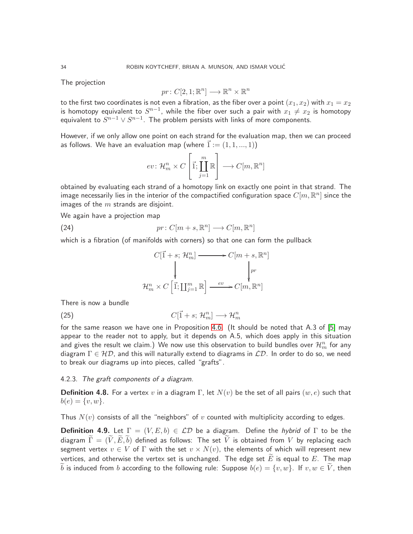The projection

$$
pr: C[2,1; \mathbb{R}^n] \longrightarrow \mathbb{R}^n \times \mathbb{R}^n
$$

to the first two coordinates is not even a fibration, as the fiber over a point  $(x_1, x_2)$  with  $x_1 = x_2$ is homotopy equivalent to  $S^{n-1}$ , while the fiber over such a pair with  $x_1\neq x_2$  is homotopy equivalent to  $S^{n-1} \vee S^{n-1}.$  The problem persists with links of more components.

However, if we only allow one point on each strand for the evaluation map, then we can proceed as follows. We have an evaluation map (where  $\vec{1} := (1, 1, ..., 1)$ )

$$
ev \colon \mathcal{H}_m^n \times C \left[\vec{1}; \coprod_{j=1}^m \mathbb{R} \right] \longrightarrow C[m, \mathbb{R}^n]
$$

obtained by evaluating each strand of a homotopy link on exactly one point in that strand. The image necessarily lies in the interior of the compactified configuration space  $C[m,\mathbb{R}^n]$  since the images of the  $m$  strands are disjoint.

We again have a projection map

(24) 
$$
pr: C[m+s, \mathbb{R}^n] \longrightarrow C[m, \mathbb{R}^n]
$$

which is a fibration (of manifolds with corners) so that one can form the pullback

<span id="page-33-1"></span>
$$
C[\vec{1} + s; \mathcal{H}_m^n] \longrightarrow C[m+s, \mathbb{R}^n]
$$
  

$$
\downarrow \qquad \qquad \downarrow r_m
$$
  

$$
\mathcal{H}_m^n \times C[\vec{1}; \coprod_{j=1}^m \mathbb{R}] \xrightarrow{ev} C[m, \mathbb{R}^n]
$$

There is now a bundle

(25)  $C[\vec{1} + s; \mathcal{H}_m^n] \longrightarrow \mathcal{H}_m^n$ 

for the same reason we have one in Proposition [4.6.](#page-32-1) (It should be noted that A.3 of [\[5\]](#page-63-2) may appear to the reader not to apply, but it depends on A.5, which does apply in this situation and gives the result we claim.) We now use this observation to build bundles over  $\mathcal{H}_m^n$  for any diagram  $\Gamma \in \mathcal{HD}$ , and this will naturally extend to diagrams in  $\mathcal{LD}$ . In order to do so, we need to break our diagrams up into pieces, called "grafts".

### <span id="page-33-0"></span>4.2.3. The graft components of a diagram.

**Definition 4.8.** For a vertex v in a diagram Γ, let  $N(v)$  be the set of all pairs  $(w, e)$  such that  $b(e) = \{v, w\}.$ 

Thus  $N(v)$  consists of all the "neighbors" of v counted with multiplicity according to edges.

**Definition 4.9.** Let  $\Gamma = (V, E, b) \in \mathcal{LD}$  be a diagram. Define the hybrid of  $\Gamma$  to be the diagram  $\widetilde{\Gamma} = (\widetilde{V}, \widetilde{E}, b)$  defined as follows: The set  $\widetilde{V}$  is obtained from V by replacing each segment vertex  $v \in V$  of  $\Gamma$  with the set  $v \times N(v)$ , the elements of which will represent new vertices, and otherwise the vertex set is unchanged. The edge set  $E$  is equal to E. The map b is induced from b according to the following rule: Suppose  $b(e) = \{v, w\}$ . If  $v, w \in \tilde{V}$ , then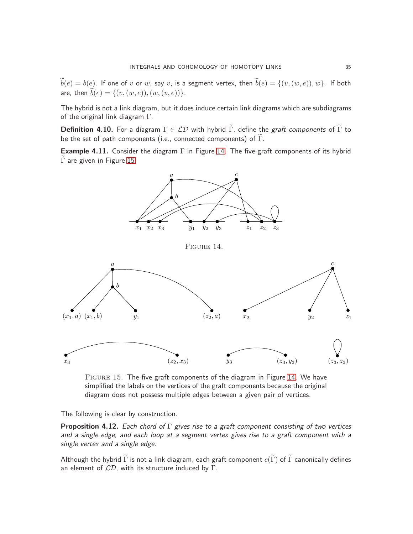$\widetilde{b}(e) = b(e)$ . If one of  $v$  or  $w$ , say  $v$ , is a segment vertex, then  $\widetilde{b}(e) = \{(v,(w,e)), w\}$ . If both are, then  $b(e) = \{(v,(w,e)),(w,(v,e))\}.$ 

The hybrid is not a link diagram, but it does induce certain link diagrams which are subdiagrams of the original link diagram  $\Gamma$ .

<span id="page-34-0"></span>Definition 4.10. For a diagram  $\Gamma \in \mathcal{LD}$  with hybrid  $\widetilde{\Gamma}$ , define the graft components of  $\widetilde{\Gamma}$  to be the set of path components (i.e., connected components) of  $\widetilde{\Gamma}$ .

**Example 4.11.** Consider the diagram  $\Gamma$  in Figure [14.](#page-34-1) The five graft components of its hybrid  $\overline{\Gamma}$  are given in Figure [15.](#page-34-2)



<span id="page-34-2"></span><span id="page-34-1"></span>Figure 15. The five graft components of the diagram in Figure [14.](#page-34-1) We have simplified the labels on the vertices of the graft components because the original diagram does not possess multiple edges between a given pair of vertices.

The following is clear by construction.

<span id="page-34-3"></span>**Proposition 4.12.** Each chord of  $\Gamma$  gives rise to a graft component consisting of two vertices and a single edge, and each loop at a segment vertex gives rise to a graft component with a single vertex and a single edge.

Although the hybrid  $\widetilde{\Gamma}$  is not a link diagram, each graft component  $c(\widetilde{\Gamma})$  of  $\widetilde{\Gamma}$  canonically defines an element of  $\mathcal{LD}$ , with its structure induced by  $\Gamma$ .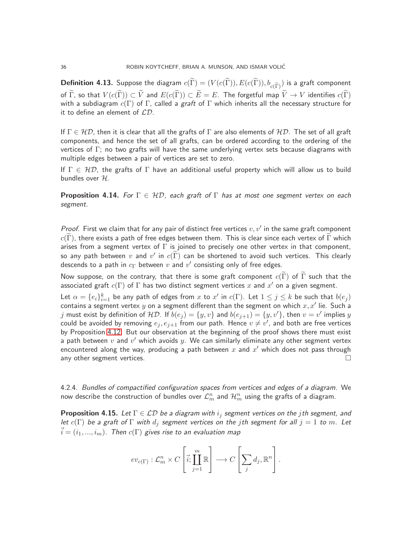<span id="page-35-0"></span> ${\bf Definition \ 4.13.}$  Suppose the diagram  $c(\Gamma)=(V(c(\Gamma)),E(c(\Gamma)),b_{c(\widetilde\Gamma)})$  is a graft component of  $\widetilde{\Gamma}$ , so that  $V(c(\widetilde{\Gamma})) \subset \widetilde{V}$  and  $E(c(\widetilde{\Gamma})) \subset \widetilde{E} = E$ . The forgetful map  $\widetilde{V} \to V$  identifies  $c(\widetilde{\Gamma})$ with a subdiagram  $c(\Gamma)$  of  $\Gamma$ , called a graft of  $\Gamma$  which inherits all the necessary structure for it to define an element of  $LD$ .

If  $\Gamma \in \mathcal{HD}$ , then it is clear that all the grafts of  $\Gamma$  are also elements of  $\mathcal{HD}$ . The set of all graft components, and hence the set of all grafts, can be ordered according to the ordering of the vertices of  $\Gamma$ ; no two grafts will have the same underlying vertex sets because diagrams with multiple edges between a pair of vertices are set to zero.

If  $\Gamma \in \mathcal{HD}$ , the grafts of  $\Gamma$  have an additional useful property which will allow us to build bundles over  $H$ .

<span id="page-35-2"></span>**Proposition 4.14.** For  $\Gamma \in \mathcal{HD}$ , each graft of  $\Gamma$  has at most one segment vertex on each segment.

Proof. First we claim that for any pair of distinct free vertices  $v, v'$  in the same graft component  $c(\Gamma)$ , there exists a path of free edges between them. This is clear since each vertex of Γ which arises from a segment vertex of  $\Gamma$  is joined to precisely one other vertex in that component, so any path between  $v$  and  $v'$  in  $c(\Gamma)$  can be shortened to avoid such vertices. This clearly descends to a path in  $c_\Gamma$  between  $v$  and  $v'$  consisting only of free edges.

Now suppose, on the contrary, that there is some graft component  $c(\tilde{\Gamma})$  of  $\tilde{\Gamma}$  such that the associated graft  $c(\Gamma)$  of  $\Gamma$  has two distinct segment vertices  $x$  and  $x'$  on a given segment.

Let  $\alpha = \{e_i\}_{i=1}^k$  be any path of edges from  $x$  to  $x'$  in  $c(\Gamma)$ . Let  $1 \leq j \leq k$  be such that  $b(e_j)$ contains a segment vertex  $y$  on a segment different than the segment on which  $x, x'$  lie. Such a  $j$  must exist by definition of  $\mathcal{HD}.$  If  $b(e_j)=\{y,v\}$  and  $b(e_{j+1})=\{y,v'\}$ , then  $v=v'$  implies  $y$ could be avoided by removing  $e_j,e_{j+1}$  from our path. Hence  $v\neq v'$ , and both are free vertices by Proposition [4.12.](#page-34-3) But our observation at the beginning of the proof shows there must exist a path between  $v$  and  $v^\prime$  which avoids  $y.$  We can similarly eliminate any other segment vertex encountered along the way, producing a path between  $x$  and  $x'$  which does not pass through any other segment vertices.  $\Box$ 

<span id="page-35-1"></span>4.2.4. Bundles of compactified configuration spaces from vertices and edges of a diagram. We now describe the construction of bundles over  $\mathcal{L}^n_m$  and  $\mathcal{H}^n_m$  using the grafts of a diagram.

**Proposition 4.15.** Let  $\Gamma \in \mathcal{LD}$  be a diagram with  $i_j$  segment vertices on the jth segment, and let  $c(\Gamma)$  be a graft of  $\Gamma$  with  $d_j$  segment vertices on the jth segment for all  $j=1$  to m. Let  $i = (i_1, ..., i_m)$ . Then  $c(\Gamma)$  gives rise to an evaluation map

$$
ev_{c(\Gamma)}: \mathcal{L}_m^n \times C \left[\vec{i}; \prod_{j=1}^m \mathbb{R}\right] \longrightarrow C \left[\sum_j d_j, \mathbb{R}^n\right].
$$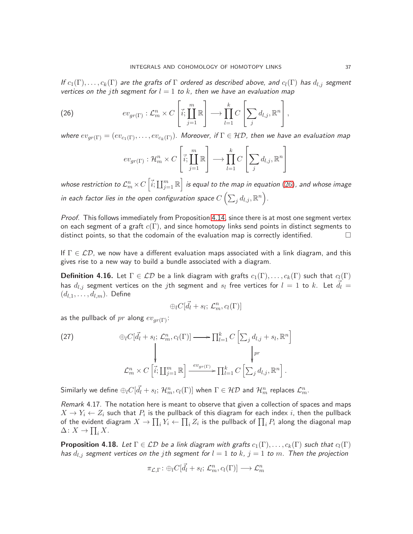If  $c_1(\Gamma), \ldots, c_k(\Gamma)$  are the grafts of  $\Gamma$  ordered as described above, and  $c_l(\Gamma)$  has  $d_{l,i}$  segment vertices on the jth segment for  $l = 1$  to k, then we have an evaluation map

(26) 
$$
ev_{gr(\Gamma)} : \mathcal{L}_m^n \times C \left[ \vec{i}; \prod_{j=1}^m \mathbb{R} \right] \longrightarrow \prod_{l=1}^k C \left[ \sum_j d_{l,j}, \mathbb{R}^n \right],
$$

where  $ev_{ar(\Gamma)} = (ev_{c_1(\Gamma)}, \ldots, ev_{c_k(\Gamma)})$ . Moreover, if  $\Gamma \in \mathcal{HD}$ , then we have an evaluation map

<span id="page-36-0"></span>
$$
ev_{gr(\Gamma)}: \mathcal{H}_m^n \times C\left[\vec{i}; \prod_{j=1}^m \mathbb{R}\right] \longrightarrow \prod_{l=1}^k C\left[\sum_j d_{l,j}, \mathbb{R}^n\right]
$$

whose restriction to  $\mathcal{L}_m^n\times C\left[\vec{i};\coprod_{j=1}^m\mathbb{R}\right]$  is equal to the map in equation  $(26)$ , and whose image in each factor lies in the open configuration space  $C\left(\sum_j d_{l,j}, \mathbb{R}^n\right)$ .

Proof. This follows immediately from Proposition [4.14,](#page-35-2) since there is at most one segment vertex on each segment of a graft  $c(\Gamma)$ , and since homotopy links send points in distinct segments to distinct points, so that the codomain of the evaluation map is correctly identified.  $\Box$ 

If  $\Gamma \in \mathcal{LD}$ , we now have a different evaluation maps associated with a link diagram, and this gives rise to a new way to build a bundle associated with a diagram.

<span id="page-36-1"></span>**Definition 4.16.** Let  $\Gamma \in \mathcal{LD}$  be a link diagram with grafts  $c_1(\Gamma), \ldots, c_k(\Gamma)$  such that  $c_l(\Gamma)$ has  $d_{l,j}$  segment vertices on the  $j$ th segment and  $s_l$  free vertices for  $l=1$  to  $k.$  Let  $\vec{d_l}=$  $(d_{l,1},\ldots,d_{l,m})$ . Define

$$
\oplus_l C[\vec{d}_l + s_l; \mathcal{L}_m^n, c_l(\Gamma)]
$$

as the pullback of pr along  $ev_{ar(\Gamma)}$ :

(27) 
$$
\oplus_{l} C[\vec{d}_{l} + s_{l}; \mathcal{L}_{m}^{n}, c_{l}(\Gamma)] \longrightarrow \prod_{l=1}^{k} C\left[\sum_{j} d_{l,j} + s_{l}, \mathbb{R}^{n}\right] \downarrow
$$

$$
\downarrow \downarrow r
$$

$$
\mathcal{L}_{m}^{n} \times C\left[\vec{i}; \prod_{j=1}^{m} \mathbb{R}\right] \xrightarrow{ev_{gr(\Gamma)}} \prod_{l=1}^{k} C\left[\sum_{j} d_{l,j}, \mathbb{R}^{n}\right].
$$

Similarly we define  $\oplus_l C[\vec{d_l}+s_l;\,{\cal H}_m^n,c_l(\Gamma)]$  when  $\Gamma\in{\cal HD}$  and  ${\cal H}_m^n$  replaces  ${\cal L}_m^n.$ 

Remark 4.17. The notation here is meant to observe that given a collection of spaces and maps  $X \rightarrow Y_i \leftarrow Z_i$  such that  $P_i$  is the pullback of this diagram for each index  $i$ , then the pullback of the evident diagram  $X \to \prod_i Y_i \leftarrow \prod_i Z_i$  is the pullback of  $\prod_i P_i$  along the diagonal map  $\Delta: X \to \prod_i X.$ 

**Proposition 4.18.** Let  $\Gamma \in \mathcal{LD}$  be a link diagram with grafts  $c_1(\Gamma), \ldots, c_k(\Gamma)$  such that  $c_l(\Gamma)$ has  $d_{l,j}$  segment vertices on the jth segment for  $l = 1$  to  $k, j = 1$  to  $m$ . Then the projection

$$
\pi_{\mathcal{L},\Gamma}\colon \oplus_l C[\vec{d_l}+s_l;\, \mathcal{L}^n_m,c_l(\Gamma)] \longrightarrow \mathcal{L}^n_m
$$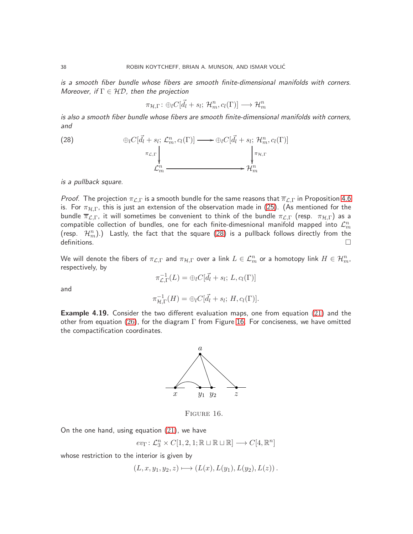is a smooth fiber bundle whose fibers are smooth finite-dimensional manifolds with corners. Moreover, if  $\Gamma \in \mathcal{HD}$ , then the projection

<span id="page-37-0"></span>
$$
\pi_{\mathcal{H},\Gamma} \colon \oplus_l C[\vec{d}_l + s_l; \mathcal{H}_m^n, c_l(\Gamma)] \longrightarrow \mathcal{H}_m^n
$$

is also a smooth fiber bundle whose fibers are smooth finite-dimensional manifolds with corners, and

(28) 
$$
\oplus_{l} C[\vec{d}_{l} + s_{l}; \mathcal{L}_{m}^{n}, c_{l}(\Gamma)] \longrightarrow \oplus_{l} C[\vec{d}_{l} + s_{l}; \mathcal{H}_{m}^{n}, c_{l}(\Gamma)]
$$
\n
$$
\downarrow_{\pi_{L,\Gamma}}
$$
\n
$$
\downarrow_{\pi_{H,\Gamma}}
$$
\n
$$
\downarrow_{\pi_{H,\Gamma}}
$$
\n
$$
\downarrow_{\pi_{H,\Gamma}}
$$
\n
$$
\downarrow_{\pi_{H,\Gamma}}
$$

is a pullback square.

*Proof.* The projection  $\pi_{\mathcal{L},\Gamma}$  is a smooth bundle for the same reasons that  $\overline{\pi}_{\mathcal{L},\Gamma}$  in Proposition [4.6](#page-32-1) is. For  $\pi_{\mathcal{H},\Gamma}$ , this is just an extension of the observation made in [\(25\)](#page-33-1). (As mentioned for the bundle  $\overline{\pi}_{\mathcal{L},\Gamma}$ , it will sometimes be convenient to think of the bundle  $\pi_{\mathcal{L},\Gamma}$  (resp.  $\pi_{\mathcal{H},\Gamma}$ ) as a compatible collection of bundles, one for each finite-dimesnional manifold mapped into  $\mathcal{L}_m^n$ (resp.  $\mathcal{H}_m^n$ ).) Lastly, the fact that the square [\(28\)](#page-37-0) is a pullback follows directly from the  $definition.$ 

We will denote the fibers of  $\pi_{\mathcal{L},\Gamma}$  and  $\pi_{\mathcal{H},\Gamma}$  over a link  $L\in\mathcal{L}_m^n$  or a homotopy link  $H\in\mathcal{H}_m^n$ , respectively, by

$$
\pi_{\mathcal{L},\Gamma}^{-1}(L) = \bigoplus_l C[\vec{d}_l + s_l; L, c_l(\Gamma)]
$$

and

$$
\pi_{\mathcal{H},\Gamma}^{-1}(H) = \bigoplus_l C[\vec{d}_l + s_l; H, c_l(\Gamma)].
$$

**Example 4.19.** Consider the two different evaluation maps, one from equation [\(21\)](#page-31-0) and the other from equation [\(26\)](#page-36-0), for the diagram  $\Gamma$  from Figure [16.](#page-37-1) For conciseness, we have omitted the compactification coordinates.



<span id="page-37-1"></span>FIGURE 16.

On the one hand, using equation  $(21)$ , we have

$$
ev_{\Gamma} \colon \mathcal{L}_3^n \times C[1,2,1; \mathbb{R} \sqcup \mathbb{R} \sqcup \mathbb{R}] \longrightarrow C[4, \mathbb{R}^n]
$$

whose restriction to the interior is given by

$$
(L, x, y1, y2, z) \mapsto (L(x), L(y1), L(y2), L(z)).
$$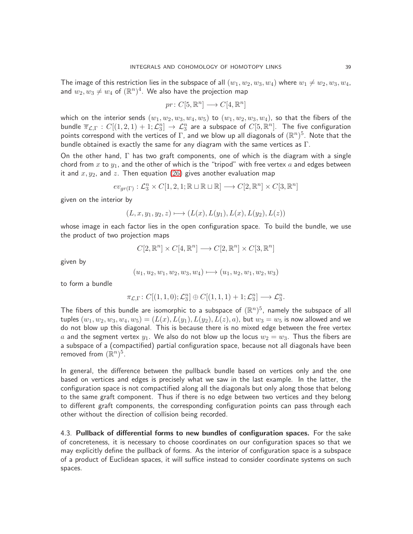The image of this restriction lies in the subspace of all  $(w_1, w_2, w_3, w_4)$  where  $w_1 \neq w_2, w_3, w_4$ , and  $w_2, w_3 \neq w_4$  of  $(\mathbb{R}^n)^4.$  We also have the projection map

$$
pr: C[5, \mathbb{R}^n] \longrightarrow C[4, \mathbb{R}^n]
$$

which on the interior sends  $(w_1, w_2, w_3, w_4, w_5)$  to  $(w_1, w_2, w_3, w_4)$ , so that the fibers of the bundle  $\overline{\pi}_{\mathcal{L},\Gamma}:C[(1,2,1)+1;\mathcal{L}_3^n]\to \mathcal{L}_3^n$  are a subspace of  $C[5,\mathbb{R}^n].$  The five configuration points correspond with the vertices of  $\Gamma$ , and we blow up all diagonals of  $(\mathbb{R}^n)^5$ . Note that the bundle obtained is exactly the same for any diagram with the same vertices as  $\Gamma$ .

On the other hand,  $\Gamma$  has two graft components, one of which is the diagram with a single chord from x to  $y_1$ , and the other of which is the "tripod" with free vertex a and edges between it and  $x, y_2$ , and  $z$ . Then equation  $(26)$  gives another evaluation map

$$
ev_{gr(\Gamma)}: \mathcal{L}_3^n \times C[1,2,1; \mathbb{R} \sqcup \mathbb{R} \sqcup \mathbb{R}] \longrightarrow C[2, \mathbb{R}^n] \times C[3, \mathbb{R}^n]
$$

given on the interior by

$$
(L, x, y_1, y_2, z) \longmapsto (L(x), L(y_1), L(x), L(y_2), L(z))
$$

whose image in each factor lies in the open configuration space. To build the bundle, we use the product of two projection maps

$$
C[2,\mathbb{R}^n] \times C[4,\mathbb{R}^n] \longrightarrow C[2,\mathbb{R}^n] \times C[3,\mathbb{R}^n]
$$

given by

$$
(u_1, u_2, w_1, w_2, w_3, w_4) \longmapsto (u_1, u_2, w_1, w_2, w_3)
$$

to form a bundle

$$
\pi_{\mathcal{L},\Gamma} \colon C[(1,1,0); \mathcal{L}_3^n] \oplus C[(1,1,1) + 1; \mathcal{L}_3^n] \longrightarrow \mathcal{L}_3^n.
$$

The fibers of this bundle are isomorphic to a subspace of  $(\mathbb{R}^n)^5$ , namely the subspace of all tuples  $(w_1, w_2, w_3, w_4, w_5) = (L(x), L(y_1), L(y_2), L(z), a)$ , but  $w_3 = w_5$  is now allowed and we do not blow up this diagonal. This is because there is no mixed edge between the free vertex a and the segment vertex  $y_1$ . We also do not blow up the locus  $w_2 = w_3$ . Thus the fibers are a subspace of a (compactified) partial configuration space, because not all diagonals have been removed from  $(\mathbb{R}^n)^5$ .

In general, the difference between the pullback bundle based on vertices only and the one based on vertices and edges is precisely what we saw in the last example. In the latter, the configuration space is not compactified along all the diagonals but only along those that belong to the same graft component. Thus if there is no edge between two vertices and they belong to different graft components, the corresponding configuration points can pass through each other without the direction of collision being recorded.

<span id="page-38-0"></span>4.3. Pullback of differential forms to new bundles of configuration spaces. For the sake of concreteness, it is necessary to choose coordinates on our configuration spaces so that we may explicitly define the pullback of forms. As the interior of configuration space is a subspace of a product of Euclidean spaces, it will suffice instead to consider coordinate systems on such spaces.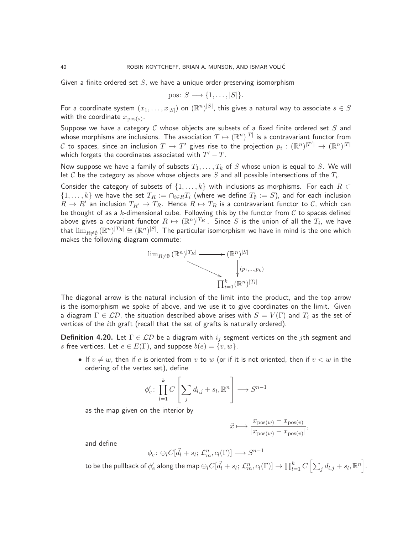Given a finite ordered set  $S$ , we have a unique order-preserving isomorphism

$$
pos \colon S \longrightarrow \{1, \ldots, |S|\}.
$$

For a coordinate system  $(x_1,\ldots,x_{|S|})$  on  $(\mathbb{R}^n)^{|S|}$ , this gives a natural way to associate  $s\in S$ with the coordinate  $x_{\mathrm{pos}(s)}.$ 

Suppose we have a category C whose objects are subsets of a fixed finite ordered set S and whose morphisms are inclusions. The association  $T\mapsto (\mathbb{R}^n)^{|T|}$  is a contravariant functor from  ${\cal C}$  to spaces, since an inclusion  $T\to T'$  gives rise to the projection  $p_i:(\mathbb{R}^n)^{|T'|}\to(\mathbb{R}^n)^{|T|}$ which forgets the coordinates associated with  $T^\prime - T.$ 

Now suppose we have a family of subsets  $T_1, \ldots, T_k$  of S whose union is equal to S. We will let  ${\cal C}$  be the category as above whose objects are  $S$  and all possible intersections of the  $T_i.$ 

Consider the category of subsets of  $\{1,\ldots,k\}$  with inclusions as morphisms. For each  $R\subset$  $\{1,\ldots,k\}$  we have the set  $T_R:=\cap_{i\in R}T_i$  (where we define  $T_\emptyset:=S$ ), and for each inclusion  $R \to R'$  an inclusion  $T_{R'} \to T_R$ . Hence  $R \mapsto T_R$  is a contravariant functor to  $C$ , which can be thought of as a k-dimensional cube. Following this by the functor from  $C$  to spaces defined above gives a covariant functor  $R\mapsto ({\mathbb R}^n)^{|T_R|}$ . Since  $S$  is the union of all the  $T_i$ , we have that  $\lim_{R\neq\emptyset}(\R^n)^{|T_R|}\cong (\R^n)^{|S|}.$  The particular isomorphism we have in mind is the one which makes the following diagram commute:



The diagonal arrow is the natural inclusion of the limit into the product, and the top arrow is the isomorphism we spoke of above, and we use it to give coordinates on the limit. Given a diagram  $\Gamma \in \mathcal{LD}$ , the situation described above arises with  $S = V(\Gamma)$  and  $T_i$  as the set of vertices of the ith graft (recall that the set of grafts is naturally ordered).

**Definition 4.20.** Let  $\Gamma \in \mathcal{LD}$  be a diagram with  $i_j$  segment vertices on the *j*th segment and s free vertices. Let  $e \in E(\Gamma)$ , and suppose  $b(e) = \{v, w\}.$ 

• If  $v \neq w$ , then if e is oriented from v to w (or if it is not oriented, then if  $v < w$  in the ordering of the vertex set), define

$$
\phi'_e \colon \prod_{l=1}^k C \left[ \sum_j d_{l,j} + s_l, \mathbb{R}^n \right] \longrightarrow S^{n-1}
$$

as the map given on the interior by

$$
\vec{x} \longmapsto \frac{x_{\text{pos}(w)} - x_{\text{pos}(v)}}{|x_{\text{pos}(w)} - x_{\text{pos}(v)}|},
$$

and define

$$
\phi_e \colon \oplus_l C[\vec{d}_l + s_l; \mathcal{L}_m^n, c_l(\Gamma)] \longrightarrow S^{n-1}
$$

to be the pullback of  $\phi'_e$  along the map  $\oplus_lC[\vec{d_l}+s_l;\,\mathcal{L}_m^n,c_l(\Gamma)]\to\prod_{l=1}^kC\left[\sum_jd_{l,j}+s_l,\mathbb{R}^n\right]$ .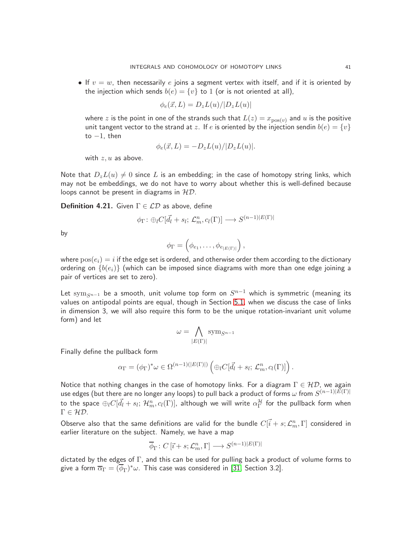• If  $v = w$ , then necessarily e joins a segment vertex with itself, and if it is oriented by the injection which sends  $b(e) = \{v\}$  to 1 (or is not oriented at all),

$$
\phi_e(\vec{x}, L) = D_z L(u) / |D_z L(u)|
$$

where z is the point in one of the strands such that  $L(z) = x_{\text{pos}(v)}$  and u is the positive unit tangent vector to the strand at z. If e is oriented by the injection sendin  $b(e) = \{v\}$ to  $-1$ , then

$$
\phi_e(\vec{x}, L) = -D_z L(u) / |D_z L(u)|.
$$

with  $z, u$  as above.

Note that  $D_zL(u) \neq 0$  since L is an embedding; in the case of homotopy string links, which may not be embeddings, we do not have to worry about whether this is well-defined because loops cannot be present in diagrams in  $HD$ .

**Definition 4.21.** Given  $\Gamma \in \mathcal{LD}$  as above, define

$$
\phi_{\Gamma} \colon \oplus_l C[\vec{d_l} + s_l; \, \mathcal{L}_m^n, c_l(\Gamma)] \longrightarrow S^{(n-1)|E(\Gamma)|}
$$

by

$$
\phi_{\Gamma} = \left(\phi_{e_1}, \ldots, \phi_{e_{|E(\Gamma)|}}\right),\,
$$

where  $pos(e_i) = i$  if the edge set is ordered, and otherwise order them according to the dictionary ordering on  $\{b(e_i)\}\$  (which can be imposed since diagrams with more than one edge joining a pair of vertices are set to zero).

Let  $\mathrm{sym}_{S^{n-1}}$  be a smooth, unit volume top form on  $S^{n-1}$  which is symmetric (meaning its values on antipodal points are equal, though in Section [5.1,](#page-51-1) when we discuss the case of links in dimension 3, we will also require this form to be the unique rotation-invariant unit volume form) and let

$$
\omega = \bigwedge_{|E(\Gamma)|} \text{sym}_{S^{n-1}}
$$

Finally define the pullback form

$$
\alpha_{\Gamma} = (\phi_{\Gamma})^* \omega \in \Omega^{(n-1)(|E(\Gamma)|)} \left( \bigoplus_l C[\vec{d}_l + s_l; \mathcal{L}_m^n, c_l(\Gamma)] \right).
$$

Notice that nothing changes in the case of homotopy links. For a diagram  $\Gamma \in \mathcal{HD}$ , we again use edges (but there are no longer any loops) to pull back a product of forms  $\omega$  from  $S^{(n-1)|E(\Gamma)|}$ to the space  $\oplus_lC[\vec{d_l}+s_l;\,\mathcal{H}^n_m,c_l(\Gamma)]$ , although we will write  $\alpha_\Gamma^{\mathcal{H}}$  for the pullback form when  $\Gamma \in \mathcal{HD}.$ 

Observe also that the same definitions are valid for the bundle  $C[\vec{i}+s; \mathcal{L}_m^n, \Gamma]$  considered in earlier literature on the subject. Namely, we have a map

$$
\overline{\phi}_{\Gamma} \colon C\left[\overrightarrow{\imath} + s; \mathcal{L}_m^n, \Gamma\right] \longrightarrow S^{(n-1)|E(\Gamma)|}
$$

dictated by the edges of Γ, and this can be used for pulling back a product of volume forms to give a form  $\overline{\alpha}_{\Gamma}=(\overline{\phi}_{\Gamma})^{*}\omega.$  This case was considered in [\[31,](#page-64-1) Section 3.2].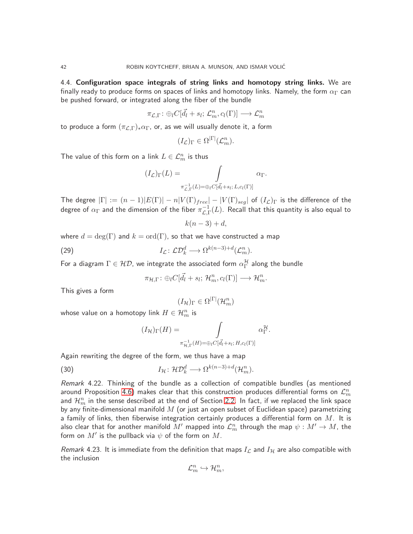<span id="page-41-0"></span>4.4. Configuration space integrals of string links and homotopy string links. We are finally ready to produce forms on spaces of links and homotopy links. Namely, the form  $\alpha_{\Gamma}$  can be pushed forward, or integrated along the fiber of the bundle

$$
\pi_{\mathcal{L},\Gamma}\colon \oplus_l C[\vec{d_l}+s_l;\, \mathcal{L}^n_m,c_l(\Gamma)] \longrightarrow \mathcal{L}^n_m
$$

to produce a form  $(\pi_{\mathcal{L},\Gamma})_* \alpha_{\Gamma}$ , or, as we will usually denote it, a form

$$
(I_{\mathcal{L}})_{\Gamma} \in \Omega^{|\Gamma|}(\mathcal{L}_m^n).
$$

The value of this form on a link  $L\in\mathcal{L}^n_m$  is thus

$$
(I_{\mathcal{L}})_{\Gamma}(L) = \int_{\pi_{\mathcal{L},\Gamma}^{-1}(L) = \bigoplus_{l} C[\vec{d}_l + s_l; L, c_l(\Gamma)]} \alpha_{\Gamma}.
$$

The degree  $|\Gamma| := (n-1)|E(\Gamma)| - n|V(\Gamma)_{free}| - |V(\Gamma)_{seg}|$  of  $(I_{\mathcal{L}})_{\Gamma}$  is the difference of the degree of  $\alpha_\Gamma$  and the dimension of the fiber  $\pi_{\mathcal{L},\Gamma}^{-1}(L)$ . Recall that this quantity is also equal to

$$
k(n-3)+d,
$$

where  $d = \deg(\Gamma)$  and  $k = \text{ord}(\Gamma)$ , so that we have constructed a map

(29) 
$$
I_{\mathcal{L}}: \mathcal{L}\mathcal{D}_k^d \longrightarrow \Omega^{k(n-3)+d}(\mathcal{L}_m^n).
$$

For a diagram  $\Gamma\in{\mathcal{HD} }$ , we integrate the associated form  $\alpha^{\mathcal{H}}_{\Gamma}$  along the bundle

<span id="page-41-1"></span>
$$
\pi_{\mathcal{H},\Gamma} \colon \oplus_l C[\vec{d}_l + s_l; \mathcal{H}_m^n, c_l(\Gamma)] \longrightarrow \mathcal{H}_m^n.
$$

This gives a form

$$
(I_{\mathcal{H}})_{\Gamma} \in \Omega^{|\Gamma|}(\mathcal{H}_m^n)
$$

whose value on a homotopy link  $H\in\mathcal{H}_m^n$  is

$$
(I_{\mathcal{H}})_{\Gamma}(H) = \int \limits_{\pi_{\mathcal{H},\Gamma}^{-1}(H) = \bigoplus_{l} C[\vec{d}_l + s_l; H, c_l(\Gamma)]} \alpha_{\Gamma}^{\mathcal{H}}.
$$

Again rewriting the degree of the form, we thus have a map

(30) 
$$
I_{\mathcal{H}} \colon \mathcal{HD}_{k}^{d} \longrightarrow \Omega^{k(n-3)+d}(\mathcal{H}_{m}^{n}).
$$

Remark 4.22. Thinking of the bundle as a collection of compatible bundles (as mentioned around Proposition [4.6\)](#page-32-1) makes clear that this construction produces differential forms on  $\mathcal{L}_m^n$ and  $\mathcal{H}_m^n$  in the sense described at the end of Section [2.2.](#page-6-0) In fact, if we replaced the link space by any finite-dimensional manifold  $M$  (or just an open subset of Euclidean space) parametrizing a family of links, then fiberwise integration certainly produces a differential form on  $M$ . It is also clear that for another manifold  $M'$  mapped into  $\mathcal{L}_m^n$  through the map  $\psi:M'\to M$ , the form on  $M'$  is the pullback via  $\psi$  of the form on  $M.$ 

Remark 4.23. It is immediate from the definition that maps  $I_{\mathcal{L}}$  and  $I_{\mathcal{H}}$  are also compatible with the inclusion

$$
\mathcal{L}_m^n \hookrightarrow \mathcal{H}_m^n,
$$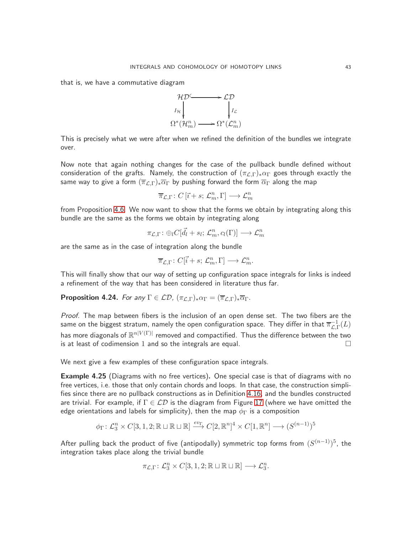that is, we have a commutative diagram



This is precisely what we were after when we refined the definition of the bundles we integrate over.

Now note that again nothing changes for the case of the pullback bundle defined without consideration of the grafts. Namely, the construction of  $(\pi_{\mathcal{L},\Gamma})_* \alpha_{\Gamma}$  goes through exactly the same way to give a form  $(\overline{\pi}_{\mathcal{L},\Gamma})_*\overline{\alpha}_{\Gamma}$  by pushing forward the form  $\overline{\alpha}_{\Gamma}$  along the map

$$
\overline{\pi}_{\mathcal{L},\Gamma} \colon C\left[\overrightarrow{\imath}+s;\,\mathcal{L}_{m}^{n},\Gamma\right] \longrightarrow \mathcal{L}_{m}^{n}
$$

from Proposition [4.6.](#page-32-1) We now want to show that the forms we obtain by integrating along this bundle are the same as the forms we obtain by integrating along

$$
\pi_{\mathcal{L},\Gamma} \colon \oplus_l C[\vec{d_l} + s_l; \, \mathcal{L}_m^n, c_l(\Gamma)] \longrightarrow \mathcal{L}_m^n
$$

are the same as in the case of integration along the bundle

$$
\overline{\pi}_{\mathcal{L},\Gamma} \colon C[\vec{i}+s;\, \mathcal{L}_m^n, \Gamma] \longrightarrow \mathcal{L}_m^n.
$$

This will finally show that our way of setting up configuration space integrals for links is indeed a refinement of the way that has been considered in literature thus far.

<span id="page-42-0"></span>**Proposition 4.24.** For any  $\Gamma \in \mathcal{LD}$ ,  $(\pi_{\mathcal{L},\Gamma})_* \alpha_{\Gamma} = (\overline{\pi}_{\mathcal{L},\Gamma})_* \overline{\alpha}_{\Gamma}$ .

Proof. The map between fibers is the inclusion of an open dense set. The two fibers are the same on the biggest stratum, namely the open configuration space. They differ in that  $\overline{\pi}_{\mathcal{L},\Gamma}^{-1}(L)$ has more diagonals of  $\mathbb{R}^{n|V(\Gamma)|}$  removed and compactified. Thus the difference between the two is at least of codimension 1 and so the integrals are equal.  $\Box$ 

We next give a few examples of these configuration space integrals.

Example 4.25 (Diagrams with no free vertices). One special case is that of diagrams with no free vertices, i.e. those that only contain chords and loops. In that case, the construction simplifies since there are no pullback constructions as in Definition [4.16,](#page-36-1) and the bundles constructed are trivial. For example, if  $\Gamma \in \mathcal{LD}$  is the diagram from Figure [17](#page-43-1) (where we have omitted the edge orientations and labels for simplicity), then the map  $\phi_{\Gamma}$  is a composition

$$
\phi_{\Gamma} \colon \mathcal{L}_3^n \times C[3, 1, 2; \mathbb{R} \sqcup \mathbb{R} \sqcup \mathbb{R}] \xrightarrow{ev_{\Gamma}} C[2, \mathbb{R}^n]^4 \times C[1, \mathbb{R}^n] \longrightarrow (S^{(n-1)})^5
$$

After pulling back the product of five (antipodally) symmetric top forms from  $(S^{(n-1)})^5$ , the integration takes place along the trivial bundle

$$
\pi_{\mathcal{L},\Gamma} \colon \mathcal{L}_3^n \times C[3,1,2;\mathbb{R} \sqcup \mathbb{R} \sqcup \mathbb{R}] \longrightarrow \mathcal{L}_3^n.
$$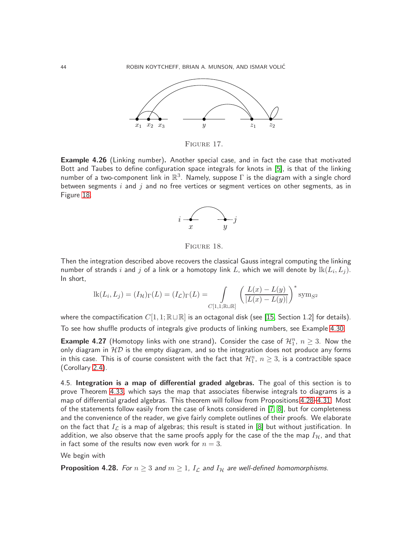

<span id="page-43-1"></span>FIGURE 17.

<span id="page-43-4"></span>Example 4.26 (Linking number). Another special case, and in fact the case that motivated Bott and Taubes to define configuration space integrals for knots in [\[5\]](#page-63-2), is that of the linking number of a two-component link in  $\mathbb{R}^3$ . Namely, suppose  $\Gamma$  is the diagram with a single chord between segments  $i$  and  $j$  and no free vertices or segment vertices on other segments, as in Figure [18.](#page-43-2)



<span id="page-43-2"></span>FIGURE 18.

Then the integration described above recovers the classical Gauss integral computing the linking number of strands  $i$  and  $j$  of a link or a homotopy link  $L$ , which we will denote by  $\operatorname{lk}(L_i,L_j).$ In short,

$$
lk(L_i, L_j) = (I_{\mathcal{H}})_{\Gamma}(L) = (I_{\mathcal{L}})_{\Gamma}(L) = \int_{C[1,1; \mathbb{R} \cup \mathbb{R}]} \left( \frac{L(x) - L(y)}{|L(x) - L(y)|} \right)^* \text{sym}_{S^2}
$$

where the compactification  $C[1, 1; \mathbb{R} \sqcup \mathbb{R}]$  is an octagonal disk (see [\[15,](#page-63-15) Section 1.2] for details).

To see how shuffle products of integrals give products of linking numbers, see Example [4.30.](#page-45-0)

**Example 4.27** (Homotopy links with one strand). Consider the case of  $\mathcal{H}_1^n$ ,  $n \geq 3$ . Now the only diagram in  $\mathcal{HD}$  is the empty diagram, and so the integration does not produce any forms in this case. This is of course consistent with the fact that  $\mathcal{H}_1^n$ ,  $n\geq 3$ , is a contractible space (Corollary [2.4\)](#page-5-5).

<span id="page-43-0"></span>4.5. Integration is a map of differential graded algebras. The goal of this section is to prove Theorem [4.33,](#page-50-0) which says the map that associates fiberwise integrals to diagrams is a map of differential graded algebras. This theorem will follow from Propositions [4.28–](#page-43-3)[4.31.](#page-47-0) Most of the statements follow easily from the case of knots considered in [\[7,](#page-63-1) [8\]](#page-63-3), but for completeness and the convenience of the reader, we give fairly complete outlines of their proofs. We elaborate on the fact that  $I_{\mathcal{L}}$  is a map of algebras; this result is stated in [\[8\]](#page-63-3) but without justification. In addition, we also observe that the same proofs apply for the case of the the map  $I_{\mathcal{H}}$ , and that in fact some of the results now even work for  $n = 3$ .

#### We begin with

<span id="page-43-3"></span>**Proposition 4.28.** For  $n \geq 3$  and  $m \geq 1$ ,  $I_{\mathcal{L}}$  and  $I_{\mathcal{H}}$  are well-defined homomorphisms.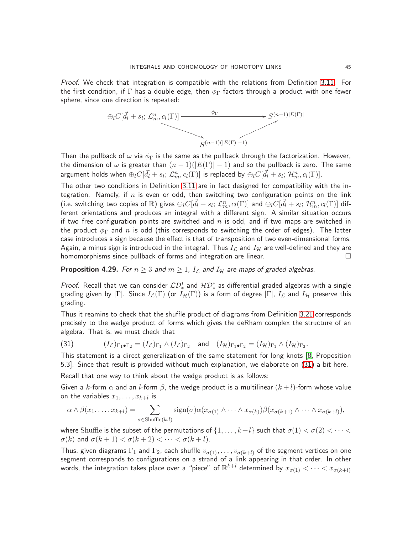Proof. We check that integration is compatible with the relations from Definition [3.11.](#page-10-2) For the first condition, if  $\Gamma$  has a double edge, then  $\phi_{\Gamma}$  factors through a product with one fewer sphere, since one direction is repeated:



Then the pullback of  $\omega$  via  $\phi_{\Gamma}$  is the same as the pullback through the factorization. However, the dimension of  $\omega$  is greater than  $(n-1)(|E(\Gamma)|-1)$  and so the pullback is zero. The same argument holds when  $\oplus_lC[\vec{d_l}+s_l;\,\mathcal{L}_m^n,c_l(\Gamma)]$  is replaced by  $\oplus_lC[\vec{d_l}+s_l;\,\mathcal{H}_m^n,c_l(\Gamma)].$ 

The other two conditions in Definition [3.11](#page-10-2) are in fact designed for compatibility with the integration. Namely, if  $n$  is even or odd, then switching two configuration points on the link (i.e. switching two copies of  $\R$ ) gives  $\oplus_lC[\vec{d_l}+s_l;\,{\cal L}_m^n,c_l(\Gamma)]$  and  $\oplus_lC[\vec{d_l}+s_l;\,{\cal H}_m^n,c_l(\Gamma)]$  different orientations and produces an integral with a different sign. A similar situation occurs if two free configuration points are switched and  $n$  is odd, and if two maps are switched in the product  $\phi_{\Gamma}$  and n is odd (this corresponds to switching the order of edges). The latter case introduces a sign because the effect is that of transposition of two even-dimensional forms. Again, a minus sign is introduced in the integral. Thus  $I_{\mathcal{L}}$  and  $I_{\mathcal{H}}$  are well-defined and they are homomorphisms since pullback of forms and integration are linear.  $\hfill \Box$ 

## <span id="page-44-1"></span>**Proposition 4.29.** For  $n \geq 3$  and  $m \geq 1$ ,  $I_{\mathcal{L}}$  and  $I_{\mathcal{H}}$  are maps of graded algebras.

*Proof.* Recall that we can consider  $\mathcal{LD}_*^*$  and  $\mathcal{HD}_*^*$  as differential graded algebras with a single grading given by  $|\Gamma|$ . Since  $I_{\mathcal{L}}(\Gamma)$  (or  $I_{\mathcal{H}}(\Gamma)$ ) is a form of degree  $|\Gamma|$ ,  $I_{\mathcal{L}}$  and  $I_{\mathcal{H}}$  preserve this grading.

Thus it reamins to check that the shuffle product of diagrams from Definition [3.21](#page-15-2) corresponds precisely to the wedge product of forms which gives the deRham complex the structure of an algebra. That is, we must check that

<span id="page-44-0"></span>(31) 
$$
(I_{\mathcal{L}})_{\Gamma_1 \bullet \Gamma_2} = (I_{\mathcal{L}})_{\Gamma_1} \wedge (I_{\mathcal{L}})_{\Gamma_2} \text{ and } (I_{\mathcal{H}})_{\Gamma_1 \bullet \Gamma_2} = (I_{\mathcal{H}})_{\Gamma_1} \wedge (I_{\mathcal{H}})_{\Gamma_2}.
$$

This statement is a direct generalization of the same statement for long knots [\[8,](#page-63-3) Proposition 5.3]. Since that result is provided without much explanation, we elaborate on [\(31\)](#page-44-0) a bit here.

Recall that one way to think about the wedge product is as follows:

Given a k-form  $\alpha$  and an l-form  $\beta$ , the wedge product is a multilinear  $(k+l)$ -form whose value on the variables  $x_1, \ldots, x_{k+l}$  is

$$
\alpha \wedge \beta(x_1,\ldots,x_{k+l}) = \sum_{\sigma \in \text{Shuffle}(k,l)} \text{sign}(\sigma) \alpha(x_{\sigma(1)} \wedge \cdots \wedge x_{\sigma(k)}) \beta(x_{\sigma(k+1)} \wedge \cdots \wedge x_{\sigma(k+l)}),
$$

where Shuffle is the subset of the permutations of  $\{1, \ldots, k+l\}$  such that  $\sigma(1) < \sigma(2) < \cdots <$  $\sigma(k)$  and  $\sigma(k+1) < \sigma(k+2) < \cdots < \sigma(k+l)$ .

Thus, given diagrams  $\Gamma_1$  and  $\Gamma_2$ , each shuffle  $v_{\sigma(1)}, \ldots, v_{\sigma(k+l)}$  of the segment vertices on one segment corresponds to configurations on a strand of a link appearing in that order. In other words, the integration takes place over a "piece" of  $\mathbb{R}^{k+l}$  determined by  $x_{\sigma(1)}<\cdots < x_{\sigma(k+l)}$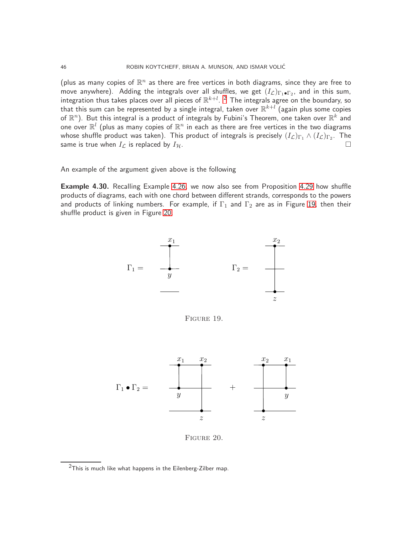(plus as many copies of  $\mathbb{R}^n$  as there are free vertices in both diagrams, since they are free to move anywhere). Adding the integrals over all shuffles, we get  $(I_{\mathcal{L}})_{\Gamma_1\bullet \Gamma_2}$ , and in this sum, integration thus takes places over all pieces of  $\mathbb{R}^{k+l}$ . <sup>[2](#page-45-1)</sup> The integrals agree on the boundary, so that this sum can be represented by a single integral, taken over  $\mathbb{R}^{k+l}$  (again plus some copies of  $\mathbb{R}^n).$  But this integral is a product of integrals by Fubini's Theorem, one taken over  $\mathbb{R}^k$  and one over  $\mathbb{R}^l$  (plus as many copies of  $\mathbb{R}^n$  in each as there are free vertices in the two diagrams whose shuffle product was taken). This product of integrals is precisely  $(I_\mathcal{L})_{\Gamma_1}\wedge (I_\mathcal{L})_{\Gamma_2}.$  The same is true when  $I_{\mathcal{L}}$  is replaced by  $I_{\mathcal{H}}$ .

An example of the argument given above is the following

<span id="page-45-0"></span>**Example 4.30.** Recalling Example [4.26,](#page-43-4) we now also see from Proposition [4.29](#page-44-1) how shuffle products of diagrams, each with one chord between different strands, corresponds to the powers and products of linking numbers. For example, if  $\Gamma_1$  and  $\Gamma_2$  are as in Figure [19,](#page-45-2) then their shuffle product is given in Figure [20.](#page-45-3)



<span id="page-45-2"></span>Figure 19.



<span id="page-45-3"></span>Figure 20.

<span id="page-45-1"></span> $2$ This is much like what happens in the Eilenberg-Zilber map.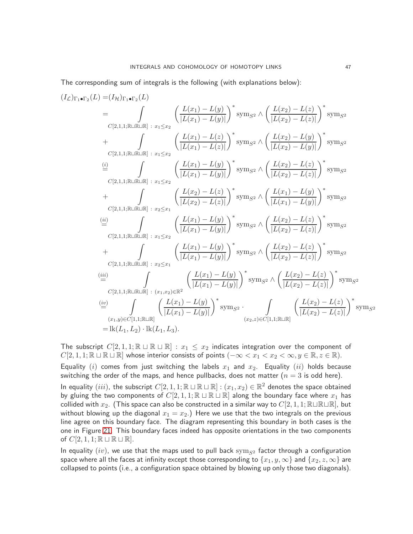The corresponding sum of integrals is the following (with explanations below):

$$
(I_{\mathcal{L}})_{\Gamma_{1}\bullet\Gamma_{2}}(L) = (I_{\mathcal{H}})_{\Gamma_{1}\bullet\Gamma_{2}}(L)
$$
\n
$$
= \int_{C[2,1,1;\mathbb{R}\sqcup\mathbb{R}\sqcup\mathbb{R}]} \frac{\left(L(x_{1}) - L(y)\right)^{2}}{|L(x_{1}) - L(y)|} \int_{\mathbb{R}}^{x_{2}} \wedge \left(\frac{L(x_{2}) - L(z)}{|L(x_{2}) - L(z)|}\right)^{2} \operatorname{sym}_{S^{2}}
$$
\n
$$
+ \int_{C[2,1,1;\mathbb{R}\sqcup\mathbb{R}\sqcup\mathbb{R}]} \frac{\left(L(x_{1}) - L(z)\right)^{2}}{|L(x_{1}) - L(z)|} \int_{\mathbb{R}}^{x_{2}} \wedge \left(\frac{L(x_{2}) - L(y)}{|L(x_{2}) - L(y)|}\right)^{2} \operatorname{sym}_{S^{2}}
$$
\n
$$
\stackrel{(a)}{=} \int_{C[2,1,1;\mathbb{R}\sqcup\mathbb{R}\sqcup\mathbb{R}]} \frac{\left(L(x_{1}) - L(y)\right)^{2}}{|L(x_{1}) - L(y)|} \int_{\mathbb{R}}^{x_{2}} \operatorname{sym}_{S^{2}} \wedge \left(\frac{L(x_{2}) - L(z)}{|L(x_{2}) - L(z)|}\right)^{2} \operatorname{sym}_{S^{2}}
$$
\n
$$
+ \int_{C[2,1,1;\mathbb{R}\sqcup\mathbb{R}\sqcup\mathbb{R}]} \frac{\left(L(x_{2}) - L(z)\right)^{2}}{|L(x_{2}) - L(z)|} \int_{\mathbb{R}}^{x_{2}} \operatorname{sym}_{S^{2}}
$$
\n
$$
\stackrel{(b)}{=} \int_{C[2,1,1;\mathbb{R}\sqcup\mathbb{R}\sqcup\mathbb{R}]} \frac{\left(L(x_{1}) - L(y)\right)^{2}}{|L(x_{1}) - L(y)|} \int_{\mathbb{R}}^{x_{2}} \operatorname{sym}_{S^{2}} \wedge \left(\frac{L(x_{2}) - L(z)}{|L(x_{1}) - L(y)|}\right)^{2} \operatorname{sym}_{S^{2}}
$$
\n
$$
+ \int_{C[2,1,1;\mathbb{R}\sqcup\mathbb{R}]} \frac{\left(L(x_{1}) - L(y)\right)^{2}}{|L(x_{1}) - L(y)|} \
$$

The subscript  $C[2, 1, 1; \mathbb{R} \sqcup \mathbb{R} \sqcup \mathbb{R}] : x_1 \leq x_2$  indicates integration over the component of  $C[2, 1, 1; \mathbb{R} \sqcup \mathbb{R} \sqcup \mathbb{R}]$  whose interior consists of points  $(-\infty < x_1 < x_2 < \infty, y \in \mathbb{R}, z \in \mathbb{R})$ . Equality  $(i)$  comes from just switching the labels  $x_1$  and  $x_2$ . Equality  $(ii)$  holds because switching the order of the maps, and hence pullbacks, does not matter ( $n = 3$  is odd here). In equality  $(iii)$ , the subscript  $C[2,1,1; \mathbb{R} \sqcup \mathbb{R} \sqcup \mathbb{R}]: (x_1, x_2) \in \mathbb{R}^2$  denotes the space obtained by gluing the two components of  $C[2, 1, 1; \mathbb{R} \sqcup \mathbb{R} \sqcup \mathbb{R}]$  along the boundary face where  $x_1$  has collided with  $x_2$ . (This space can also be constructed in a similar way to  $C[2, 1, 1; \mathbb{R} \sqcup \mathbb{R} \sqcup \mathbb{R}]$ , but without blowing up the diagonal  $x_1 = x_2$ .) Here we use that the two integrals on the previous line agree on this boundary face. The diagram representing this boundary in both cases is the one in Figure [21.](#page-47-1) This boundary faces indeed has opposite orientations in the two components of  $C[2, 1, 1; \mathbb{R} \sqcup \mathbb{R} \sqcup \mathbb{R}].$ 

In equality  $(iv)$ , we use that the maps used to pull back sym<sub>S2</sub> factor through a configuration space where all the faces at infinity except those corresponding to  $\{x_1, y, \infty\}$  and  $\{x_2, z, \infty\}$  are collapsed to points (i.e., a configuration space obtained by blowing up only those two diagonals).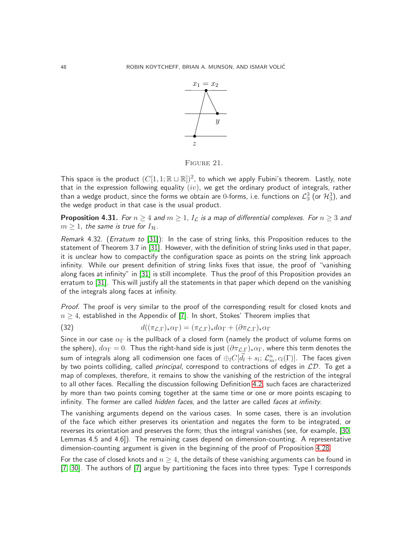

<span id="page-47-1"></span>Figure 21.

This space is the product  $(C[1,1;\mathbb{R}\sqcup\mathbb{R}])^2$ , to which we apply Fubini's theorem. Lastly, note that in the expression following equality  $(iv)$ , we get the ordinary product of integrals, rather than a wedge product, since the forms we obtain are 0-forms, i.e. functions on  $\mathcal{L}_3^3$  (or  $\mathcal{H}_3^3$ ), and the wedge product in that case is the usual product.

<span id="page-47-0"></span>**Proposition 4.31.** For  $n \geq 4$  and  $m \geq 1$ ,  $I_{\mathcal{L}}$  is a map of differential complexes. For  $n \geq 3$  and  $m \geq 1$ , the same is true for  $I_{\mathcal{H}}$ .

Remark 4.32. (Erratum to [\[31\]](#page-64-1)): In the case of string links, this Proposition reduces to the statement of Theorem 3.7 in [\[31\]](#page-64-1). However, with the definition of string links used in that paper, it is unclear how to compactify the configuration space as points on the string link approach infinity. While our present definition of string links fixes that issue, the proof of "vanishing along faces at infinity" in [\[31\]](#page-64-1) is still incomplete. Thus the proof of this Proposition provides an erratum to [\[31\]](#page-64-1). This will justify all the statements in that paper which depend on the vanishing of the integrals along faces at infinity.

Proof. The proof is very similar to the proof of the corresponding result for closed knots and  $n \geq 4$ , established in the Appendix of [\[7\]](#page-63-1). In short, Stokes' Theorem implies that

<span id="page-47-2"></span>(32) 
$$
d((\pi_{\mathcal{L},\Gamma})_*\alpha_{\Gamma}) = (\pi_{\mathcal{L},\Gamma})_*d\alpha_{\Gamma} + (\partial \pi_{\mathcal{L},\Gamma})_*\alpha_{\Gamma}
$$

Since in our case  $\alpha_{\Gamma}$  is the pullback of a closed form (namely the product of volume forms on the sphere),  $d\alpha_{\Gamma}=0$ . Thus the right-hand side is just  $(\partial \pi_{\mathcal{L},\Gamma})_* \alpha_{\Gamma}$ , where this term denotes the sum of integrals along all codimension one faces of  $\oplus_lC[\vec{d_l}+s_l;\,\mathcal{L}^n_m,c_l(\Gamma)].$  The faces given by two points colliding, called *principal*, correspond to contractions of edges in  $\mathcal{LD}$ . To get a map of complexes, therefore, it remains to show the vanishing of the restriction of the integral to all other faces. Recalling the discussion following Definition [4.2,](#page-27-0) such faces are characterized by more than two points coming together at the same time or one or more points escaping to infinity. The former are called hidden faces, and the latter are called faces at infinity.

The vanishing arguments depend on the various cases. In some cases, there is an involution of the face which either preserves its orientation and negates the form to be integrated, or reverses its orientation and preserves the form; thus the integral vanishes (see, for example, [\[30,](#page-64-2) Lemmas 4.5 and 4.6]). The remaining cases depend on dimension-counting. A representative dimension-counting argument is given in the beginning of the proof of Proposition [4.28.](#page-43-3)

For the case of closed knots and  $n \geq 4$ , the details of these vanishing arguments can be found in [\[7,](#page-63-1) [30\]](#page-64-2). The authors of [\[7\]](#page-63-1) argue by partitioning the faces into three types: Type I corresponds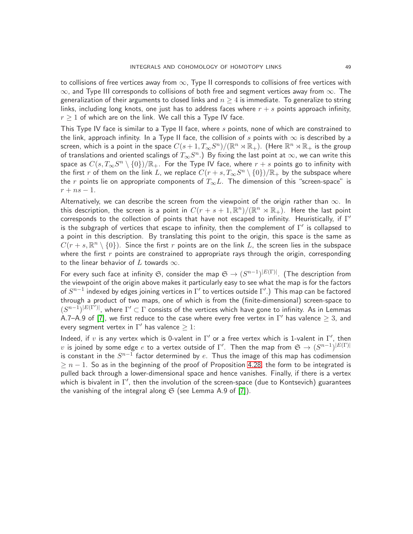to collisions of free vertices away from  $\infty$ , Type II corresponds to collisions of free vertices with  $∞$ , and Type III corresponds to collisions of both free and segment vertices away from  $∞$ . The generalization of their arguments to closed links and  $n \geq 4$  is immediate. To generalize to string links, including long knots, one just has to address faces where  $r + s$  points approach infinity,  $r \geq 1$  of which are on the link. We call this a Type IV face.

This Type IV face is similar to a Type II face, where  $s$  points, none of which are constrained to the link, approach infinity. In a Type II face, the collision of s points with  $\infty$  is described by a screen, which is a point in the space  $C(s+1,T_\infty S^n)/(\mathbb R^n\rtimes \mathbb R_+)$ . (Here  $\mathbb R^n\rtimes \mathbb R_+$  is the group of translations and oriented scalings of  $T_\infty S^n$  .) By fixing the last point at  $\infty$ , we can write this space as  $C(s, T_\infty S^n \setminus \{0\})/\mathbb{R}_+$ . For the Type IV face, where  $r+s$  points go to infinity with the first  $r$  of them on the link  $L$ , we replace  $C(r+s,T_\infty S^n\setminus\{0\})/\mathbb{R}_+$  by the subspace where the r points lie on appropriate components of  $T_{\infty}L$ . The dimension of this "screen-space" is  $r + ns - 1$ .

Alternatively, we can describe the screen from the viewpoint of the origin rather than  $\infty$ . In this description, the screen is a point in  $C(r+s+1,\mathbb{R}^n)/(\mathbb{R}^n\rtimes\mathbb{R}_+).$  Here the last point corresponds to the collection of points that have not escaped to infinity. Heuristically, if  $\Gamma'$ is the subgraph of vertices that escape to infinity, then the complement of  $\Gamma'$  is collapsed to a point in this description. By translating this point to the origin, this space is the same as  $C(r+s,\mathbb{R}^n\setminus\{0\})$ . Since the first  $r$  points are on the link  $L$ , the screen lies in the subspace where the first  $r$  points are constrained to appropriate rays through the origin, corresponding to the linear behavior of  $L$  towards  $\infty$ .

For every such face at infinity  $\mathfrak{S}$ , consider the map  $\mathfrak{S} \to (S^{n-1})^{|E(\Gamma)|}$ . (The description from the viewpoint of the origin above makes it particularly easy to see what the map is for the factors of  $S^{n-1}$  indexed by edges joining vertices in  $\Gamma'$  to vertices outside  $\Gamma'.$  ) This map can be factored through a product of two maps, one of which is from the (finite-dimensional) screen-space to  $(S^{n-1})^{|E(\Gamma')|}$ , where  $\Gamma' \subset \Gamma$  consists of the vertices which have gone to infinity. As in Lemmas A.7–A.9 of [\[7\]](#page-63-1), we first reduce to the case where every free vertex in  $\Gamma'$  has valence  $\geq 3$ , and every segment vertex in  $\Gamma'$  has valence  $\geq 1$ :

Indeed, if v is any vertex which is 0-valent in  $\Gamma'$  or a free vertex which is 1-valent in  $\Gamma'$ , then  $v$  is joined by some edge  $e$  to a vertex outside of  $\Gamma'.$  Then the map from  $\mathfrak{S} \to (S^{n-1})^{|E(\Gamma)|}$ is constant in the  $S^{n-1}$  factor determined by  $e.$  Thus the image of this map has codimension  $\geq n-1$ . So as in the beginning of the proof of Proposition [4.28,](#page-43-3) the form to be integrated is pulled back through a lower-dimensional space and hence vanishes. Finally, if there is a vertex which is bivalent in  $\Gamma'$ , then the involution of the screen-space (due to Kontsevich) guarantees the vanishing of the integral along  $\mathfrak S$  (see Lemma A.9 of [\[7\]](#page-63-1)).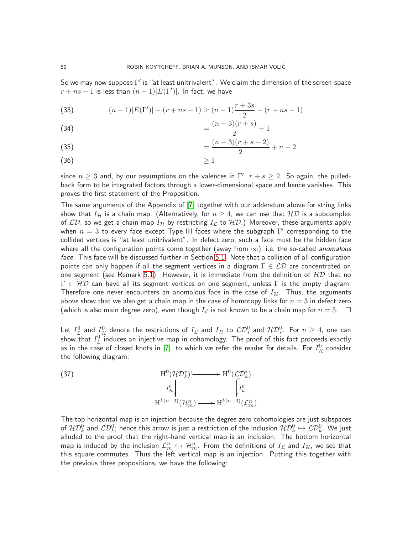So we may now suppose  $\Gamma'$  is "at least unitrivalent". We claim the dimension of the screen-space  $r + ns - 1$  is less than  $(n - 1)|E(\Gamma')|$ . In fact, we have

<span id="page-49-0"></span>(33) 
$$
(n-1)|E(\Gamma')| - (r+ns-1) \ge (n-1)\frac{r+3s}{2} - (r+ns-1)
$$

(34) 
$$
= \frac{(n-3)(r+s)}{2} + 1
$$

(35) 
$$
= \frac{(n-3)(r+s-2)}{2} + n-2
$$

$$
(36) \t\t\t\t\ge 1
$$

since  $n\geq 3$  and, by our assumptions on the valences in  $\Gamma',\ r+s\geq 2.$  So again, the pulledback form to be integrated factors through a lower-dimensional space and hence vanishes. This proves the first statement of the Proposition.

The same arguments of the Appendix of [\[7\]](#page-63-1) together with our addendum above for string links show that  $I_{\mathcal{H}}$  is a chain map. (Alternatively, for  $n\geq 4$ , we can use that  $\mathcal{HD}$  is a subcomplex of  $\mathcal{LD}$ , so we get a chain map  $I_{\mathcal{H}}$  by restricting  $I_{\mathcal{L}}$  to  $\mathcal{HD}.$ ) Moreover, these arguments apply when  $n=3$  to every face except Type III faces where the subgraph  $\Gamma'$  corresponding to the collided vertices is "at least unitrivalent". In defect zero, such a face must be the hidden face where all the configuration points come together (away from  $\infty$ ), i.e. the so-called *anomalous* face. This face will be discussed further in Section [5.1.](#page-51-1) Note that a collision of all configuration points can only happen if all the segment vertices in a diagram  $\Gamma \in \mathcal{LD}$  are concentrated on one segment (see Remark [5.1\)](#page-52-0). However, it is immediate from the definition of  $HD$  that no  $\Gamma \in \mathcal{HD}$  can have all its segment vertices on one segment, unless  $\Gamma$  is the empty diagram. Therefore one never encounters an anomalous face in the case of  $I_H$ . Thus, the arguments above show that we also get a chain map in the case of homotopy links for  $n = 3$  in defect zero (which is also main degree zero), even though  $I_{\mathcal{L}}$  is not known to be a chain map for  $n=3$ .  $\Box$ 

Let  $I^0_{\cal L}$  and  $I^0_{\cal H}$  denote the restrictions of  $I_{\cal L}$  and  $I_{\cal H}$  to  $\cal LD_*^0$  and  $\cal HD_*^0$ . For  $n\geq 4$ , one can show that  $I_{\mathcal L}^0$  induces an injective map in cohomology. The proof of this fact proceeds exactly as in the case of closed knots in [\[7\]](#page-63-1), to which we refer the reader for details. For  $I^{0}_{\cal H}$  consider the following diagram:

<span id="page-49-1"></span>(37)  
\n
$$
H^{0}(\mathcal{HD}_{k}^{*}) \longrightarrow H^{0}(\mathcal{LD}_{k}^{*})
$$
\n
$$
I_{\mathcal{H}}^{0} \downarrow \qquad \qquad \int_{I_{\mathcal{L}}^{0}} I_{\mathcal{L}}^{0}
$$
\n
$$
H^{k(n-3)}(\mathcal{H}_{m}^{n}) \longrightarrow H^{k(n-3)}(\mathcal{L}_{m}^{n})
$$

The top horizontal map is an injection because the degree zero cohomologies are just subspaces of  ${\cal HD}_k^0$  and  $\mathcal{LD}_k^0$ ; hence this arrow is just a restriction of the inclusion  ${\cal HD}_k^0\hookrightarrow\mathcal{LD}_k^0.$  We just alluded to the proof that the right-hand vertical map is an inclusion. The bottom horizontal map is induced by the inclusion  $\mathcal{L}_m^n \hookrightarrow \mathcal{H}_m^n$ . From the definitions of  $I_\mathcal{L}$  and  $I_\mathcal{H}$ , we see that this square commutes. Thus the left vertical map is an injection. Putting this together with the previous three propositions, we have the following: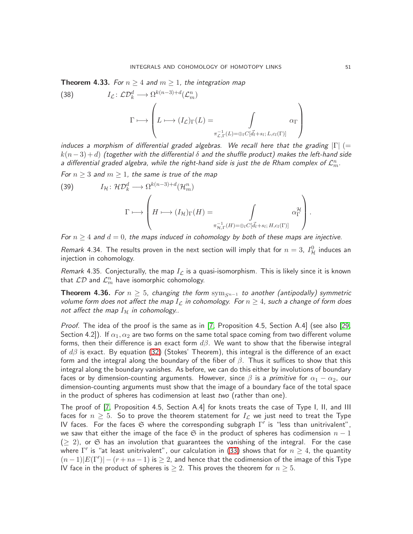<span id="page-50-0"></span>**Theorem 4.33.** For  $n \geq 4$  and  $m \geq 1$ , the integration map

(38) 
$$
I_{\mathcal{L}}: \mathcal{L}\mathcal{D}_{k}^{d} \longrightarrow \Omega^{k(n-3)+d}(\mathcal{L}_{m}^{n})
$$

$$
\Gamma \longmapsto \left( L \longmapsto (I_{\mathcal{L}})_{\Gamma}(L) = \int_{\pi_{\mathcal{L},\Gamma}^{-1}(L) = \bigoplus_{i} C[\vec{d}_{i} + s_{i}; L, c_{i}(\Gamma)]} \alpha_{\Gamma} \right)
$$

induces a morphism of differential graded algebras. We recall here that the grading  $|\Gamma|$  (=  $k(n-3) + d$ ) (together with the differential  $\delta$  and the shuffle product) makes the left-hand side a differential graded algebra, while the right-hand side is just the de Rham complex of  $\mathcal{L}_m^n$ .

For  $n \geq 3$  and  $m \geq 1$ , the same is true of the map

(39) 
$$
I_{\mathcal{H}}: \mathcal{HD}_k^d \longrightarrow \Omega^{k(n-3)+d}(\mathcal{H}_m^n)
$$

$$
\Gamma \longmapsto \left( H \longmapsto (I_{\mathcal{H}})_{\Gamma}(H) = \int_{\pi_{\mathcal{H},\Gamma}^{-1}(H) = \oplus_l C[\vec{d}_l + s_l; H, c_l(\Gamma)]} \alpha_{\Gamma}^{\mathcal{H}} \right).
$$

For  $n \geq 4$  and  $d = 0$ , the maps induced in cohomology by both of these maps are injective.

Remark 4.34. The results proven in the next section will imply that for  $n=3$ ,  $I_{\mathcal{H}}^{0}$  induces an injection in cohomology.

Remark 4.35. Conjecturally, the map  $I_{\mathcal{L}}$  is a quasi-isomorphism. This is likely since it is known that  $\mathcal{L}\mathcal{D}$  and  $\mathcal{L}^n_m$  have isomorphic cohomology.

**Theorem 4.36.** For  $n \geq 5$ , changing the form sym<sub>Sn−1</sub> to another (antipodally) symmetric volume form does not affect the map  $I_{\mathcal{L}}$  in cohomology. For  $n \geq 4$ , such a change of form does not affect the map  $I_H$  in cohomology..

Proof. The idea of the proof is the same as in [\[7,](#page-63-1) Proposition 4.5, Section A.4] (see also [\[29,](#page-64-0) Section 4.2]). If  $\alpha_1, \alpha_2$  are two forms on the same total space coming from two different volume forms, then their difference is an exact form  $d\beta$ . We want to show that the fiberwise integral of  $d\beta$  is exact. By equation [\(32\)](#page-47-2) (Stokes' Theorem), this integral is the difference of an exact form and the integral along the boundary of the fiber of  $\beta$ . Thus it suffices to show that this integral along the boundary vanishes. As before, we can do this either by involutions of boundary faces or by dimension-counting arguments. However, since  $\beta$  is a primitive for  $\alpha_1 - \alpha_2$ , our dimension-counting arguments must show that the image of a boundary face of the total space in the product of spheres has codimension at least two (rather than one).

The proof of [\[7,](#page-63-1) Proposition 4.5, Section A.4] for knots treats the case of Type I, II, and III faces for  $n \geq 5$ . So to prove the theorem statement for  $I_{\mathcal{L}}$  we just need to treat the Type IV faces. For the faces  $\mathfrak S$  where the corresponding subgraph  $\Gamma'$  is "less than unitrivalent", we saw that either the image of the face  $\mathfrak S$  in the product of spheres has codimension  $n-1$  $(\geq 2)$ , or G has an involution that guarantees the vanishing of the integral. For the case where  $\Gamma'$  is "at least unitrivalent", our calculation in [\(33\)](#page-49-0) shows that for  $n\geq 4$ , the quantity  $(n-1)|E(\Gamma')| - (r + ns - 1)$  is  $\geq 2$ , and hence that the codimension of the image of this Type IV face in the product of spheres is  $\geq 2$ . This proves the theorem for  $n \geq 5$ .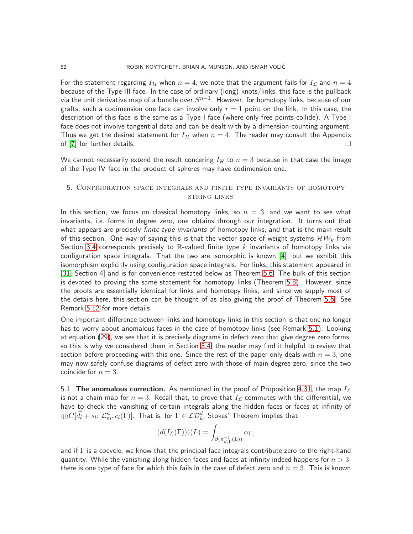For the statement regarding  $I_H$  when  $n = 4$ , we note that the argument fails for  $I_L$  and  $n = 4$ because of the Type III face. In the case of ordinary (long) knots/links, this face is the pullback via the unit derivative map of a bundle over  $S^{n-1}.$  However, for homotopy links, because of our grafts, such a codimension one face can involve only  $r = 1$  point on the link. In this case, the description of this face is the same as a Type I face (where only free points collide). A Type I face does not involve tangential data and can be dealt with by a dimension-counting argument. Thus we get the desired statement for  $I_H$  when  $n = 4$ . The reader may consult the Appendix of [\[7\]](#page-63-1) for further details.  $\square$ 

We cannot necessarily extend the result concering  $I_{\mathcal{H}}$  to  $n = 3$  because in that case the image of the Type IV face in the product of spheres may have codimension one.

## <span id="page-51-0"></span>5. Configuration space integrals and finite type invariants of homotopy string links

In this section, we focus on classical homotopy links, so  $n = 3$ , and we want to see what invariants, i.e. forms in degree zero, one obtains through our integration. It turns out that what appears are precisely *finite type invariants* of homotopy links, and that is the main result of this section. One way of saying this is that the vector space of weight systems  $\mathcal{HW}_k$  from Section [3.4](#page-17-0) corresponds precisely to  $\mathbb R$ -valued finite type k invariants of homotopy links via configuration space integrals. That the two are isomorphic is known [\[4\]](#page-63-4), but we exhibit this isomorphism explicitly using configuration space integrals. For links, this statement appeared in [\[31,](#page-64-1) Section 4] and is for convenience restated below as Theorem [5.6.](#page-56-1) The bulk of this section is devoted to proving the same statement for homotopy links (Theorem [5.8\)](#page-57-0). However, since the proofs are essentially identical for links and homotopy links, and since we supply most of the details here, this section can be thought of as also giving the proof of Theorem [5.6.](#page-56-1) See Remark [5.12](#page-61-0) for more details.

One important difference between links and homotopy links in this section is that one no longer has to worry about anomalous faces in the case of homotopy links (see Remark [5.1\)](#page-52-0). Looking at equation [\(29\)](#page-41-1), we see that it is precisely diagrams in defect zero that give degree zero forms, so this is why we considered them in Section [3.4;](#page-17-0) the reader may find it helpful to review that section before proceeding with this one. Since the rest of the paper only deals with  $n = 3$ , one may now safely confuse diagrams of defect zero with those of main degree zero, since the two coincide for  $n = 3$ .

<span id="page-51-1"></span>5.1. The anomalous correction. As mentioned in the proof of Proposition [4.31,](#page-47-0) the map  $I_{\mathcal{L}}$ is not a chain map for  $n = 3$ . Recall that, to prove that  $I_{\mathcal{L}}$  commutes with the differential, we have to check the vanishing of certain integrals along the hidden faces or faces at infinity of  $\oplus_lC[\vec{d_l}+s_l;\,\mathcal{L}_m^n,c_l(\Gamma)].$  That is, for  $\Gamma\in\mathcal{LD}_k^d.$  Stokes' Theorem implies that

$$
(d(I_{\mathcal{L}}(\Gamma)))(L) = \int_{\partial(\pi_{\mathcal{L},\Gamma}^{-1}(L))} \alpha_{\Gamma},
$$

and if  $\Gamma$  is a cocycle, we know that the principal face integrals contribute zero to the right-hand quantity. While the vanishing along hidden faces and faces at infinity indeed happens for  $n > 3$ , there is one type of face for which this fails in the case of defect zero and  $n = 3$ . This is known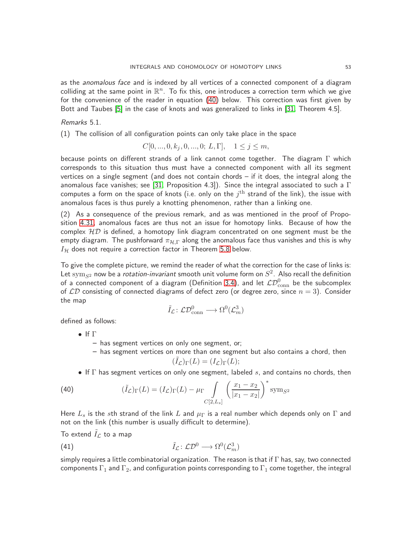as the *anomalous face* and is indexed by all vertices of a connected component of a diagram colliding at the same point in  $\mathbb{R}^n$ . To fix this, one introduces a correction term which we give for the convenience of the reader in equation [\(40\)](#page-52-1) below. This correction was first given by Bott and Taubes [\[5\]](#page-63-2) in the case of knots and was generalized to links in [\[31,](#page-64-1) Theorem 4.5].

<span id="page-52-0"></span>Remarks 5.1.

(1) The collision of all configuration points can only take place in the space

$$
C[0, ..., 0, k_j, 0, ..., 0; L, \Gamma], \quad 1 \le j \le m,
$$

because points on different strands of a link cannot come together. The diagram  $\Gamma$  which corresponds to this situation thus must have a connected component with all its segment vertices on a single segment (and does not contain chords – if it does, the integral along the anomalous face vanishes; see [\[31,](#page-64-1) Proposition 4.3]). Since the integral associated to such a  $\Gamma$ computes a form on the space of knots (i.e. only on the  $j^{\rm th}$  strand of the link), the issue with anomalous faces is thus purely a knotting phenomenon, rather than a linking one.

(2) As a consequence of the previous remark, and as was mentioned in the proof of Proposition [4.31,](#page-47-0) anomalous faces are thus not an issue for homotopy links. Because of how the complex  $HD$  is defined, a homotopy link diagram concentrated on one segment must be the empty diagram. The pushforward  $\pi_{\mathcal{H},\Gamma}$  along the anomalous face thus vanishes and this is why  $I_H$  does not require a correction factor in Theorem [5.8](#page-57-0) below.

To give the complete picture, we remind the reader of what the correction for the case of links is: Let  $\text{sym}_{S^2}$  now be a *rotation-invariant* smooth unit volume form on  $S^2$ . Also recall the definition of a connected component of a diagram (Definition [3.4\)](#page-8-1), and let  $\mathcal{LD}_{\mathrm{conn}}^0$  be the subcomplex of  $\mathcal{LD}$  consisting of connected diagrams of defect zero (or degree zero, since  $n = 3$ ). Consider the map

$$
\tilde{I}_{\mathcal{L}} \colon \mathcal{L}\mathcal{D}^0_{\text{conn}} \longrightarrow \Omega^0(\mathcal{L}^3_m)
$$

defined as follows:

- If Γ
	- has segment vertices on only one segment, or;
	- has segment vertices on more than one segment but also contains a chord, then  $(\tilde{I}_{\mathcal{L}})_{\Gamma}(L) = (I_{\mathcal{L}})_{\Gamma}(L);$
- <span id="page-52-1"></span>• If  $\Gamma$  has segment vertices on only one segment, labeled s, and contains no chords, then

(40) 
$$
(\tilde{I}_{\mathcal{L}})_{\Gamma}(L) = (I_{\mathcal{L}})_{\Gamma}(L) - \mu_{\Gamma} \int_{C[2,L_s]} \left( \frac{x_1 - x_2}{|x_1 - x_2|} \right)^* \text{sym}_{S^2}
$$

Here  $L_s$  is the sth strand of the link L and  $\mu_{\Gamma}$  is a real number which depends only on  $\Gamma$  and not on the link (this number is usually difficult to determine).

To extend  $I_{\mathcal{L}}$  to a map

(41) 
$$
\tilde{I}_{\mathcal{L}} : \mathcal{L} \mathcal{D}^0 \longrightarrow \Omega^0(\mathcal{L}^3_m)
$$

simply requires a little combinatorial organization. The reason is that if Γ has, say, two connected components  $\Gamma_1$  and  $\Gamma_2$ , and configuration points corresponding to  $\Gamma_1$  come together, the integral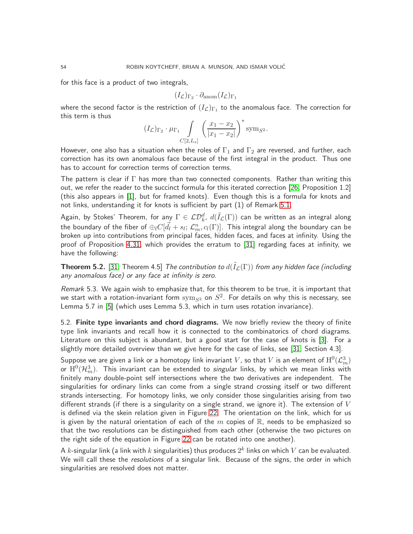for this face is a product of two integrals,

$$
(I_{\mathcal{L}})_{\Gamma_2} \cdot \partial_{\text{anom}} (I_{\mathcal{L}})_{\Gamma_1}
$$

where the second factor is the restriction of  $(I_{\mathcal{L}})_{\Gamma_1}$  to the anomalous face. The correction for this term is thus

$$
(I_{\mathcal{L}})_{\Gamma_2} \cdot \mu_{\Gamma_1} \int_{C[2,L_s]} \left( \frac{x_1 - x_2}{|x_1 - x_2|} \right)^* \text{sym}_{S^2}.
$$

However, one also has a situation when the roles of  $\Gamma_1$  and  $\Gamma_2$  are reversed, and further, each correction has its own anomalous face because of the first integral in the product. Thus one has to account for correction terms of correction terms.

The pattern is clear if  $\Gamma$  has more than two connected components. Rather than writing this out, we refer the reader to the succinct formula for this iterated correction [\[26,](#page-64-10) Proposition 1.2] (this also appears in [\[1\]](#page-63-16), but for framed knots). Even though this is a formula for knots and not links, understanding it for knots is sufficient by part (1) of Remark [5.1.](#page-52-0)

Again, by Stokes' Theorem, for any  $\Gamma\in\mathcal{LD}_k^d$ ,  $d(\tilde{I}_\mathcal{L}(\Gamma))$  can be written as an integral along the boundary of the fiber of  $\oplus_lC[\vec{d_l}+s_l;\, \mathcal{L}_m^n,c_l(\Gamma)].$  This integral along the boundary can be broken up into contributions from principal faces, hidden faces, and faces at infinity. Using the proof of Proposition [4.31,](#page-47-0) which provides the erratum to [\[31\]](#page-64-1) regarding faces at infinity, we have the following:

**Theorem 5.2.** [\[31,](#page-64-1) Theorem 4.5] The contribution to  $d(\tilde{I}_\mathcal{L}(\Gamma))$  from any hidden face (including any anomalous face) or any face at infinity is zero.

Remark 5.3. We again wish to emphasize that, for this theorem to be true, it is important that we start with a rotation-invariant form  $\mathrm{sym}_{S^2}$  on  $S^2.$  For details on why this is necessary, see Lemma 5.7 in [\[5\]](#page-63-2) (which uses Lemma 5.3, which in turn uses rotation invariance).

<span id="page-53-0"></span>5.2. Finite type invariants and chord diagrams. We now briefly review the theory of finite type link invariants and recall how it is connected to the combinatorics of chord diagrams. Literature on this subject is abundant, but a good start for the case of knots is [\[3\]](#page-63-12). For a slightly more detailed overview than we give here for the case of links, see [\[31,](#page-64-1) Section 4.3].

Suppose we are given a link or a homotopy link invariant  $V$ , so that  $V$  is an element of  $\mathrm{H}^{0}(\mathcal{L}^{3}_{m})$ or  $\mathrm{H}^0(\mathcal{H}_m^3)$ . This invariant can be extended to *singular* links, by which we mean links with finitely many double-point self intersections where the two derivatives are independent. The singularities for ordinary links can come from a single strand crossing itself or two different strands intersecting. For homotopy links, we only consider those singularities arising from two different strands (if there is a singularity on a single strand, we ignore it). The extension of  $V$ is defined via the skein relation given in Figure [22.](#page-54-0) The orientation on the link, which for us is given by the natural orientation of each of the  $m$  copies of  $\mathbb R$ , needs to be emphasized so that the two resolutions can be distinguished from each other (otherwise the two pictures on the right side of the equation in Figure [22](#page-54-0) can be rotated into one another).

A  $k$ -singular link (a link with  $k$  singularities) thus produces  $2^k$  links on which  $V$  can be evaluated. We will call these the *resolutions* of a singular link. Because of the signs, the order in which singularities are resolved does not matter.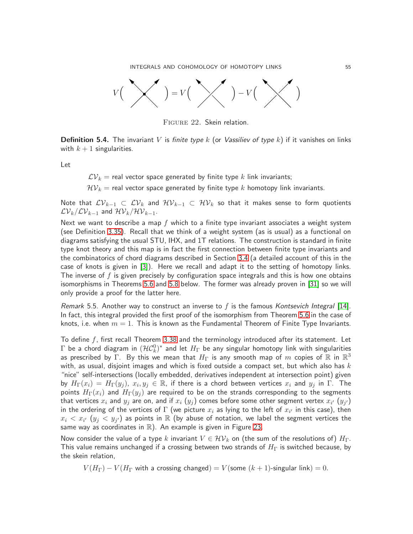INTEGRALS AND COHOMOLOGY OF HOMOTOPY LINKS 55



<span id="page-54-0"></span>Figure 22. Skein relation.

**Definition 5.4.** The invariant V is finite type k (or Vassiliev of type k) if it vanishes on links with  $k + 1$  singularities.

Let

 $\mathcal{LV}_k =$  real vector space generated by finite type k link invariants;

 $\mathcal{HV}_k$  = real vector space generated by finite type k homotopy link invariants.

Note that  $\mathcal{LV}_{k-1} \subset \mathcal{LV}_k$  and  $\mathcal{HV}_{k-1} \subset \mathcal{HV}_k$  so that it makes sense to form quotients  $\mathcal{LV}_k/\mathcal{LV}_{k-1}$  and  $\mathcal{HV}_k/\mathcal{HV}_{k-1}$ .

Next we want to describe a map  $f$  which to a finite type invariant associates a weight system (see Definition [3.35\)](#page-24-3). Recall that we think of a weight system (as is usual) as a functional on diagrams satisfying the usual STU, IHX, and 1T relations. The construction is standard in finite type knot theory and this map is in fact the first connection between finite type invariants and the combinatorics of chord diagrams described in Section [3.4](#page-17-0) (a detailed account of this in the case of knots is given in [\[3\]](#page-63-12)). Here we recall and adapt it to the setting of homotopy links. The inverse of f is given precisely by configuration space integrals and this is how one obtains isomorphisms in Theorems [5.6](#page-56-1) and [5.8](#page-57-0) below. The former was already proven in [\[31\]](#page-64-1) so we will only provide a proof for the latter here.

Remark 5.5. Another way to construct an inverse to f is the famous Kontsevich Integral [\[14\]](#page-63-17). In fact, this integral provided the first proof of the isomorphism from Theorem [5.6](#page-56-1) in the case of knots, i.e. when  $m = 1$ . This is known as the Fundamental Theorem of Finite Type Invariants.

To define  $f$ , first recall Theorem [3.38](#page-25-0) and the terminology introduced after its statement. Let  $\Gamma$  be a chord diagram in  $({\cal HC}^0_k)^*$  and let  $H_\Gamma$  be any singular homotopy link with singularities as prescribed by  $\Gamma$ . By this we mean that  $H_{\Gamma}$  is any smooth map of  $m$  copies of  $\mathbb R$  in  $\mathbb R^3$ with, as usual, disjoint images and which is fixed outside a compact set, but which also has  $k$ "nice" self-intersections (locally embedded, derivatives independent at intersection point) given by  $H_\Gamma(x_i)\,=\,H_\Gamma(y_j),\; \dot{x_i},y_j\,\in\,{\mathbb R},$  if there is a chord between vertices  $x_i$  and  $y_j$  in  $\Gamma.$  The points  $H_{\Gamma}(x_i)$  and  $H_{\Gamma}(y_i)$  are required to be on the strands corresponding to the segments that vertices  $x_i$  and  $y_j$  are on, and if  $x_i$   $(y_j)$  comes before some other segment vertex  $x_{i'}$   $\left(y_{j'}\right)$ in the ordering of the vertices of  $\Gamma$  (we picture  $x_i$  as lying to the left of  $x_{i'}$  in this case), then  $x_i\,<\,x_{i'}$   $\,(y_j\,<\,y_{j'})$  as points in  $\mathbb R$  (by abuse of notation, we label the segment vertices the same way as coordinates in  $\mathbb{R}$ ). An example is given in Figure [23.](#page-55-0)

Now consider the value of a type k invariant  $V \in \mathcal{HV}_k$  on (the sum of the resolutions of)  $H_{\Gamma}$ . This value remains unchanged if a crossing between two strands of  $H_{\Gamma}$  is switched because, by the skein relation,

 $V(H_{\Gamma}) - V(H_{\Gamma})$  with a crossing changed) =  $V(\text{some } (k+1)$ -singular link) = 0.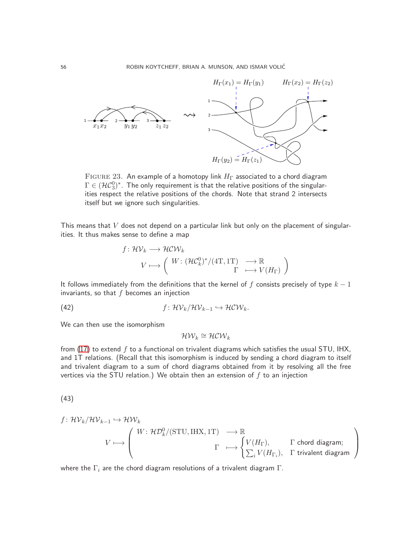

<span id="page-55-0"></span>FIGURE 23. An example of a homotopy link  $H_{\Gamma}$  associated to a chord diagram  $\Gamma \in (\mathcal{HC}_3^0)^*$ . The only requirement is that the relative positions of the singularities respect the relative positions of the chords. Note that strand 2 intersects itself but we ignore such singularities.

This means that  $V$  does not depend on a particular link but only on the placement of singularities. It thus makes sense to define a map

$$
f: \mathcal{HV}_k \longrightarrow \mathcal{HV}_k
$$
  

$$
V \longmapsto \left( \begin{array}{ccc} W: (\mathcal{HC}_k^0)^*/(4T, 1T) & \longrightarrow \mathbb{R} \\ & \Gamma & \longmapsto V(H_{\Gamma}) \end{array} \right)
$$

It follows immediately from the definitions that the kernel of f consists precisely of type  $k - 1$ invariants, so that  $f$  becomes an injection

(42) 
$$
f: \mathcal{HV}_k/\mathcal{HV}_{k-1} \hookrightarrow \mathcal{HCW}_k.
$$

We can then use the isomorphism

$$
\mathcal{HW}_k \cong \mathcal{HCW}_k
$$

from  $(17)$  to extend f to a functional on trivalent diagrams which satisfies the usual STU, IHX, and 1T relations. (Recall that this isomorphism is induced by sending a chord diagram to itself and trivalent diagram to a sum of chord diagrams obtained from it by resolving all the free vertices via the STU relation.) We obtain then an extension of  $f$  to an injection

<span id="page-55-1"></span>
$$
^{(43)}
$$

$$
f: \mathcal{HV}_k/\mathcal{HV}_{k-1} \hookrightarrow \mathcal{HW}_k
$$
\n
$$
V \longmapsto \begin{pmatrix} W: \mathcal{HD}_k^0/(\text{STU}, \text{IHX}, 1\text{T}) & \longrightarrow \mathbb{R} \\ & \Gamma & \longmapsto \begin{cases} V(H_{\Gamma}), & \Gamma \text{ chord diagram;} \\ \sum_i V(H_{\Gamma_i}), & \Gamma \text{ trivalent diagram} \end{cases}
$$

where the  $\Gamma_i$  are the chord diagram resolutions of a trivalent diagram  $\Gamma$ .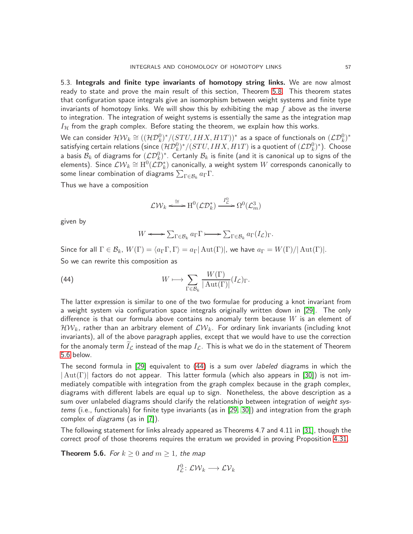<span id="page-56-0"></span>5.3. Integrals and finite type invariants of homotopy string links. We are now almost ready to state and prove the main result of this section, Theorem [5.8.](#page-57-0) This theorem states that configuration space integrals give an isomorphism between weight systems and finite type invariants of homotopy links. We will show this by exhibiting the map  $f$  above as the inverse to integration. The integration of weight systems is essentially the same as the integration map  $I_H$  from the graph complex. Before stating the theorem, we explain how this works.

We can consider  ${\cal HW}_k \cong (({\cal HD}^0_k)^*/(STU,IHX,H1T))^*$  as a space of functionals on  $({\cal LD}^0_k)^*$ satisfying certain relations (since  $({\cal HD}^0_k)^*/(STU,IHX,H1T)$  is a quotient of  $({\cal LD}^0_k)^*$ ). Choose a basis  $\mathcal{B}_k$  of diagrams for  $(\mathcal{L}\mathcal{D}_k^0)^*$ . Certanly  $\mathcal{B}_k$  is finite (and it is canonical up to signs of the elements). Since  $\mathcal{LW}_k\cong \mathrm{H}^0(\mathcal{L}\mathcal{D}_k^*)$  canonically, a weight system  $W$  corresponds canonically to some linear combination of diagrams  $\sum_{\Gamma \in \mathcal{B}_k} a_{\Gamma} \Gamma.$ 

Thus we have a composition

$$
\mathcal{L}\mathcal{W}_k \xleftarrow{\simeq} \mathrm{H}^0(\mathcal{L}\mathcal{D}_k^*) \xrightarrow{I^0_{\mathcal{L}}} \Omega^0(\mathcal{L}_m^3)
$$

given by

<span id="page-56-2"></span>
$$
W \longleftrightarrow \sum_{\Gamma \in \mathcal{B}_k} a_{\Gamma} \Gamma \longmapsto \sum_{\Gamma \in \mathcal{B}_k} a_{\Gamma} (I_{\mathcal{L}})_{\Gamma}.
$$

Since for all  $\Gamma \in \mathcal{B}_k$ ,  $W(\Gamma) = \langle a_\Gamma \Gamma, \Gamma \rangle = a_\Gamma |\operatorname{Aut}(\Gamma)|$ , we have  $a_\Gamma = W(\Gamma)/|\operatorname{Aut}(\Gamma)|$ . So we can rewrite this composition as

(44) 
$$
W \longmapsto \sum_{\Gamma \in \mathcal{B}_k} \frac{W(\Gamma)}{|\operatorname{Aut}(\Gamma)|} (I_{\mathcal{L}})_{\Gamma}.
$$

The latter expression is similar to one of the two formulae for producing a knot invariant from a weight system via configuration space integrals originally written down in [\[29\]](#page-64-0). The only difference is that our formula above contains no anomaly term because  $W$  is an element of  $\mathcal{HW}_k$ , rather than an arbitrary element of  $\mathcal{LW}_k$ . For ordinary link invariants (including knot invariants), all of the above paragraph applies, except that we would have to use the correction for the anomaly term  $\widetilde{I}_{\mathcal{L}}$  instead of the map  $I_{\mathcal{L}}$ . This is what we do in the statement of Theorem [5.6](#page-56-1) below.

The second formula in [\[29\]](#page-64-0) equivalent to [\(44\)](#page-56-2) is a sum over *labeled* diagrams in which the  $|\text{Aut}(\Gamma)|$  factors do not appear. This latter formula (which also appears in [\[30\]](#page-64-2)) is not immediately compatible with integration from the graph complex because in the graph complex, diagrams with different labels are equal up to sign. Nonetheless, the above description as a sum over unlabeled diagrams should clarify the relationship between integration of weight systems (i.e., functionals) for finite type invariants (as in [\[29,](#page-64-0) [30\]](#page-64-2)) and integration from the graph complex of diagrams (as in [\[7\]](#page-63-1)).

The following statement for links already appeared as Theorems 4.7 and 4.11 in [\[31\]](#page-64-1), though the correct proof of those theorems requires the erratum we provided in proving Proposition [4.31.](#page-47-0)

<span id="page-56-1"></span>**Theorem 5.6.** For  $k \geq 0$  and  $m \geq 1$ , the map

 $I_{\mathcal{L}}^{0} \colon \mathcal{L} \mathcal{W}_{k} \longrightarrow \mathcal{L} \mathcal{V}_{k}$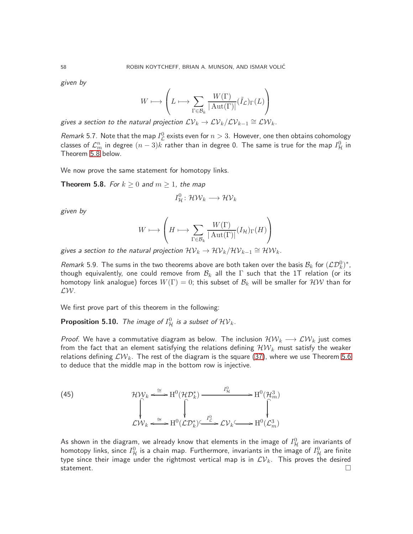given by

$$
W\longmapsto \left(L\longmapsto \sum_{\Gamma\in \mathcal{B}_k}\frac{W(\Gamma)}{|\operatorname{Aut}(\Gamma)|}(\widetilde{I}_{\mathcal{L}})_{\Gamma}(L)\right)
$$

gives a section to the natural projection  $\mathcal{LV}_k \to \mathcal{LV}_k/\mathcal{LV}_{k-1} \cong \mathcal{LW}_k$  .

*Remark* 5.7. Note that the map  $I_{\mathcal{L}}^0$  exists even for  $n > 3$ . However, one then obtains cohomology classes of  $\mathcal{L}_m^n$  in degree  $(n-3)k$  rather than in degree 0. The same is true for the map  $I_{\mathcal{H}}^0$  in Theorem [5.8](#page-57-0) below.

We now prove the same statement for homotopy links.

<span id="page-57-0"></span>**Theorem 5.8.** For  $k \geq 0$  and  $m \geq 1$ , the map

$$
I^0_{\mathcal{H}}\colon \mathcal{HW}_k\longrightarrow \mathcal{HV}_k
$$

given by

$$
W\longmapsto \left(H\longmapsto \sum_{\Gamma\in \mathcal{B}_k}\frac{W(\Gamma)}{|\operatorname{Aut}(\Gamma)|}(I_{\mathcal{H}})_{\Gamma}(H)\right)
$$

gives a section to the natural projection  $\mathcal{HV}_k \rightarrow \mathcal{HV}_k/\mathcal{HV}_{k-1} \cong \mathcal{HW}_k.$ 

*Remark* 5.9. The sums in the two theorems above are both taken over the basis  $\mathcal{B}_k$  for  $(\mathcal{LD}_k^0)^*$ , though equivalently, one could remove from  $B_k$  all the  $\Gamma$  such that the 1T relation (or its homotopy link analogue) forces  $W(\Gamma)=0$ ; this subset of  $\mathcal{B}_k$  will be smaller for  $\mathcal{HW}$  than for LW.

We first prove part of this theorem in the following:

<span id="page-57-1"></span>**Proposition 5.10.** The image of  $I_{\mathcal{H}}^{0}$  is a subset of  $\mathcal{HV}_{k}$ .

*Proof.* We have a commutative diagram as below. The inclusion  $\mathcal{HW}_k \longrightarrow \mathcal{L}W_k$  just comes from the fact that an element satisfying the relations defining  $\mathcal{HW}_k$  must satisfy the weaker relations defining  $\mathcal{L}W_k$ . The rest of the diagram is the square [\(37\)](#page-49-1), where we use Theorem [5.6](#page-56-1) to deduce that the middle map in the bottom row is injective.

(45) 
$$
\mathcal{HW}_k \xrightarrow{\cong} \mathrm{H}^0(\mathcal{HD}_k^*) \xrightarrow{I_H^0} \mathrm{H}^0(\mathcal{H}_m^3)
$$

$$
\downarrow \qquad \qquad \downarrow \qquad \qquad \downarrow
$$

$$
\mathcal{L}W_k \xleftarrow{\cong} \mathrm{H}^0(\mathcal{LD}_k^*) \xleftarrow{I_L^0} \mathcal{LV}_k \xrightarrow{H^0(\mathcal{L}_m^3)}
$$

As shown in the diagram, we already know that elements in the image of  $I_{\mathcal{H}}^{0}$  are invariants of homotopy links, since  $I^0_{\cal H}$  is a chain map. Furthermore, invariants in the image of  $I^0_{\cal H}$  are finite type since their image under the rightmost vertical map is in  $\mathcal{LV}_k$ . This proves the desired statement.  $\Box$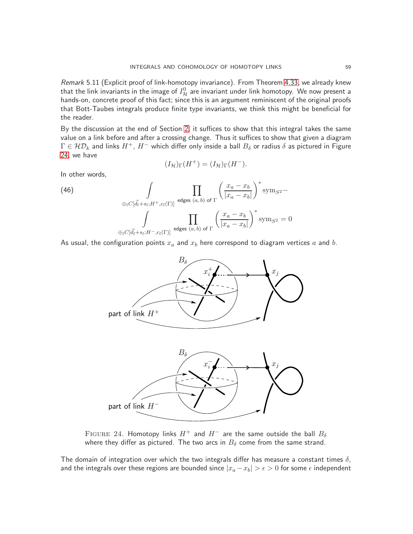Remark 5.11 (Explicit proof of link-homotopy invariance). From Theorem [4.33,](#page-50-0) we already knew that the link invariants in the image of  $I^0_{\cal H}$  are invariant under link homotopy. We now present a hands-on, concrete proof of this fact; since this is an argument reminiscent of the original proofs that Bott-Taubes integrals produce finite type invariants, we think this might be beneficial for the reader.

By the discussion at the end of Section [2,](#page-5-0) it suffices to show that this integral takes the same value on a link before and after a crossing change. Thus it suffices to show that given a diagram  $\Gamma\in{\cal HD}_k$  and links  $H^+$ ,  $H^-$  which differ only inside a ball  $B_\delta$  or radius  $\delta$  as pictured in Figure [24,](#page-58-0) we have

$$
(I_{\mathcal{H}})_{\Gamma}(H^{+}) = (I_{\mathcal{H}})_{\Gamma}(H^{-}).
$$

In other words,

(46)  
\n
$$
\int_{\bigoplus_{l} C[\vec{d}_l + s_l; H^+, c_l(\Gamma)]} \prod_{\text{edges } (a, b) \text{ of } \Gamma} \left( \frac{x_a - x_b}{|x_a - x_b|} \right)^* \text{sym}_{S^2} -
$$
\n
$$
\int_{\bigoplus_{l} C[\vec{d}_l + s_l; H^-, c_l(\Gamma)]} \prod_{\text{edges } (a, b) \text{ of } \Gamma} \left( \frac{x_a - x_b}{|x_a - x_b|} \right)^* \text{sym}_{S^2} = 0
$$

As usual, the configuration points  $x_a$  and  $x_b$  here correspond to diagram vertices  $a$  and  $b$ .



<span id="page-58-0"></span>FIGURE 24. Homotopy links  $H^+$  and  $H^-$  are the same outside the ball  $B_\delta$ where they differ as pictured. The two arcs in  $B_{\delta}$  come from the same strand.

The domain of integration over which the two integrals differ has measure a constant times  $\delta$ , and the integrals over these regions are bounded since  $|x_a - x_b| > \epsilon > 0$  for some  $\epsilon$  independent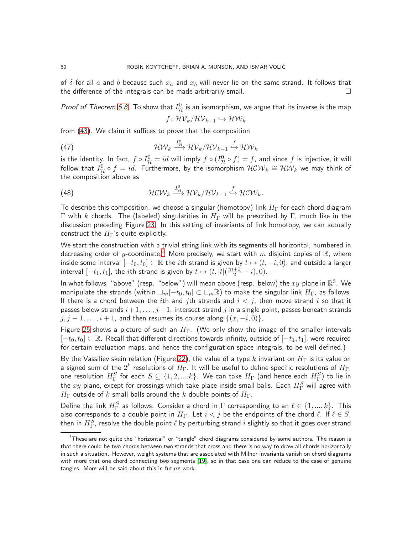of  $\delta$  for all  $a$  and  $b$  because such  $x_a$  and  $x_b$  will never lie on the same strand. It follows that the difference of the integrals can be made arbitrarily small.  $\Box$ 

*Proof of Theorem [5.8.](#page-57-0)* To show that  $I_{\mathcal{H}}^{0}$  is an isomorphism, we argue that its inverse is the map

<span id="page-59-1"></span>
$$
f\colon \mathcal{HV}_k/\mathcal{HV}_{k-1}\hookrightarrow \mathcal{HW}_k
$$

from [\(43\)](#page-55-1). We claim it suffices to prove that the composition

(47) 
$$
\mathcal{HW}_k \xrightarrow{I_H^0} \mathcal{HV}_k / \mathcal{HV}_{k-1} \xrightarrow{f} \mathcal{HW}_k
$$

is the identity. In fact,  $f\circ I_\mathcal{H}^0=id$  will imply  $f\circ(I_\mathcal{H}^0\circ f)=f$ , and since  $f$  is injective, it will follow that  $I_{\mathcal{H}}^0 \circ f=id$ . Furthermore, by the isomorphism  $\mathcal{HCW}_k \cong \mathcal{HW}_k$  we may think of the composition above as

(48) 
$$
\mathcal{H}\mathcal{C}\mathcal{W}_k \xrightarrow{I_H^0} \mathcal{H}\mathcal{V}_k/\mathcal{H}\mathcal{V}_{k-1} \xrightarrow{f} \mathcal{H}\mathcal{C}\mathcal{W}_k.
$$

To describe this composition, we choose a singular (homotopy) link  $H_{\Gamma}$  for each chord diagram Γ with k chords. The (labeled) singularities in  $H<sub>Γ</sub>$  will be prescribed by Γ, much like in the discussion preceding Figure [23.](#page-55-0) In this setting of invariants of link homotopy, we can actually construct the  $H_{\Gamma}$ 's quite explicitly.

We start the construction with a trivial string link with its segments all horizontal, numbered in decreasing order of y-coordinate.<sup>[3](#page-59-0)</sup> More precisely, we start with m disjoint copies of R, where inside some interval  $[-t_0, t_0] \subset \mathbb{R}$  the ith strand is given by  $t \mapsto (t, -i, 0)$ , and outside a larger interval  $[-t_1, t_1]$ , the *i*th strand is given by  $t \mapsto (t, |t|(\frac{m+1}{2} - i), 0)$ .

In what follows, "above" (resp. "below") will mean above (resp. below) the  $xy$ -plane in  $\mathbb{R}^3$ . We manipulate the strands (within  $\Box_m[-t_0,t_0] \subset \Box_m \mathbb{R}$ ) to make the singular link  $H_{\Gamma}$ , as follows. If there is a chord between the ith and jth strands and  $i < j$ , then move strand i so that it passes below strands  $i + 1, \ldots, j - 1$ , intersect strand  $j$  in a single point, passes beneath strands  $j, j-1, \ldots, i+1$ , and then resumes its course along  $\{(x, -i, 0)\}.$ 

Figure [25](#page-60-0) shows a picture of such an  $H_{\Gamma}$ . (We only show the image of the smaller intervals  $[-t_0, t_0] \subset \mathbb{R}$ . Recall that different directions towards infinity, outside of  $[-t_1, t_1]$ , were required for certain evaluation maps, and hence the configuration space integrals, to be well defined.)

By the Vassiliev skein relation (Figure [22\)](#page-54-0), the value of a type  $k$  invariant on  $H_{\Gamma}$  is its value on a signed sum of the  $2^k$  resolutions of  $H_\Gamma$ . It will be useful to define specific resolutions of  $H_\Gamma$ , one resolution  $H^S_\Gamma$  for each  $S\subseteq \{1,2,....k\}.$  We can take  $H_\Gamma$  (and hence each  $H^S_\Gamma$ ) to lie in the  $xy$ -plane, except for crossings which take place inside small balls. Each  $H^S_{\Gamma}$  will agree with  $H_{\Gamma}$  outside of k small balls around the k double points of  $H_{\Gamma}$ .

Define the link  $H^S_\Gamma$  as follows: Consider a chord in  $\Gamma$  corresponding to an  $\ell \in \{1,...,k\}$ . This also corresponds to a double point in  $H_{\Gamma}$ . Let  $i < j$  be the endpoints of the chord  $\ell$ . If  $\ell \in S$ , then in  $H^S_\Gamma$ , resolve the double point  $\ell$  by perturbing strand  $i$  slightly so that it goes over strand

<span id="page-59-0"></span> $3$ These are not quite the "horizontal" or "tangle" chord diagrams considered by some authors. The reason is that there could be two chords between two strands that cross and there is no way to draw all chords horizontally in such a situation. However, weight systems that are associated with Milnor invariants vanish on chord diagrams with more that one chord connecting two segments [\[19\]](#page-63-18), so in that case one can reduce to the case of genuine tangles. More will be said about this in future work.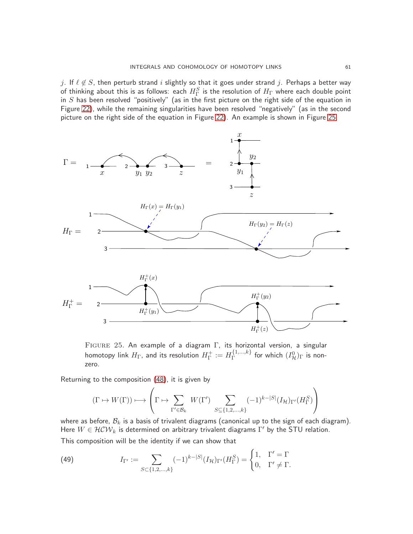j. If  $\ell \notin S$ , then perturb strand i slightly so that it goes under strand j. Perhaps a better way of thinking about this is as follows: <code>each</code>  $H^S_\Gamma$  is the resolution of  $H_\Gamma$  where each double point in  $S$  has been resolved "positively" (as in the first picture on the right side of the equation in Figure [22\)](#page-54-0), while the remaining singularities have been resolved "negatively" (as in the second picture on the right side of the equation in Figure [22\)](#page-54-0). An example is shown in Figure [25.](#page-60-0)



<span id="page-60-0"></span>Figure 25. An example of a diagram Γ, its horizontal version, a singular homotopy link  $H_\Gamma$ , and its resolution  $H^+_\Gamma$  $T^+ := H_{\Gamma}^{\{1,...,k\}}$  $\Gamma_{\Gamma}^{\{1,...,k\}}$  for which  $(I^0_{\mathcal{H}})_{\Gamma}$  is nonzero.

Returning to the composition [\(48\)](#page-59-1), it is given by

$$
(\Gamma \mapsto W(\Gamma)) \longmapsto \left( \Gamma \mapsto \sum_{\Gamma' \in \mathcal{B}_k} \ W(\Gamma') \ \sum_{S \subseteq \{1,2,\ldots,k\}} (-1)^{k - |S|} (I_{\mathcal{H}})_{\Gamma'}(H^S_{\Gamma}) \right)
$$

where as before,  $\mathcal{B}_k$  is a basis of trivalent diagrams (canonical up to the sign of each diagram). Here  $W \in \mathcal{HCW}_k$  is determined on arbitrary trivalent diagrams  $\Gamma'$  by the STU relation. This composition will be the identity if we can show that

<span id="page-60-1"></span>(49) 
$$
I_{\Gamma'} := \sum_{S \subset \{1, 2, ..., k\}} (-1)^{k-|S|} (I_{\mathcal{H}})_{\Gamma'} (H_{\Gamma}^{S}) = \begin{cases} 1, & \Gamma' = \Gamma \\ 0, & \Gamma' \neq \Gamma. \end{cases}
$$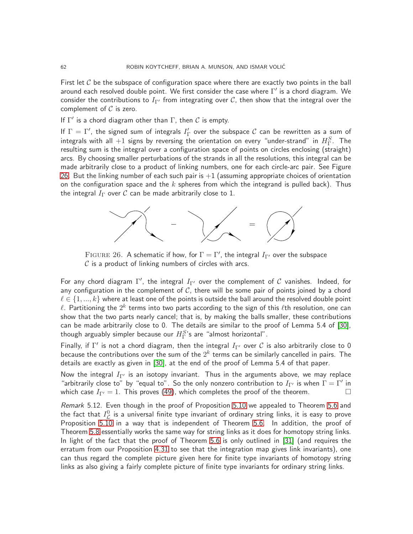First let  $C$  be the subspace of configuration space where there are exactly two points in the ball around each resolved double point. We first consider the case where  $\Gamma'$  is a chord diagram. We consider the contributions to  $I_{\Gamma'}$  from integrating over C, then show that the integral over the complement of  $C$  is zero.

If  $\Gamma'$  is a chord diagram other than  $\Gamma$ , then  $\mathcal C$  is empty.

If  $\Gamma=\Gamma'$ , the signed sum of integrals  $I_\Gamma'$  over the subspace  ${\cal C}$  can be rewritten as a sum of integrals with all  $+1$  signs by reversing the orientation on every "under-strand" in  $H^S_\Gamma$ . The resulting sum is the integral over a configuration space of points on circles enclosing (straight) arcs. By choosing smaller perturbations of the strands in all the resolutions, this integral can be made arbitrarily close to a product of linking numbers, one for each circle-arc pair. See Figure [26.](#page-61-1) But the linking number of each such pair is  $+1$  (assuming appropriate choices of orientation on the configuration space and the k spheres from which the integrand is pulled back). Thus the integral  $I_{\Gamma}$  over C can be made arbitrarily close to 1.



<span id="page-61-1"></span>FIGURE 26. A schematic if how, for  $\Gamma = \Gamma'$ , the integral  $I_{\Gamma'}$  over the subspace  $C$  is a product of linking numbers of circles with arcs.

For any chord diagram  $\Gamma'$ , the integral  $I_{\Gamma'}$  over the complement of  ${\cal C}$  vanishes. Indeed, for any configuration in the complement of  $C$ , there will be some pair of points joined by a chord  $\ell \in \{1, ..., k\}$  where at least one of the points is outside the ball around the resolved double point  $\ell.$  Partitioning the  $2^k$  terms into two parts according to the sign of this  $\ell$ th resolution, one can show that the two parts nearly cancel; that is, by making the balls smaller, these contributions can be made arbitrarily close to 0. The details are similar to the proof of Lemma 5.4 of [\[30\]](#page-64-2), though arguably simpler because our  $H^{S}_{\Gamma}$ 's are "almost horizontal".

Finally, if  $\Gamma'$  is not a chord diagram, then the integral  $I_{\Gamma'}$  over  ${\cal C}$  is also arbitrarily close to 0 because the contributions over the sum of the  $2^k$  terms can be similarly cancelled in pairs. The details are exactly as given in [\[30\]](#page-64-2), at the end of the proof of Lemma 5.4 of that paper.

Now the integral  $I_{\Gamma'}$  is an isotopy invariant. Thus in the arguments above, we may replace "arbitrarily close to" by "equal to". So the only nonzero contribution to  $I_{\Gamma'}$  is when  $\Gamma=\Gamma'$  in which case  $I_{\Gamma'} = 1$ . This proves [\(49\)](#page-60-1), which completes the proof of the theorem.

<span id="page-61-0"></span>Remark 5.12. Even though in the proof of Proposition [5.10](#page-57-1) we appealed to Theorem [5.6](#page-56-1) and the fact that  $I_{\mathcal L}^0$  is a universal finite type invariant of ordinary string links, it is easy to prove Proposition [5.10](#page-57-1) in a way that is independent of Theorem [5.6.](#page-56-1) In addition, the proof of Theorem [5.8](#page-57-0) essentially works the same way for string links as it does for homotopy string links. In light of the fact that the proof of Theorem [5.6](#page-56-1) is only outlined in [\[31\]](#page-64-1) (and requires the erratum from our Proposition [4.31](#page-47-0) to see that the integration map gives link invariants), one can thus regard the complete picture given here for finite type invariants of homotopy string links as also giving a fairly complete picture of finite type invariants for ordinary string links.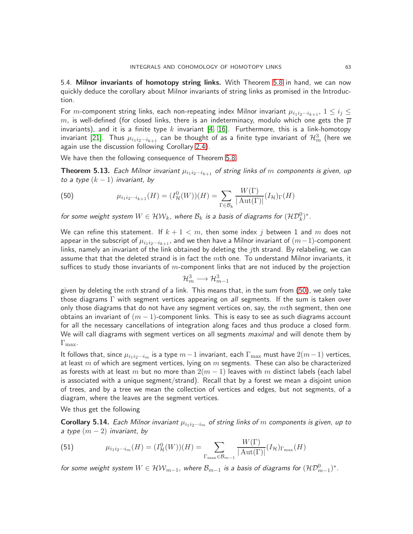<span id="page-62-0"></span>5.4. Milnor invariants of homotopy string links. With Theorem [5.8](#page-57-0) in hand, we can now quickly deduce the corollary about Milnor invariants of string links as promised in the Introduction.

For  $m$ -component string links, each non-repeating index Milnor invariant  $\mu_{i_1i_2\cdots i_{k+1}},\ 1\leq i_j\leq k$  $m$ , is well-defined (for closed links, there is an indeterminacy, modulo which one gets the  $\overline{\mu}$ invariants), and it is a finite type k invariant [\[4,](#page-63-4) [16\]](#page-63-19). Furthermore, this is a link-homotopy invariant [\[21\]](#page-64-11). Thus  $\mu_{i_1 i_2 \cdots i_{k+1}}$  can be thought of as a finite type invariant of  $\mathcal{H}^3_m$  (here we again use the discussion following Corollary [2.4\)](#page-5-5).

We have then the following consequence of Theorem [5.8.](#page-57-0)

<span id="page-62-1"></span>**Theorem 5.13.** Each Milnor invariant  $\mu_{i_1i_2\cdots i_{k+1}}$  of string links of m components is given, up to a type  $(k-1)$  invariant, by

<span id="page-62-2"></span>(50) 
$$
\mu_{i_1 i_2 \cdots i_{k+1}}(H) = (I^0_{\mathcal{H}}(W))(H) = \sum_{\Gamma \in \mathcal{B}_k} \frac{W(\Gamma)}{|\mathrm{Aut}(\Gamma)|} (I_{\mathcal{H}})_{\Gamma}(H)
$$

for some weight system  $W\in \mathcal{HW}_k$ , where  $\mathcal{B}_k$  is a basis of diagrams for  $(\mathcal{HD}_k^0)^*.$ 

We can refine this statement. If  $k + 1 < m$ , then some index  $j$  between 1 and  $m$  does not appear in the subscript of  $\mu_{i_1i_2\cdots i_{k+1}}$ , and we then have a Milnor invariant of  $(m-1)$ -component links, namely an invariant of the link obtained by deleting the  $j$ th strand. By relabeling, we can assume that that the deleted strand is in fact the  $m$ th one. To understand Milnor invariants, it suffices to study those invariants of  $m$ -component links that are not induced by the projection

$$
\mathcal{H}^3_m \longrightarrow \mathcal{H}^3_{m-1}
$$

given by deleting the  $m$ th strand of a link. This means that, in the sum from  $(50)$ , we only take those diagrams  $\Gamma$  with segment vertices appearing on all segments. If the sum is taken over only those diagrams that do not have any segment vertices on, say, the  $m$ th segment, then one obtains an invariant of  $(m - 1)$ -component links. This is easy to see as such diagrams account for all the necessary cancellations of integration along faces and thus produce a closed form. We will call diagrams with segment vertices on all segments *maximal* and will denote them by  $\Gamma_{\text{max}}$ .

It follows that, since  $\mu_{i_1i_2\cdots i_m}$  is a type  $m-1$  invariant, each  $\Gamma_{\max}$  must have  $2(m-1)$  vertices, at least  $m$  of which are segment vertices, lying on  $m$  segments. These can also be characterized as forests with at least m but no more than  $2(m-1)$  leaves with m distinct labels (each label is associated with a unique segment/strand). Recall that by a forest we mean a disjoint union of trees, and by a tree we mean the collection of vertices and edges, but not segments, of a diagram, where the leaves are the segment vertices.

We thus get the following

<span id="page-62-3"></span>**Corollary 5.14.** Each Milnor invariant  $\mu_{i_1i_2\cdots i_m}$  of string links of m components is given, up to a type  $(m-2)$  invariant, by

(51) 
$$
\mu_{i_1 i_2 \cdots i_m}(H) = (I^0_{\mathcal{H}}(W))(H) = \sum_{\Gamma_{\text{max}} \in \mathcal{B}_{m-1}} \frac{W(\Gamma)}{|\operatorname{Aut}(\Gamma)|} (I_{\mathcal{H}})_{\Gamma_{\text{max}}}(H)
$$

for some weight system  $W\in \mathcal{HW}_{m-1}$ , where  $\mathcal{B}_{m-1}$  is a basis of diagrams for  $(\mathcal{HD}^0_{m-1})^*.$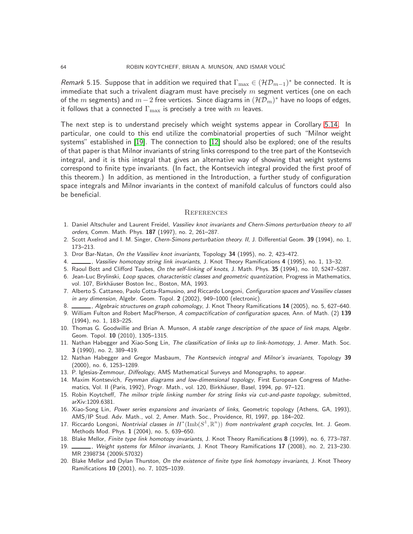*Remark* 5.15. Suppose that in addition we required that  $\Gamma_{\max} \in (\mathcal{HD}_{m-1})^*$  be connected. It is immediate that such a trivalent diagram must have precisely  $m$  segment vertices (one on each of the  $m$  segments) and  $m-2$  free vertices. Since diagrams in  $({\cal HD}_m)^*$  have no loops of edges, it follows that a connected  $\Gamma_{\text{max}}$  is precisely a tree with m leaves.

The next step is to understand precisely which weight systems appear in Corollary [5.14.](#page-62-3) In particular, one could to this end utilize the combinatorial properties of such "Milnor weight systems" established in [\[19\]](#page-63-18). The connection to [\[12\]](#page-63-20) should also be explored; one of the results of that paper is that Milnor invariants of string links correspond to the tree part of the Kontsevich integral, and it is this integral that gives an alternative way of showing that weight systems correspond to finite type invariants. (In fact, the Kontsevich integral provided the first proof of this theorem.) In addition, as mentioned in the Introduction, a further study of configuration space integrals and Milnor invariants in the context of manifold calculus of functors could also be beneficial.

#### <span id="page-63-0"></span>**REFERENCES**

- <span id="page-63-16"></span>1. Daniel Altschuler and Laurent Freidel, Vassiliev knot invariants and Chern-Simons perturbation theory to all orders, Comm. Math. Phys. 187 (1997), no. 2, 261–287.
- <span id="page-63-14"></span><span id="page-63-12"></span>2. Scott Axelrod and I. M. Singer, Chern-Simons perturbation theory. II, J. Differential Geom. 39 (1994), no. 1, 173–213.
- <span id="page-63-4"></span>3. Dror Bar-Natan, On the Vassiliev knot invariants, Topology 34 (1995), no. 2, 423–472.
- <span id="page-63-2"></span>4. Vassiliev homotopy string link invariants, J. Knot Theory Ramifications 4 (1995), no. 1, 13–32.
- <span id="page-63-9"></span>5. Raoul Bott and Clifford Taubes, On the self-linking of knots, J. Math. Phys. 35 (1994), no. 10, 5247–5287.
- <span id="page-63-1"></span>6. Jean-Luc Brylinski, Loop spaces, characteristic classes and geometric quantization, Progress in Mathematics, vol. 107, Birkhäuser Boston Inc., Boston, MA, 1993.
- 7. Alberto S. Cattaneo, Paolo Cotta-Ramusino, and Riccardo Longoni, Configuration spaces and Vassiliev classes in any dimension, Algebr. Geom. Topol. 2 (2002), 949–1000 (electronic).
- <span id="page-63-13"></span><span id="page-63-3"></span>8. Algebraic structures on graph cohomology, J. Knot Theory Ramifications 14 (2005), no. 5, 627–640.
- 9. William Fulton and Robert MacPherson, A compactification of configuration spaces, Ann. of Math. (2) 139 (1994), no. 1, 183–225.
- <span id="page-63-8"></span>10. Thomas G. Goodwillie and Brian A. Munson, A stable range description of the space of link maps, Algebr. Geom. Topol. 10 (2010), 1305–1315.
- <span id="page-63-7"></span>11. Nathan Habegger and Xiao-Song Lin, The classification of links up to link-homotopy, J. Amer. Math. Soc. 3 (1990), no. 2, 389–419.
- <span id="page-63-20"></span>12. Nathan Habegger and Gregor Masbaum, The Kontsevich integral and Milnor's invariants, Topology 39 (2000), no. 6, 1253–1289.
- <span id="page-63-17"></span><span id="page-63-10"></span>13. P. Iglesias-Zemmour, *Diffeology*, AMS Mathematical Surveys and Monographs, to appear.
- 14. Maxim Kontsevich, Feynman diagrams and low-dimensional topology, First European Congress of Mathematics, Vol. II (Paris, 1992), Progr. Math., vol. 120, Birkhäuser, Basel, 1994, pp. 97-121.
- <span id="page-63-19"></span><span id="page-63-15"></span>15. Robin Koytcheff, The milnor triple linking number for string links via cut-and-paste topology, submitted, arXiv:1209.6381.
- 16. Xiao-Song Lin, Power series expansions and invariants of links, Geometric topology (Athens, GA, 1993), AMS/IP Stud. Adv. Math., vol. 2, Amer. Math. Soc., Providence, RI, 1997, pp. 184–202.
- <span id="page-63-11"></span>17. Riccardo Longoni, *Nontrivial classes in H*\* $(\text{Imb}(S^1,\mathbb{R}^n))$  *from nontrivalent graph cocycles*, Int. J. Geom. Methods Mod. Phys. 1 (2004), no. 5, 639–650.
- <span id="page-63-18"></span><span id="page-63-5"></span>18. Blake Mellor, Finite type link homotopy invariants, J. Knot Theory Ramifications 8 (1999), no. 6, 773–787.
- 1, Weight systems for Milnor invariants, J. Knot Theory Ramifications 17 (2008), no. 2, 213–230. MR 2398734 (2009i:57032)
- <span id="page-63-6"></span>20. Blake Mellor and Dylan Thurston, On the existence of finite type link homotopy invariants, J. Knot Theory Ramifications 10 (2001), no. 7, 1025–1039.